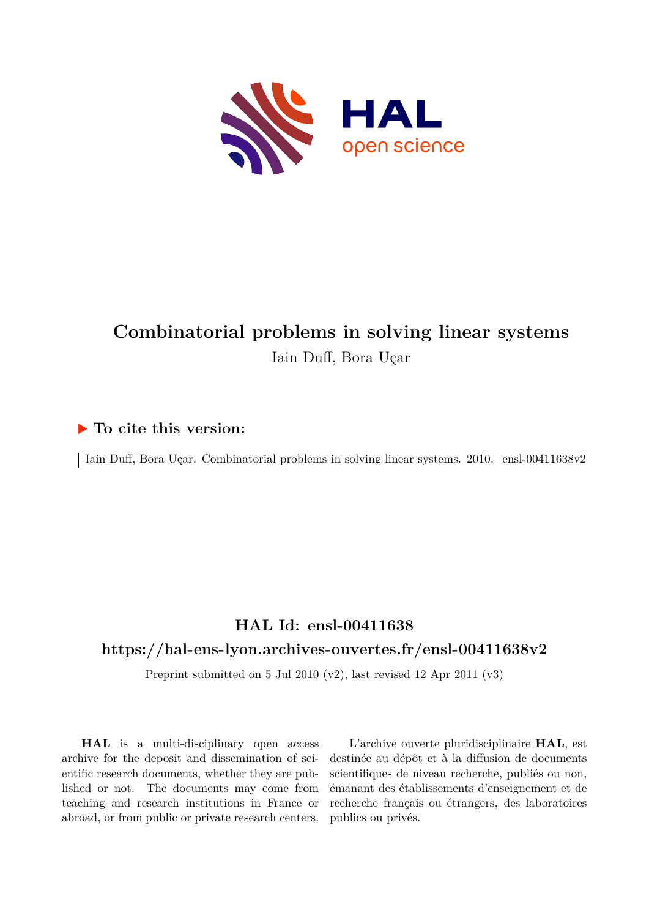

# **Combinatorial problems in solving linear systems** Iain Duff, Bora Uçar

## **To cite this version:**

Iain Duff, Bora Uçar. Combinatorial problems in solving linear systems. 2010. ensl-00411638v2

## **HAL Id: ensl-00411638 <https://hal-ens-lyon.archives-ouvertes.fr/ensl-00411638v2>**

Preprint submitted on 5 Jul 2010 (v2), last revised 12 Apr 2011 (v3)

**HAL** is a multi-disciplinary open access archive for the deposit and dissemination of scientific research documents, whether they are published or not. The documents may come from teaching and research institutions in France or abroad, or from public or private research centers.

L'archive ouverte pluridisciplinaire **HAL**, est destinée au dépôt et à la diffusion de documents scientifiques de niveau recherche, publiés ou non, émanant des établissements d'enseignement et de recherche français ou étrangers, des laboratoires publics ou privés.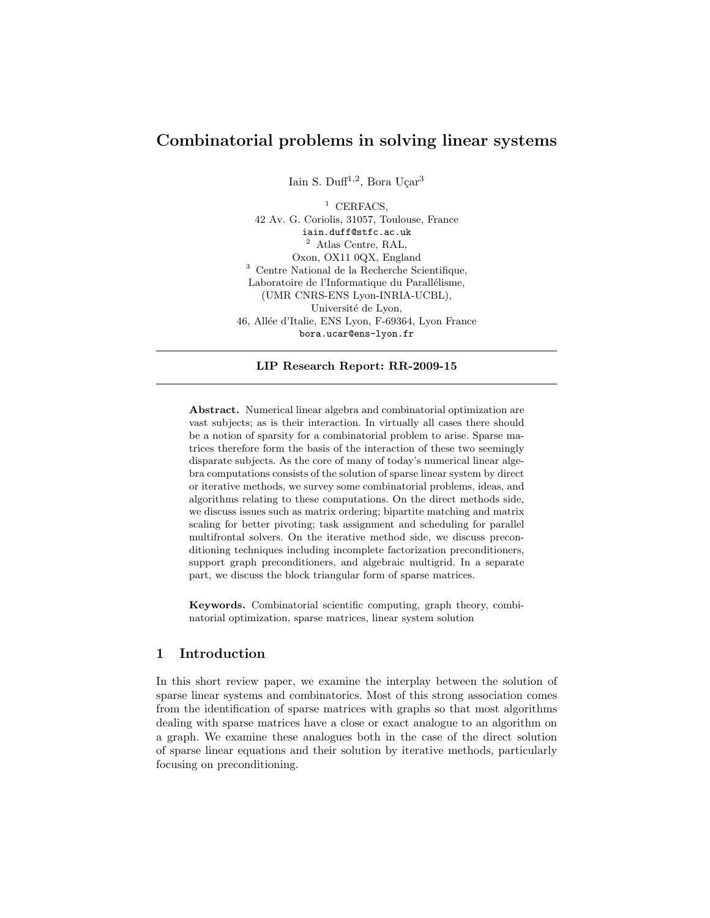### Combinatorial problems in solving linear systems

Iain S. Duff<sup>1,2</sup>, Bora Uçar<sup>3</sup>

 $1$  CERFACS, 42 Av. G. Coriolis, 31057, Toulouse, France iain.duff@stfc.ac.uk <sup>2</sup> Atlas Centre, RAL, Oxon, OX11 0QX, England <sup>3</sup> Centre National de la Recherche Scientifique, Laboratoire de l'Informatique du Parallélisme, (UMR CNRS-ENS Lyon-INRIA-UCBL), Université de Lyon, 46, Allée d'Italie, ENS Lyon, F-69364, Lyon France bora.ucar@ens-lyon.fr

#### LIP Research Report: RR-2009-15

Abstract. Numerical linear algebra and combinatorial optimization are vast subjects; as is their interaction. In virtually all cases there should be a notion of sparsity for a combinatorial problem to arise. Sparse matrices therefore form the basis of the interaction of these two seemingly disparate subjects. As the core of many of today's numerical linear algebra computations consists of the solution of sparse linear system by direct or iterative methods, we survey some combinatorial problems, ideas, and algorithms relating to these computations. On the direct methods side, we discuss issues such as matrix ordering; bipartite matching and matrix scaling for better pivoting; task assignment and scheduling for parallel multifrontal solvers. On the iterative method side, we discuss preconditioning techniques including incomplete factorization preconditioners, support graph preconditioners, and algebraic multigrid. In a separate part, we discuss the block triangular form of sparse matrices.

Keywords. Combinatorial scientific computing, graph theory, combinatorial optimization, sparse matrices, linear system solution

#### 1 Introduction

In this short review paper, we examine the interplay between the solution of sparse linear systems and combinatorics. Most of this strong association comes from the identification of sparse matrices with graphs so that most algorithms dealing with sparse matrices have a close or exact analogue to an algorithm on a graph. We examine these analogues both in the case of the direct solution of sparse linear equations and their solution by iterative methods, particularly focusing on preconditioning.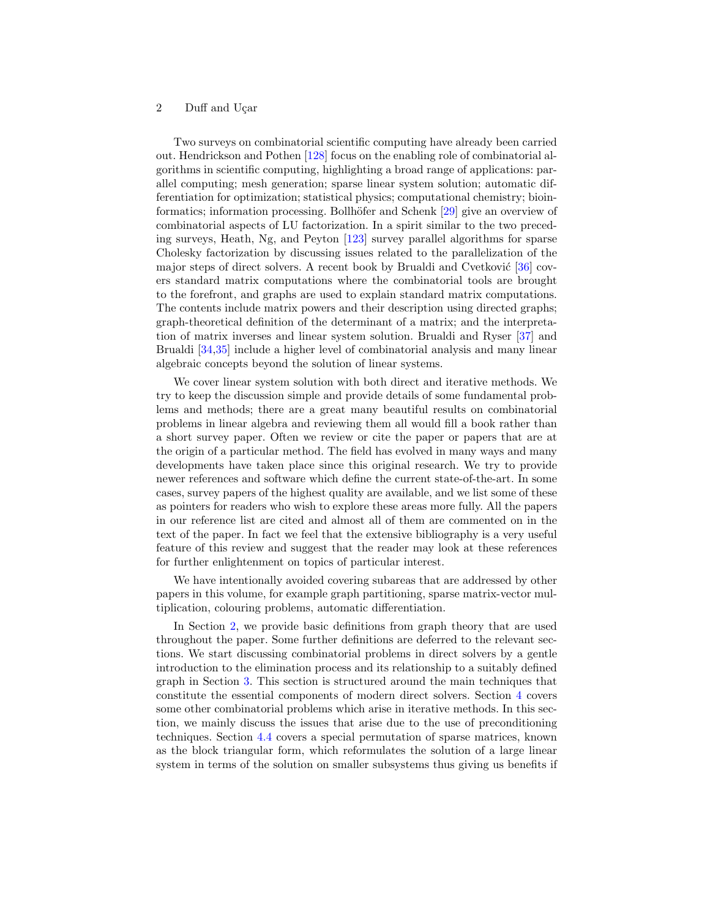Two surveys on combinatorial scientific computing have already been carried out. Hendrickson and Pothen [128] focus on the enabling role of combinatorial algorithms in scientific computing, highlighting a broad range of applications: parallel computing; mesh generation; sparse linear system solution; automatic differentiation for optimization; statistical physics; computational chemistry; bioinformatics; information processing. Bollhöfer and Schenk [29] give an overview of combinatorial aspects of LU factorization. In a spirit similar to the two preceding surveys, Heath, Ng, and Peyton [123] survey parallel algorithms for sparse Cholesky factorization by discussing issues related to the parallelization of the major steps of direct solvers. A recent book by Brualdi and Cvetković  $[36]$  covers standard matrix computations where the combinatorial tools are brought to the forefront, and graphs are used to explain standard matrix computations. The contents include matrix powers and their description using directed graphs; graph-theoretical definition of the determinant of a matrix; and the interpretation of matrix inverses and linear system solution. Brualdi and Ryser [37] and Brualdi [34,35] include a higher level of combinatorial analysis and many linear algebraic concepts beyond the solution of linear systems.

We cover linear system solution with both direct and iterative methods. We try to keep the discussion simple and provide details of some fundamental problems and methods; there are a great many beautiful results on combinatorial problems in linear algebra and reviewing them all would fill a book rather than a short survey paper. Often we review or cite the paper or papers that are at the origin of a particular method. The field has evolved in many ways and many developments have taken place since this original research. We try to provide newer references and software which define the current state-of-the-art. In some cases, survey papers of the highest quality are available, and we list some of these as pointers for readers who wish to explore these areas more fully. All the papers in our reference list are cited and almost all of them are commented on in the text of the paper. In fact we feel that the extensive bibliography is a very useful feature of this review and suggest that the reader may look at these references for further enlightenment on topics of particular interest.

We have intentionally avoided covering subareas that are addressed by other papers in this volume, for example graph partitioning, sparse matrix-vector multiplication, colouring problems, automatic differentiation.

In Section 2, we provide basic definitions from graph theory that are used throughout the paper. Some further definitions are deferred to the relevant sections. We start discussing combinatorial problems in direct solvers by a gentle introduction to the elimination process and its relationship to a suitably defined graph in Section 3. This section is structured around the main techniques that constitute the essential components of modern direct solvers. Section 4 covers some other combinatorial problems which arise in iterative methods. In this section, we mainly discuss the issues that arise due to the use of preconditioning techniques. Section 4.4 covers a special permutation of sparse matrices, known as the block triangular form, which reformulates the solution of a large linear system in terms of the solution on smaller subsystems thus giving us benefits if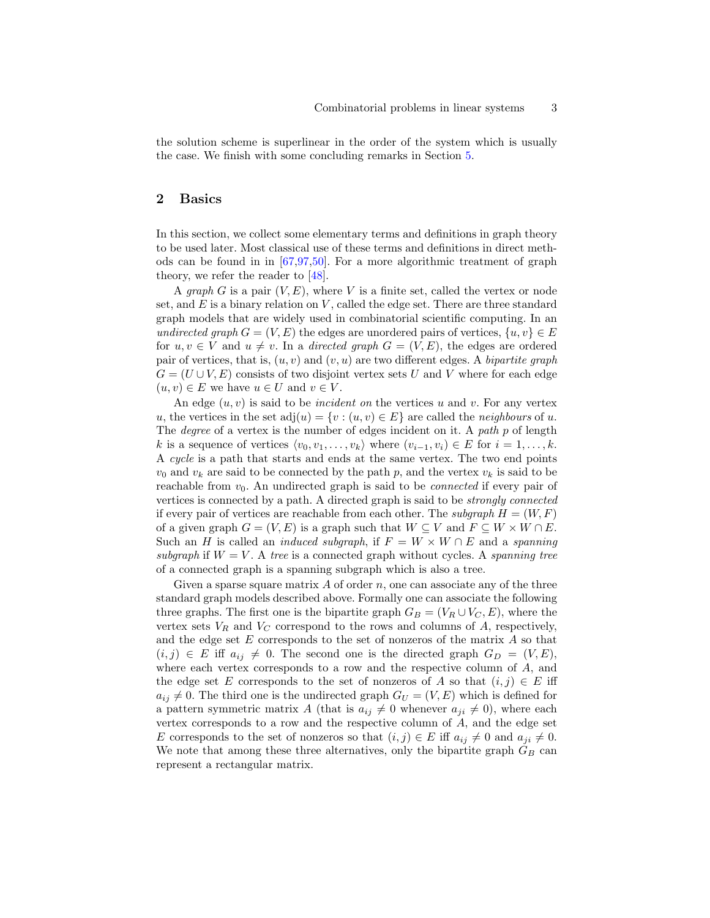the solution scheme is superlinear in the order of the system which is usually the case. We finish with some concluding remarks in Section 5.

#### 2 Basics

In this section, we collect some elementary terms and definitions in graph theory to be used later. Most classical use of these terms and definitions in direct methods can be found in in [67,97,50]. For a more algorithmic treatment of graph theory, we refer the reader to [48].

A graph G is a pair  $(V, E)$ , where V is a finite set, called the vertex or node set, and  $E$  is a binary relation on  $V$ , called the edge set. There are three standard graph models that are widely used in combinatorial scientific computing. In an undirected graph  $G = (V, E)$  the edges are unordered pairs of vertices,  $\{u, v\} \in E$ for  $u, v \in V$  and  $u \neq v$ . In a *directed graph*  $G = (V, E)$ , the edges are ordered pair of vertices, that is,  $(u, v)$  and  $(v, u)$  are two different edges. A bipartite graph  $G = (U \cup V, E)$  consists of two disjoint vertex sets U and V where for each edge  $(u, v) \in E$  we have  $u \in U$  and  $v \in V$ .

An edge  $(u, v)$  is said to be *incident on* the vertices u and v. For any vertex u, the vertices in the set  $adj(u) = \{v : (u, v) \in E\}$  are called the neighbours of u. The *degree* of a vertex is the number of edges incident on it. A path p of length k is a sequence of vertices  $\langle v_0, v_1, \ldots, v_k \rangle$  where  $(v_{i-1}, v_i) \in E$  for  $i = 1, \ldots, k$ . A cycle is a path that starts and ends at the same vertex. The two end points  $v_0$  and  $v_k$  are said to be connected by the path p, and the vertex  $v_k$  is said to be reachable from  $v_0$ . An undirected graph is said to be *connected* if every pair of vertices is connected by a path. A directed graph is said to be strongly connected if every pair of vertices are reachable from each other. The *subgraph*  $H = (W, F)$ of a given graph  $G = (V, E)$  is a graph such that  $W \subseteq V$  and  $F \subseteq W \times W \cap E$ . Such an H is called an *induced subgraph*, if  $F = W \times W \cap E$  and a *spanning* subgraph if  $W = V$ . A tree is a connected graph without cycles. A spanning tree of a connected graph is a spanning subgraph which is also a tree.

Given a sparse square matrix  $A$  of order  $n$ , one can associate any of the three standard graph models described above. Formally one can associate the following three graphs. The first one is the bipartite graph  $G_B = (V_R \cup V_C, E)$ , where the vertex sets  $V_R$  and  $V_C$  correspond to the rows and columns of A, respectively, and the edge set  $E$  corresponds to the set of nonzeros of the matrix  $A$  so that  $(i, j) \in E$  iff  $a_{ij} \neq 0$ . The second one is the directed graph  $G_D = (V, E)$ , where each vertex corresponds to a row and the respective column of A, and the edge set E corresponds to the set of nonzeros of A so that  $(i, j) \in E$  iff  $a_{ij} \neq 0$ . The third one is the undirected graph  $G_U = (V, E)$  which is defined for a pattern symmetric matrix A (that is  $a_{ij} \neq 0$  whenever  $a_{ji} \neq 0$ ), where each vertex corresponds to a row and the respective column of A, and the edge set E corresponds to the set of nonzeros so that  $(i, j) \in E$  iff  $a_{ij} \neq 0$  and  $a_{ji} \neq 0$ . We note that among these three alternatives, only the bipartite graph  $G_B$  can represent a rectangular matrix.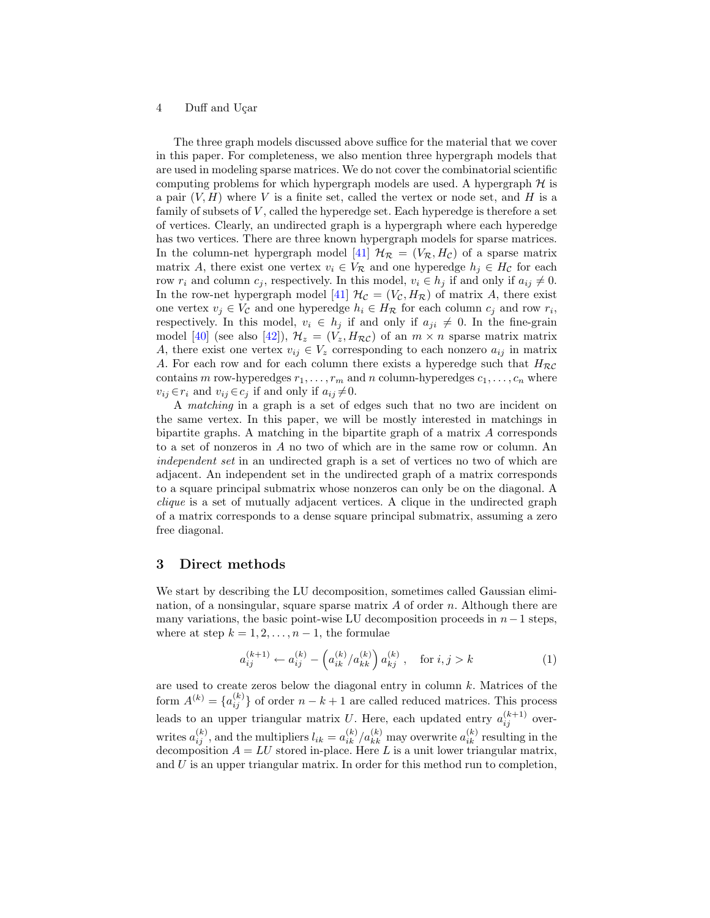The three graph models discussed above suffice for the material that we cover in this paper. For completeness, we also mention three hypergraph models that are used in modeling sparse matrices. We do not cover the combinatorial scientific computing problems for which hypergraph models are used. A hypergraph  $H$  is a pair  $(V, H)$  where V is a finite set, called the vertex or node set, and H is a family of subsets of  $V$ , called the hyperedge set. Each hyperedge is therefore a set of vertices. Clearly, an undirected graph is a hypergraph where each hyperedge has two vertices. There are three known hypergraph models for sparse matrices. In the column-net hypergraph model [41]  $H_R = (V_R, H_C)$  of a sparse matrix matrix A, there exist one vertex  $v_i \in V_{\mathcal{R}}$  and one hyperedge  $h_j \in H_{\mathcal{C}}$  for each row  $r_i$  and column  $c_j$ , respectively. In this model,  $v_i \in h_j$  if and only if  $a_{ij} \neq 0$ . In the row-net hypergraph model [41]  $\mathcal{H}_{\mathcal{C}} = (V_{\mathcal{C}}, H_{\mathcal{R}})$  of matrix A, there exist one vertex  $v_j \in V_{\mathcal{C}}$  and one hyperedge  $h_i \in H_{\mathcal{R}}$  for each column  $c_j$  and row  $r_i$ , respectively. In this model,  $v_i \in h_j$  if and only if  $a_{ji} \neq 0$ . In the fine-grain model [40] (see also [42]),  $\mathcal{H}_z = (V_z, H_{\mathcal{RC}})$  of an  $m \times n$  sparse matrix matrix A, there exist one vertex  $v_{ij} \in V_z$  corresponding to each nonzero  $a_{ij}$  in matrix A. For each row and for each column there exists a hyperedge such that  $H_{\mathcal{RC}}$ contains m row-hyperedges  $r_1, \ldots, r_m$  and n column-hyperedges  $c_1, \ldots, c_n$  where  $v_{ij} \in r_i$  and  $v_{ij} \in c_j$  if and only if  $a_{ij} \neq 0$ .

A matching in a graph is a set of edges such that no two are incident on the same vertex. In this paper, we will be mostly interested in matchings in bipartite graphs. A matching in the bipartite graph of a matrix A corresponds to a set of nonzeros in A no two of which are in the same row or column. An independent set in an undirected graph is a set of vertices no two of which are adjacent. An independent set in the undirected graph of a matrix corresponds to a square principal submatrix whose nonzeros can only be on the diagonal. A clique is a set of mutually adjacent vertices. A clique in the undirected graph of a matrix corresponds to a dense square principal submatrix, assuming a zero free diagonal.

#### 3 Direct methods

We start by describing the LU decomposition, sometimes called Gaussian elimination, of a nonsingular, square sparse matrix  $A$  of order  $n$ . Although there are many variations, the basic point-wise LU decomposition proceeds in  $n-1$  steps, where at step  $k = 1, 2, \ldots, n - 1$ , the formulae

$$
a_{ij}^{(k+1)} \leftarrow a_{ij}^{(k)} - \left(a_{ik}^{(k)}/a_{kk}^{(k)}\right)a_{kj}^{(k)}, \quad \text{for } i, j > k
$$
 (1)

are used to create zeros below the diagonal entry in column  $k$ . Matrices of the form  $A^{(k)} = \{a_{ij}^{(k)}\}\$  of order  $n - k + 1$  are called reduced matrices. This process leads to an upper triangular matrix U. Here, each updated entry  $a_{ij}^{(k+1)}$  overwrites  $a_{ij}^{(k)}$ , and the multipliers  $l_{ik} = a_{ik}^{(k)}/a_{kk}^{(k)}$  may overwrite  $a_{ik}^{(k)}$  resulting in the decomposition  $A = LU$  stored in-place. Here L is a unit lower triangular matrix, and  $U$  is an upper triangular matrix. In order for this method run to completion,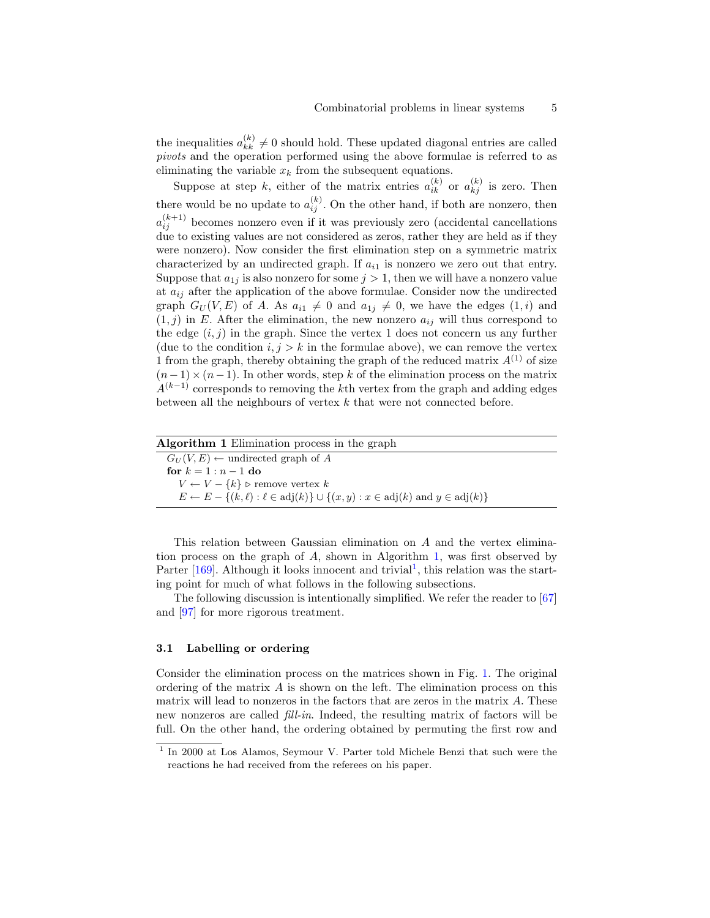the inequalities  $a_{kk}^{(k)} \neq 0$  should hold. These updated diagonal entries are called pivots and the operation performed using the above formulae is referred to as eliminating the variable  $x_k$  from the subsequent equations.

Suppose at step k, either of the matrix entries  $a_{ik}^{(k)}$  or  $a_{kj}^{(k)}$  is zero. Then there would be no update to  $a_{ij}^{(k)}$ . On the other hand, if both are nonzero, then  $a_{ij}^{(k+1)}$  becomes nonzero even if it was previously zero (accidental cancellations due to existing values are not considered as zeros, rather they are held as if they were nonzero). Now consider the first elimination step on a symmetric matrix characterized by an undirected graph. If  $a_{i1}$  is nonzero we zero out that entry. Suppose that  $a_{1j}$  is also nonzero for some  $j > 1$ , then we will have a nonzero value at  $a_{ij}$  after the application of the above formulae. Consider now the undirected graph  $G_U(V, E)$  of A. As  $a_{i1} \neq 0$  and  $a_{1j} \neq 0$ , we have the edges  $(1, i)$  and  $(1, j)$  in E. After the elimination, the new nonzero  $a_{ij}$  will thus correspond to the edge  $(i, j)$  in the graph. Since the vertex 1 does not concern us any further (due to the condition  $i, j > k$  in the formulae above), we can remove the vertex 1 from the graph, thereby obtaining the graph of the reduced matrix  $A^{(1)}$  of size  $(n-1)\times(n-1)$ . In other words, step k of the elimination process on the matrix  $A^{(k-1)}$  corresponds to removing the kth vertex from the graph and adding edges between all the neighbours of vertex  $k$  that were not connected before.

#### Algorithm 1 Elimination process in the graph

 $G_U(V, E) \leftarrow$  undirected graph of A for  $k = 1 : n - 1$  do  $V \leftarrow V - \{k\}$  > remove vertex k  $E \leftarrow E - \{(k, \ell) : \ell \in \text{adj}(k)\} \cup \{(x, y) : x \in \text{adj}(k) \text{ and } y \in \text{adj}(k)\}\$ 

This relation between Gaussian elimination on A and the vertex elimination process on the graph of A, shown in Algorithm 1, was first observed by Parter  $[169]$ . Although it looks innocent and trivial<sup>1</sup>, this relation was the starting point for much of what follows in the following subsections.

The following discussion is intentionally simplified. We refer the reader to [67] and [97] for more rigorous treatment.

#### 3.1 Labelling or ordering

Consider the elimination process on the matrices shown in Fig. 1. The original ordering of the matrix  $A$  is shown on the left. The elimination process on this matrix will lead to nonzeros in the factors that are zeros in the matrix A. These new nonzeros are called  $\frac{fill-in.}{full-in.}$  Indeed, the resulting matrix of factors will be full. On the other hand, the ordering obtained by permuting the first row and

<sup>&</sup>lt;sup>1</sup> In 2000 at Los Alamos, Seymour V. Parter told Michele Benzi that such were the reactions he had received from the referees on his paper.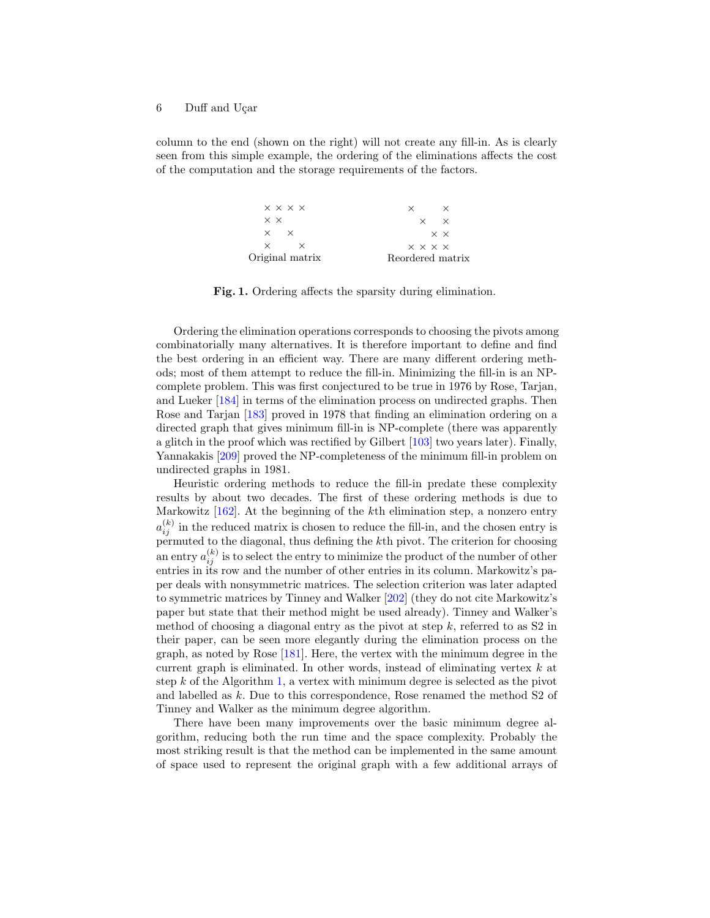column to the end (shown on the right) will not create any fill-in. As is clearly seen from this simple example, the ordering of the eliminations affects the cost of the computation and the storage requirements of the factors.

| $\times$ $\times$ $\times$ $\times$ | $\times$<br>$\times$ |
|-------------------------------------|----------------------|
| $\times$ $\times$                   | $\times$ $\times$    |
| $\times$ $\times$                   | $\times$ $\times$    |
| $\times$ $\times$                   | $X$ $X$ $X$ $X$      |
| Original matrix                     | Reordered matrix     |

Fig. 1. Ordering affects the sparsity during elimination.

Ordering the elimination operations corresponds to choosing the pivots among combinatorially many alternatives. It is therefore important to define and find the best ordering in an efficient way. There are many different ordering methods; most of them attempt to reduce the fill-in. Minimizing the fill-in is an NPcomplete problem. This was first conjectured to be true in 1976 by Rose, Tarjan, and Lueker [184] in terms of the elimination process on undirected graphs. Then Rose and Tarjan [183] proved in 1978 that finding an elimination ordering on a directed graph that gives minimum fill-in is NP-complete (there was apparently a glitch in the proof which was rectified by Gilbert [103] two years later). Finally, Yannakakis [209] proved the NP-completeness of the minimum fill-in problem on undirected graphs in 1981.

Heuristic ordering methods to reduce the fill-in predate these complexity results by about two decades. The first of these ordering methods is due to Markowitz [162]. At the beginning of the kth elimination step, a nonzero entry  $a_{ij}^{(k)}$  in the reduced matrix is chosen to reduce the fill-in, and the chosen entry is permuted to the diagonal, thus defining the kth pivot. The criterion for choosing an entry  $a_{ij}^{(k)}$  is to select the entry to minimize the product of the number of other entries in its row and the number of other entries in its column. Markowitz's paper deals with nonsymmetric matrices. The selection criterion was later adapted to symmetric matrices by Tinney and Walker [202] (they do not cite Markowitz's paper but state that their method might be used already). Tinney and Walker's method of choosing a diagonal entry as the pivot at step  $k$ , referred to as S2 in their paper, can be seen more elegantly during the elimination process on the graph, as noted by Rose [181]. Here, the vertex with the minimum degree in the current graph is eliminated. In other words, instead of eliminating vertex  $k$  at step  $k$  of the Algorithm 1, a vertex with minimum degree is selected as the pivot and labelled as k. Due to this correspondence, Rose renamed the method S2 of Tinney and Walker as the minimum degree algorithm.

There have been many improvements over the basic minimum degree algorithm, reducing both the run time and the space complexity. Probably the most striking result is that the method can be implemented in the same amount of space used to represent the original graph with a few additional arrays of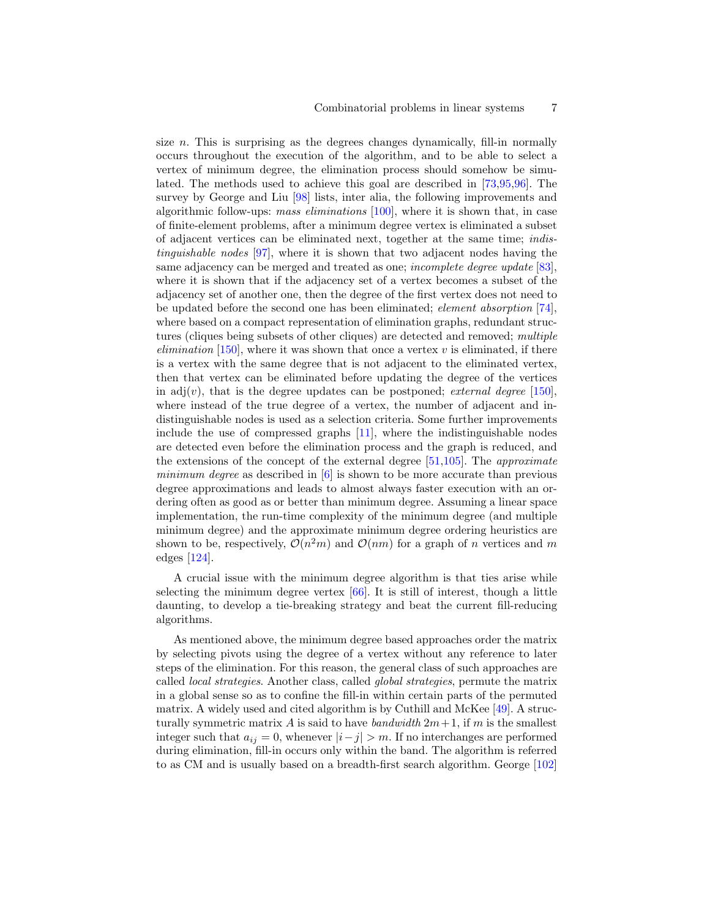size  $n$ . This is surprising as the degrees changes dynamically, fill-in normally occurs throughout the execution of the algorithm, and to be able to select a vertex of minimum degree, the elimination process should somehow be simulated. The methods used to achieve this goal are described in [73,95,96]. The survey by George and Liu [98] lists, inter alia, the following improvements and algorithmic follow-ups: mass eliminations [100], where it is shown that, in case of finite-element problems, after a minimum degree vertex is eliminated a subset of adjacent vertices can be eliminated next, together at the same time; indistinguishable nodes [97], where it is shown that two adjacent nodes having the same adjacency can be merged and treated as one; *incomplete degree update* [83], where it is shown that if the adjacency set of a vertex becomes a subset of the adjacency set of another one, then the degree of the first vertex does not need to be updated before the second one has been eliminated; element absorption [74], where based on a compact representation of elimination graphs, redundant structures (cliques being subsets of other cliques) are detected and removed; multiple elimination [150], where it was shown that once a vertex  $v$  is eliminated, if there is a vertex with the same degree that is not adjacent to the eliminated vertex, then that vertex can be eliminated before updating the degree of the vertices in adj(v), that is the degree updates can be postponed; external degree [150], where instead of the true degree of a vertex, the number of adjacent and indistinguishable nodes is used as a selection criteria. Some further improvements include the use of compressed graphs [11], where the indistinguishable nodes are detected even before the elimination process and the graph is reduced, and the extensions of the concept of the external degree  $[51,105]$ . The approximate *minimum degree* as described in  $[6]$  is shown to be more accurate than previous degree approximations and leads to almost always faster execution with an ordering often as good as or better than minimum degree. Assuming a linear space implementation, the run-time complexity of the minimum degree (and multiple minimum degree) and the approximate minimum degree ordering heuristics are shown to be, respectively,  $\mathcal{O}(n^2m)$  and  $\mathcal{O}(nm)$  for a graph of n vertices and m edges [124].

A crucial issue with the minimum degree algorithm is that ties arise while selecting the minimum degree vertex  $[66]$ . It is still of interest, though a little daunting, to develop a tie-breaking strategy and beat the current fill-reducing algorithms.

As mentioned above, the minimum degree based approaches order the matrix by selecting pivots using the degree of a vertex without any reference to later steps of the elimination. For this reason, the general class of such approaches are called local strategies. Another class, called global strategies, permute the matrix in a global sense so as to confine the fill-in within certain parts of the permuted matrix. A widely used and cited algorithm is by Cuthill and McKee [49]. A structurally symmetric matrix A is said to have bandwidth  $2m+1$ , if m is the smallest integer such that  $a_{ij} = 0$ , whenever  $|i-j| > m$ . If no interchanges are performed during elimination, fill-in occurs only within the band. The algorithm is referred to as CM and is usually based on a breadth-first search algorithm. George [102]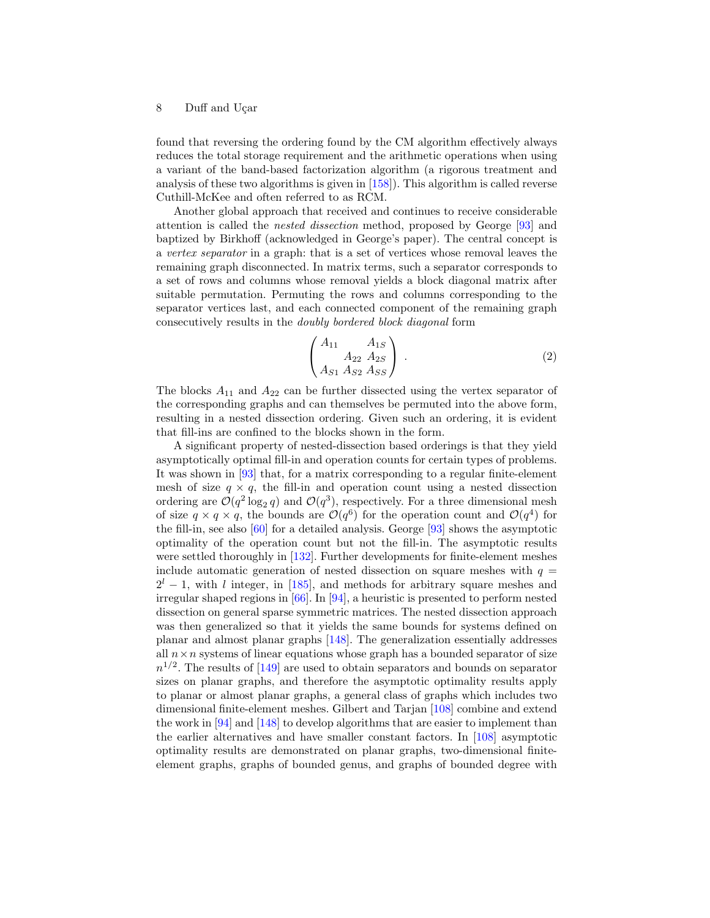found that reversing the ordering found by the CM algorithm effectively always reduces the total storage requirement and the arithmetic operations when using a variant of the band-based factorization algorithm (a rigorous treatment and analysis of these two algorithms is given in [158]). This algorithm is called reverse Cuthill-McKee and often referred to as RCM.

Another global approach that received and continues to receive considerable attention is called the nested dissection method, proposed by George [93] and baptized by Birkhoff (acknowledged in George's paper). The central concept is a vertex separator in a graph: that is a set of vertices whose removal leaves the remaining graph disconnected. In matrix terms, such a separator corresponds to a set of rows and columns whose removal yields a block diagonal matrix after suitable permutation. Permuting the rows and columns corresponding to the separator vertices last, and each connected component of the remaining graph consecutively results in the doubly bordered block diagonal form

$$
\begin{pmatrix} A_{11} & A_{1S} \\ A_{22} & A_{2S} \\ A_{S1} & A_{S2} & A_{SS} \end{pmatrix} . \tag{2}
$$

The blocks  $A_{11}$  and  $A_{22}$  can be further dissected using the vertex separator of the corresponding graphs and can themselves be permuted into the above form, resulting in a nested dissection ordering. Given such an ordering, it is evident that fill-ins are confined to the blocks shown in the form.

A significant property of nested-dissection based orderings is that they yield asymptotically optimal fill-in and operation counts for certain types of problems. It was shown in [93] that, for a matrix corresponding to a regular finite-element mesh of size  $q \times q$ , the fill-in and operation count using a nested dissection ordering are  $\mathcal{O}(q^2 \log_2 q)$  and  $\mathcal{O}(q^3)$ , respectively. For a three dimensional mesh of size  $q \times q \times q$ , the bounds are  $\mathcal{O}(q^6)$  for the operation count and  $\mathcal{O}(q^4)$  for the fill-in, see also [60] for a detailed analysis. George [93] shows the asymptotic optimality of the operation count but not the fill-in. The asymptotic results were settled thoroughly in [132]. Further developments for finite-element meshes include automatic generation of nested dissection on square meshes with  $q =$  $2^{l} - 1$ , with l integer, in [185], and methods for arbitrary square meshes and irregular shaped regions in [66]. In [94], a heuristic is presented to perform nested dissection on general sparse symmetric matrices. The nested dissection approach was then generalized so that it yields the same bounds for systems defined on planar and almost planar graphs [148]. The generalization essentially addresses all  $n \times n$  systems of linear equations whose graph has a bounded separator of size  $n^{1/2}$ . The results of [149] are used to obtain separators and bounds on separator sizes on planar graphs, and therefore the asymptotic optimality results apply to planar or almost planar graphs, a general class of graphs which includes two dimensional finite-element meshes. Gilbert and Tarjan [108] combine and extend the work in [94] and [148] to develop algorithms that are easier to implement than the earlier alternatives and have smaller constant factors. In [108] asymptotic optimality results are demonstrated on planar graphs, two-dimensional finiteelement graphs, graphs of bounded genus, and graphs of bounded degree with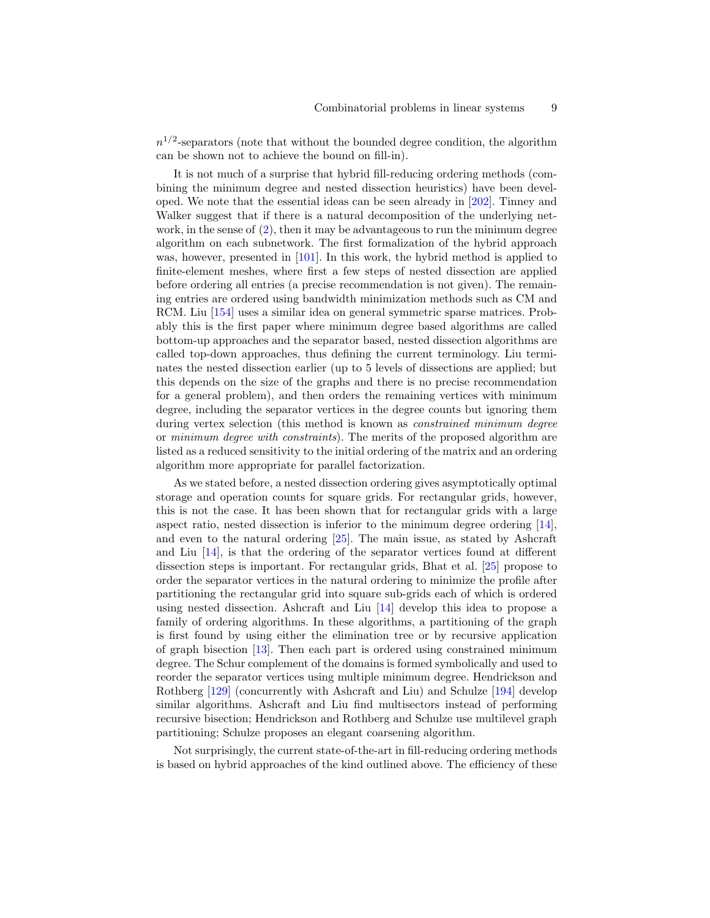$n^{1/2}$ -separators (note that without the bounded degree condition, the algorithm can be shown not to achieve the bound on fill-in).

It is not much of a surprise that hybrid fill-reducing ordering methods (combining the minimum degree and nested dissection heuristics) have been developed. We note that the essential ideas can be seen already in [202]. Tinney and Walker suggest that if there is a natural decomposition of the underlying network, in the sense of (2), then it may be advantageous to run the minimum degree algorithm on each subnetwork. The first formalization of the hybrid approach was, however, presented in [101]. In this work, the hybrid method is applied to finite-element meshes, where first a few steps of nested dissection are applied before ordering all entries (a precise recommendation is not given). The remaining entries are ordered using bandwidth minimization methods such as CM and RCM. Liu [154] uses a similar idea on general symmetric sparse matrices. Probably this is the first paper where minimum degree based algorithms are called bottom-up approaches and the separator based, nested dissection algorithms are called top-down approaches, thus defining the current terminology. Liu terminates the nested dissection earlier (up to 5 levels of dissections are applied; but this depends on the size of the graphs and there is no precise recommendation for a general problem), and then orders the remaining vertices with minimum degree, including the separator vertices in the degree counts but ignoring them during vertex selection (this method is known as *constrained minimum degree* or minimum degree with constraints). The merits of the proposed algorithm are listed as a reduced sensitivity to the initial ordering of the matrix and an ordering algorithm more appropriate for parallel factorization.

As we stated before, a nested dissection ordering gives asymptotically optimal storage and operation counts for square grids. For rectangular grids, however, this is not the case. It has been shown that for rectangular grids with a large aspect ratio, nested dissection is inferior to the minimum degree ordering [14], and even to the natural ordering [25]. The main issue, as stated by Ashcraft and Liu [14], is that the ordering of the separator vertices found at different dissection steps is important. For rectangular grids, Bhat et al. [25] propose to order the separator vertices in the natural ordering to minimize the profile after partitioning the rectangular grid into square sub-grids each of which is ordered using nested dissection. Ashcraft and Liu [14] develop this idea to propose a family of ordering algorithms. In these algorithms, a partitioning of the graph is first found by using either the elimination tree or by recursive application of graph bisection [13]. Then each part is ordered using constrained minimum degree. The Schur complement of the domains is formed symbolically and used to reorder the separator vertices using multiple minimum degree. Hendrickson and Rothberg [129] (concurrently with Ashcraft and Liu) and Schulze [194] develop similar algorithms. Ashcraft and Liu find multisectors instead of performing recursive bisection; Hendrickson and Rothberg and Schulze use multilevel graph partitioning; Schulze proposes an elegant coarsening algorithm.

Not surprisingly, the current state-of-the-art in fill-reducing ordering methods is based on hybrid approaches of the kind outlined above. The efficiency of these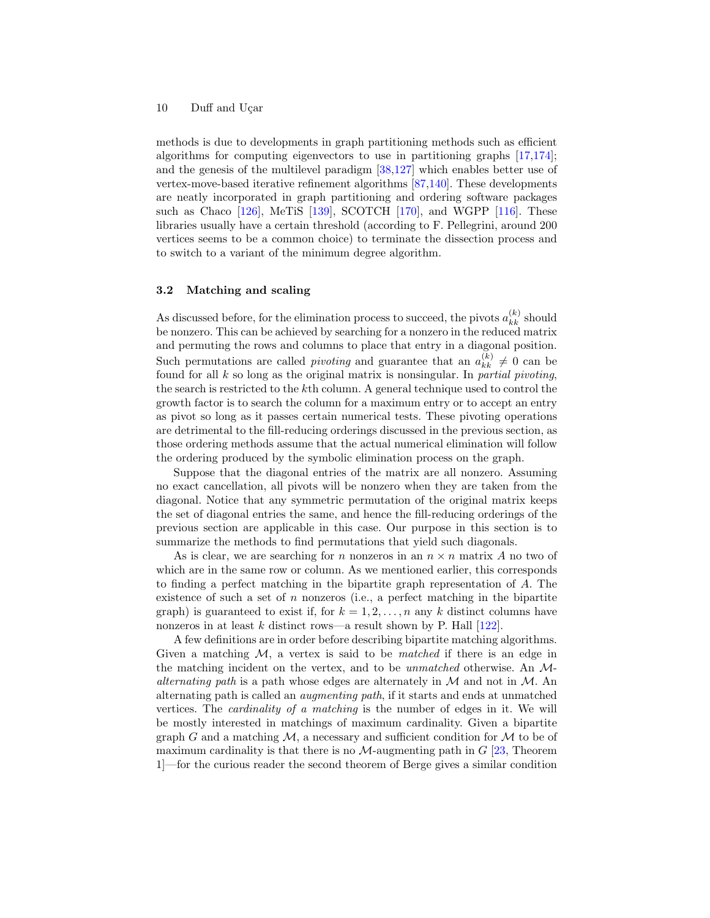methods is due to developments in graph partitioning methods such as efficient algorithms for computing eigenvectors to use in partitioning graphs [17,174]; and the genesis of the multilevel paradigm [38,127] which enables better use of vertex-move-based iterative refinement algorithms [87,140]. These developments are neatly incorporated in graph partitioning and ordering software packages such as Chaco  $[126]$ , MeTiS  $[139]$ , SCOTCH  $[170]$ , and WGPP  $[116]$ . These libraries usually have a certain threshold (according to F. Pellegrini, around 200 vertices seems to be a common choice) to terminate the dissection process and to switch to a variant of the minimum degree algorithm.

#### 3.2 Matching and scaling

As discussed before, for the elimination process to succeed, the pivots  $a_{kk}^{(k)}$  should be nonzero. This can be achieved by searching for a nonzero in the reduced matrix and permuting the rows and columns to place that entry in a diagonal position. Such permutations are called *pivoting* and guarantee that an  $a_{kk}^{(k)} \neq 0$  can be found for all  $k$  so long as the original matrix is nonsingular. In partial pivoting, the search is restricted to the kth column. A general technique used to control the growth factor is to search the column for a maximum entry or to accept an entry as pivot so long as it passes certain numerical tests. These pivoting operations are detrimental to the fill-reducing orderings discussed in the previous section, as those ordering methods assume that the actual numerical elimination will follow the ordering produced by the symbolic elimination process on the graph.

Suppose that the diagonal entries of the matrix are all nonzero. Assuming no exact cancellation, all pivots will be nonzero when they are taken from the diagonal. Notice that any symmetric permutation of the original matrix keeps the set of diagonal entries the same, and hence the fill-reducing orderings of the previous section are applicable in this case. Our purpose in this section is to summarize the methods to find permutations that yield such diagonals.

As is clear, we are searching for n nonzeros in an  $n \times n$  matrix A no two of which are in the same row or column. As we mentioned earlier, this corresponds to finding a perfect matching in the bipartite graph representation of A. The existence of such a set of  $n$  nonzeros (i.e., a perfect matching in the bipartite graph) is guaranteed to exist if, for  $k = 1, 2, ..., n$  any k distinct columns have nonzeros in at least  $k$  distinct rows—a result shown by P. Hall  $[122]$ .

A few definitions are in order before describing bipartite matching algorithms. Given a matching  $M$ , a vertex is said to be *matched* if there is an edge in the matching incident on the vertex, and to be unmatched otherwise. An Malternating path is a path whose edges are alternately in  $M$  and not in  $M$ . An alternating path is called an augmenting path, if it starts and ends at unmatched vertices. The cardinality of a matching is the number of edges in it. We will be mostly interested in matchings of maximum cardinality. Given a bipartite graph G and a matching  $\mathcal{M}$ , a necessary and sufficient condition for  $\mathcal M$  to be of maximum cardinality is that there is no  $\mathcal{M}$ -augmenting path in G [23, Theorem 1]—for the curious reader the second theorem of Berge gives a similar condition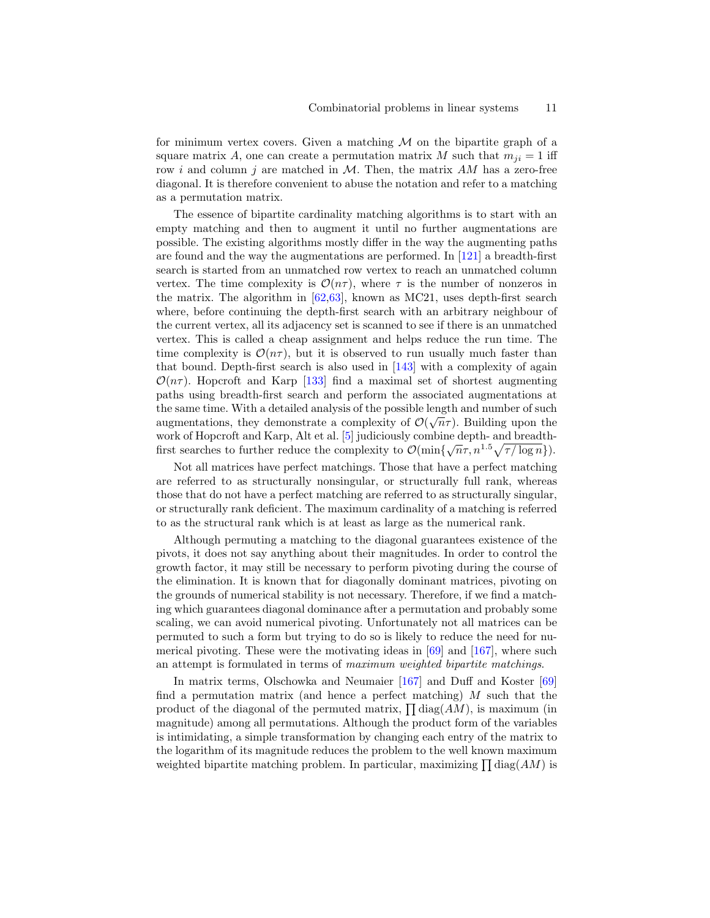for minimum vertex covers. Given a matching  $M$  on the bipartite graph of a square matrix A, one can create a permutation matrix M such that  $m_{ji} = 1$  iff row i and column j are matched in  $M$ . Then, the matrix AM has a zero-free diagonal. It is therefore convenient to abuse the notation and refer to a matching as a permutation matrix.

The essence of bipartite cardinality matching algorithms is to start with an empty matching and then to augment it until no further augmentations are possible. The existing algorithms mostly differ in the way the augmenting paths are found and the way the augmentations are performed. In [121] a breadth-first search is started from an unmatched row vertex to reach an unmatched column vertex. The time complexity is  $\mathcal{O}(n\tau)$ , where  $\tau$  is the number of nonzeros in the matrix. The algorithm in  $[62,63]$ , known as MC21, uses depth-first search where, before continuing the depth-first search with an arbitrary neighbour of the current vertex, all its adjacency set is scanned to see if there is an unmatched vertex. This is called a cheap assignment and helps reduce the run time. The time complexity is  $\mathcal{O}(n\tau)$ , but it is observed to run usually much faster than that bound. Depth-first search is also used in [143] with a complexity of again  $\mathcal{O}(n\tau)$ . Hopcroft and Karp [133] find a maximal set of shortest augmenting paths using breadth-first search and perform the associated augmentations at the same time. With a detailed analysis of the possible length and number of such augmentations, they demonstrate a complexity of  $\mathcal{O}(\sqrt{n}\tau)$ . Building upon the work of Hopcroft and Karp, Alt et al. [5] judiciously combine depth- and breadthwork of Hoperont and Narp, Alt et al. [5] Judiciously combine depth- and breadin-<br>first searches to further reduce the complexity to  $\mathcal{O}(\min{\{\sqrt{n}\tau, n^{1.5}\sqrt{\tau/\log n}}\})$ .

Not all matrices have perfect matchings. Those that have a perfect matching are referred to as structurally nonsingular, or structurally full rank, whereas those that do not have a perfect matching are referred to as structurally singular, or structurally rank deficient. The maximum cardinality of a matching is referred to as the structural rank which is at least as large as the numerical rank.

Although permuting a matching to the diagonal guarantees existence of the pivots, it does not say anything about their magnitudes. In order to control the growth factor, it may still be necessary to perform pivoting during the course of the elimination. It is known that for diagonally dominant matrices, pivoting on the grounds of numerical stability is not necessary. Therefore, if we find a matching which guarantees diagonal dominance after a permutation and probably some scaling, we can avoid numerical pivoting. Unfortunately not all matrices can be permuted to such a form but trying to do so is likely to reduce the need for numerical pivoting. These were the motivating ideas in [69] and [167], where such an attempt is formulated in terms of maximum weighted bipartite matchings.

In matrix terms, Olschowka and Neumaier [167] and Duff and Koster [69] find a permutation matrix (and hence a perfect matching)  $M$  such that the product of the diagonal of the permuted matrix,  $\prod \text{diag}(AM)$ , is maximum (in magnitude) among all permutations. Although the product form of the variables is intimidating, a simple transformation by changing each entry of the matrix to the logarithm of its magnitude reduces the problem to the well known maximum weighted bipartite matching problem. In particular, maximizing  $\prod \text{diag}(AM)$  is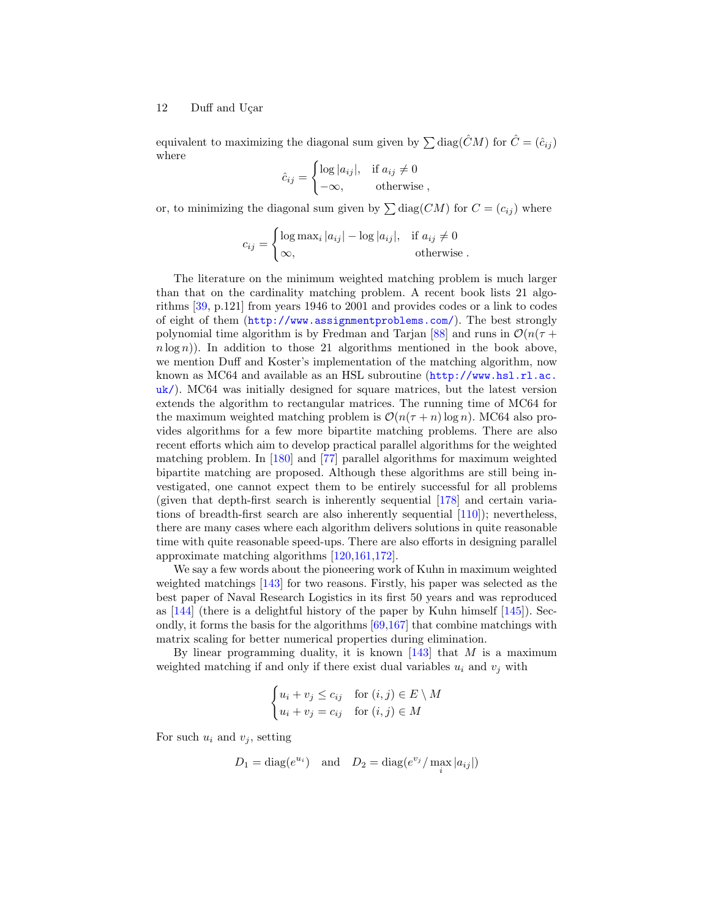equivalent to maximizing the diagonal sum given by  $\sum \text{diag}(\hat{C}M)$  for  $\hat{C} = (\hat{c}_{ij})$ where

$$
\hat{c}_{ij} = \begin{cases} \log |a_{ij}|, & \text{if } a_{ij} \neq 0\\ -\infty, & \text{otherwise} \end{cases}
$$

or, to minimizing the diagonal sum given by  $\sum \text{diag}(CM)$  for  $C = (c_{ij})$  where

$$
c_{ij} = \begin{cases} \log \max_i |a_{ij}| - \log |a_{ij}|, & \text{if } a_{ij} \neq 0\\ \infty, & \text{otherwise} \end{cases}.
$$

The literature on the minimum weighted matching problem is much larger than that on the cardinality matching problem. A recent book lists 21 algorithms [39, p.121] from years 1946 to 2001 and provides codes or a link to codes of eight of them (<http://www.assignmentproblems.com/>). The best strongly polynomial time algorithm is by Fredman and Tarjan [88] and runs in  $\mathcal{O}(n(\tau +$  $n \log n$ ). In addition to those 21 algorithms mentioned in the book above, we mention Duff and Koster's implementation of the matching algorithm, now known as MC64 and available as an HSL subroutine ([http://www.hsl.rl.ac.](http://www.hsl.rl.ac.uk/) [uk/](http://www.hsl.rl.ac.uk/)). MC64 was initially designed for square matrices, but the latest version extends the algorithm to rectangular matrices. The running time of MC64 for the maximum weighted matching problem is  $\mathcal{O}(n(\tau + n) \log n)$ . MC64 also provides algorithms for a few more bipartite matching problems. There are also recent efforts which aim to develop practical parallel algorithms for the weighted matching problem. In [180] and [77] parallel algorithms for maximum weighted bipartite matching are proposed. Although these algorithms are still being investigated, one cannot expect them to be entirely successful for all problems (given that depth-first search is inherently sequential [178] and certain variations of breadth-first search are also inherently sequential [110]); nevertheless, there are many cases where each algorithm delivers solutions in quite reasonable time with quite reasonable speed-ups. There are also efforts in designing parallel approximate matching algorithms [120,161,172].

We say a few words about the pioneering work of Kuhn in maximum weighted weighted matchings [143] for two reasons. Firstly, his paper was selected as the best paper of Naval Research Logistics in its first 50 years and was reproduced as  $[144]$  (there is a delightful history of the paper by Kuhn himself  $[145]$ ). Secondly, it forms the basis for the algorithms [69,167] that combine matchings with matrix scaling for better numerical properties during elimination.

By linear programming duality, it is known  $[143]$  that M is a maximum weighted matching if and only if there exist dual variables  $u_i$  and  $v_j$  with

$$
\begin{cases} u_i + v_j \le c_{ij} & \text{for } (i, j) \in E \setminus M \\ u_i + v_j = c_{ij} & \text{for } (i, j) \in M \end{cases}
$$

For such  $u_i$  and  $v_j$ , setting

$$
D_1 = \text{diag}(e^{u_i}) \quad \text{and} \quad D_2 = \text{diag}(e^{v_j}/\max_i |a_{ij}|)
$$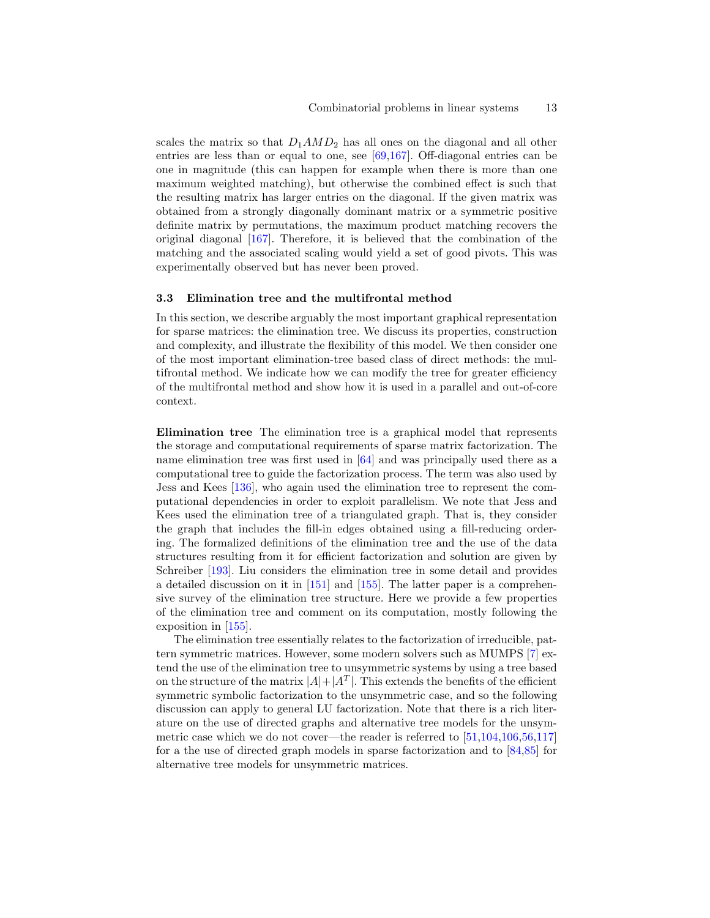scales the matrix so that  $D_1AMD_2$  has all ones on the diagonal and all other entries are less than or equal to one, see [69,167]. Off-diagonal entries can be one in magnitude (this can happen for example when there is more than one maximum weighted matching), but otherwise the combined effect is such that the resulting matrix has larger entries on the diagonal. If the given matrix was obtained from a strongly diagonally dominant matrix or a symmetric positive definite matrix by permutations, the maximum product matching recovers the original diagonal [167]. Therefore, it is believed that the combination of the matching and the associated scaling would yield a set of good pivots. This was experimentally observed but has never been proved.

#### 3.3 Elimination tree and the multifrontal method

In this section, we describe arguably the most important graphical representation for sparse matrices: the elimination tree. We discuss its properties, construction and complexity, and illustrate the flexibility of this model. We then consider one of the most important elimination-tree based class of direct methods: the multifrontal method. We indicate how we can modify the tree for greater efficiency of the multifrontal method and show how it is used in a parallel and out-of-core context.

Elimination tree The elimination tree is a graphical model that represents the storage and computational requirements of sparse matrix factorization. The name elimination tree was first used in [64] and was principally used there as a computational tree to guide the factorization process. The term was also used by Jess and Kees [136], who again used the elimination tree to represent the computational dependencies in order to exploit parallelism. We note that Jess and Kees used the elimination tree of a triangulated graph. That is, they consider the graph that includes the fill-in edges obtained using a fill-reducing ordering. The formalized definitions of the elimination tree and the use of the data structures resulting from it for efficient factorization and solution are given by Schreiber [193]. Liu considers the elimination tree in some detail and provides a detailed discussion on it in [151] and [155]. The latter paper is a comprehensive survey of the elimination tree structure. Here we provide a few properties of the elimination tree and comment on its computation, mostly following the exposition in [155].

The elimination tree essentially relates to the factorization of irreducible, pattern symmetric matrices. However, some modern solvers such as MUMPS [7] extend the use of the elimination tree to unsymmetric systems by using a tree based on the structure of the matrix  $|A|+|A^T|$ . This extends the benefits of the efficient symmetric symbolic factorization to the unsymmetric case, and so the following discussion can apply to general LU factorization. Note that there is a rich literature on the use of directed graphs and alternative tree models for the unsymmetric case which we do not cover—the reader is referred to [51,104,106,56,117] for a the use of directed graph models in sparse factorization and to [84,85] for alternative tree models for unsymmetric matrices.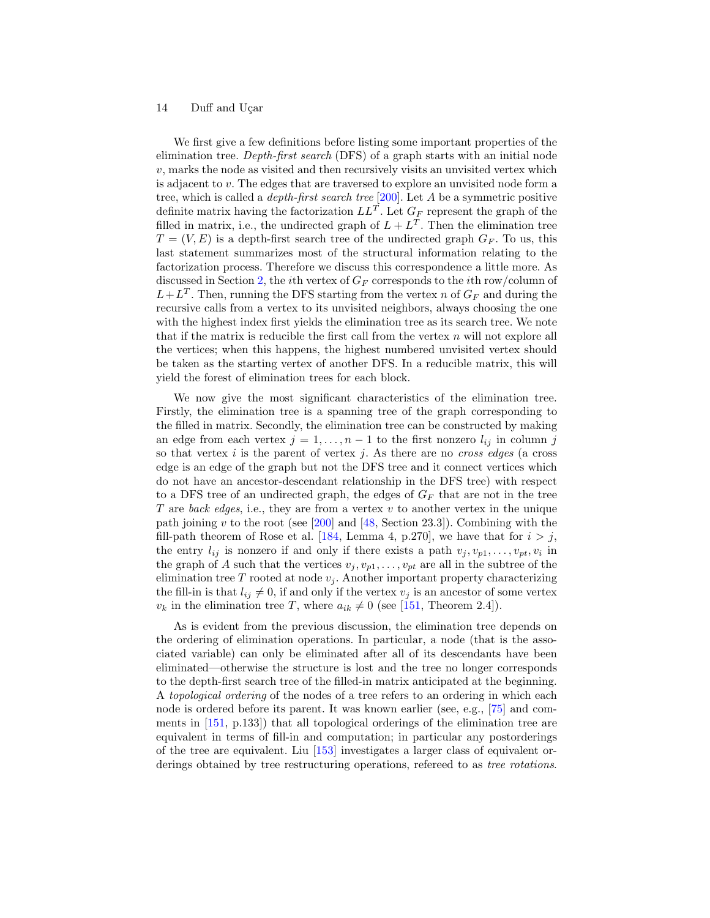We first give a few definitions before listing some important properties of the elimination tree. Depth-first search (DFS) of a graph starts with an initial node  $v$ , marks the node as visited and then recursively visits an unvisited vertex which is adjacent to v. The edges that are traversed to explore an unvisited node form a tree, which is called a *depth-first search tree* [200]. Let  $A$  be a symmetric positive definite matrix having the factorization  $LL^T$ . Let  $G_F$  represent the graph of the filled in matrix, i.e., the undirected graph of  $L + L<sup>T</sup>$ . Then the elimination tree  $T = (V, E)$  is a depth-first search tree of the undirected graph  $G_F$ . To us, this last statement summarizes most of the structural information relating to the factorization process. Therefore we discuss this correspondence a little more. As discussed in Section 2, the *i*th vertex of  $G_F$  corresponds to the *i*th row/column of  $L + L<sup>T</sup>$ . Then, running the DFS starting from the vertex n of  $G_F$  and during the recursive calls from a vertex to its unvisited neighbors, always choosing the one with the highest index first yields the elimination tree as its search tree. We note that if the matrix is reducible the first call from the vertex  $n$  will not explore all the vertices; when this happens, the highest numbered unvisited vertex should be taken as the starting vertex of another DFS. In a reducible matrix, this will yield the forest of elimination trees for each block.

We now give the most significant characteristics of the elimination tree. Firstly, the elimination tree is a spanning tree of the graph corresponding to the filled in matrix. Secondly, the elimination tree can be constructed by making an edge from each vertex  $j = 1, ..., n - 1$  to the first nonzero  $l_{ij}$  in column j so that vertex  $i$  is the parent of vertex  $j$ . As there are no *cross edges* (a cross edge is an edge of the graph but not the DFS tree and it connect vertices which do not have an ancestor-descendant relationship in the DFS tree) with respect to a DFS tree of an undirected graph, the edges of  $G_F$  that are not in the tree T are back edges, i.e., they are from a vertex  $v$  to another vertex in the unique path joining  $v$  to the root (see [200] and [48, Section 23.3]). Combining with the fill-path theorem of Rose et al. [184, Lemma 4, p.270], we have that for  $i > j$ , the entry  $l_{ij}$  is nonzero if and only if there exists a path  $v_j, v_{p1}, \ldots, v_{pt}, v_i$  in the graph of A such that the vertices  $v_j, v_{p1}, \ldots, v_{pt}$  are all in the subtree of the elimination tree  $T$  rooted at node  $v_i$ . Another important property characterizing the fill-in is that  $l_{ij} \neq 0$ , if and only if the vertex  $v_j$  is an ancestor of some vertex  $v_k$  in the elimination tree T, where  $a_{ik} \neq 0$  (see [151, Theorem 2.4]).

As is evident from the previous discussion, the elimination tree depends on the ordering of elimination operations. In particular, a node (that is the associated variable) can only be eliminated after all of its descendants have been eliminated—otherwise the structure is lost and the tree no longer corresponds to the depth-first search tree of the filled-in matrix anticipated at the beginning. A topological ordering of the nodes of a tree refers to an ordering in which each node is ordered before its parent. It was known earlier (see, e.g., [75] and comments in [151, p.133]) that all topological orderings of the elimination tree are equivalent in terms of fill-in and computation; in particular any postorderings of the tree are equivalent. Liu [153] investigates a larger class of equivalent orderings obtained by tree restructuring operations, refereed to as tree rotations.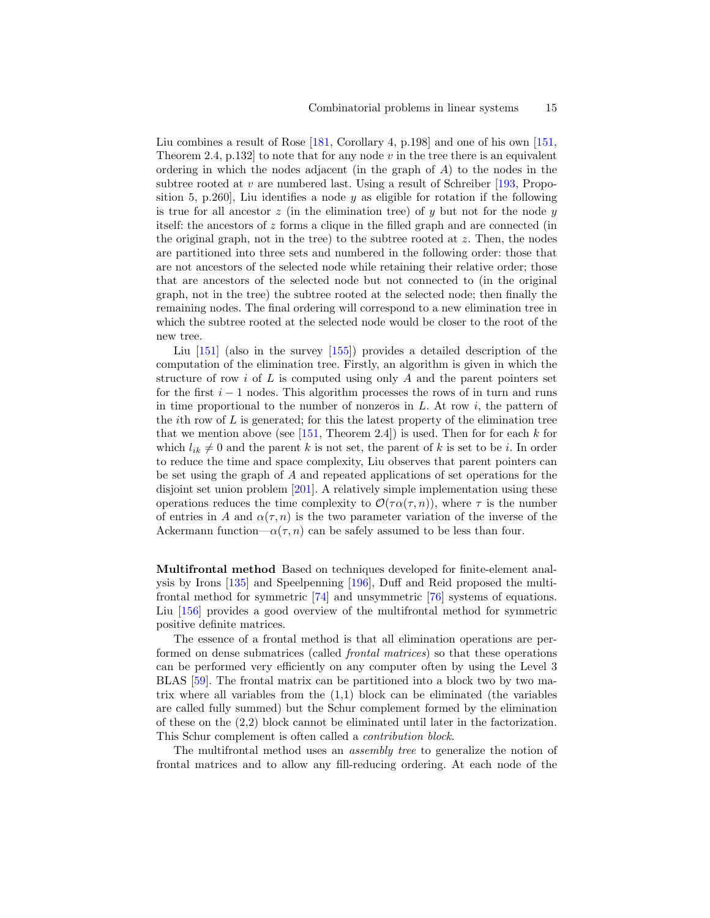Liu combines a result of Rose [181, Corollary 4, p.198] and one of his own [151, Theorem 2.4, p.132 to note that for any node  $v$  in the tree there is an equivalent ordering in which the nodes adjacent (in the graph of  $A$ ) to the nodes in the subtree rooted at  $v$  are numbered last. Using a result of Schreiber  $[193, Propo$ sition 5, p.260, Liu identifies a node  $y$  as eligible for rotation if the following is true for all ancestor  $z$  (in the elimination tree) of  $y$  but not for the node  $y$ itself: the ancestors of  $z$  forms a clique in the filled graph and are connected (in the original graph, not in the tree) to the subtree rooted at  $z$ . Then, the nodes are partitioned into three sets and numbered in the following order: those that are not ancestors of the selected node while retaining their relative order; those that are ancestors of the selected node but not connected to (in the original graph, not in the tree) the subtree rooted at the selected node; then finally the remaining nodes. The final ordering will correspond to a new elimination tree in which the subtree rooted at the selected node would be closer to the root of the new tree.

Liu [151] (also in the survey [155]) provides a detailed description of the computation of the elimination tree. Firstly, an algorithm is given in which the structure of row i of  $L$  is computed using only  $A$  and the parent pointers set for the first  $i - 1$  nodes. This algorithm processes the rows of in turn and runs in time proportional to the number of nonzeros in  $L$ . At row  $i$ , the pattern of the *i*th row of  $L$  is generated; for this the latest property of the elimination tree that we mention above (see [151, Theorem 2.4]) is used. Then for for each  $k$  for which  $l_{ik} \neq 0$  and the parent k is not set, the parent of k is set to be i. In order to reduce the time and space complexity, Liu observes that parent pointers can be set using the graph of A and repeated applications of set operations for the disjoint set union problem [201]. A relatively simple implementation using these operations reduces the time complexity to  $\mathcal{O}(\tau \alpha(\tau, n))$ , where  $\tau$  is the number of entries in A and  $\alpha(\tau, n)$  is the two parameter variation of the inverse of the Ackermann function— $\alpha(\tau, n)$  can be safely assumed to be less than four.

Multifrontal method Based on techniques developed for finite-element analysis by Irons [135] and Speelpenning [196], Duff and Reid proposed the multifrontal method for symmetric [74] and unsymmetric [76] systems of equations. Liu [156] provides a good overview of the multifrontal method for symmetric positive definite matrices.

The essence of a frontal method is that all elimination operations are performed on dense submatrices (called frontal matrices) so that these operations can be performed very efficiently on any computer often by using the Level 3 BLAS [59]. The frontal matrix can be partitioned into a block two by two matrix where all variables from the  $(1,1)$  block can be eliminated (the variables are called fully summed) but the Schur complement formed by the elimination of these on the (2,2) block cannot be eliminated until later in the factorization. This Schur complement is often called a *contribution block*.

The multifrontal method uses an assembly tree to generalize the notion of frontal matrices and to allow any fill-reducing ordering. At each node of the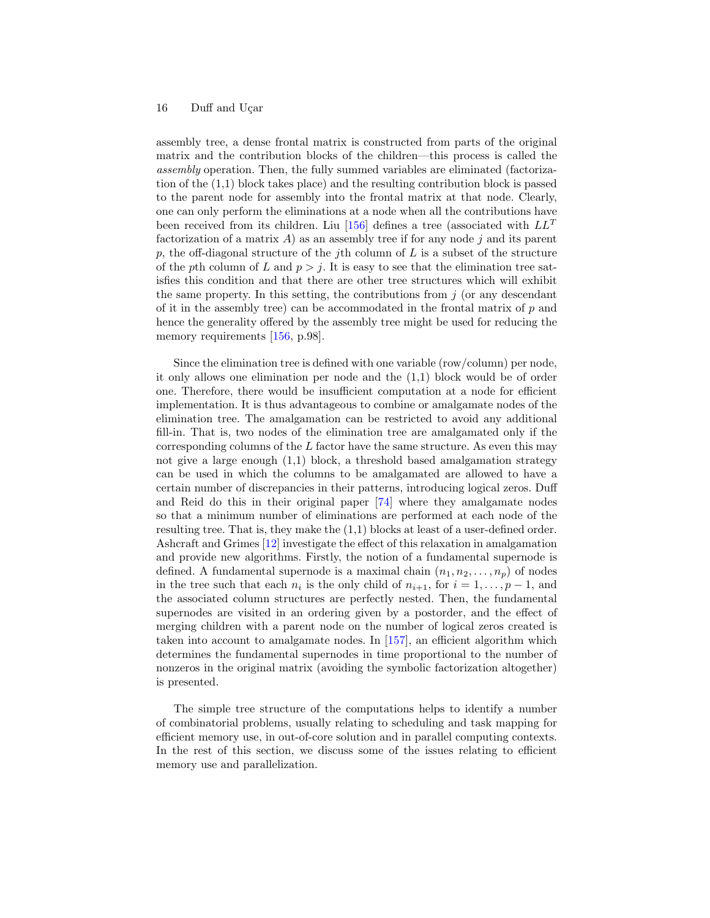assembly tree, a dense frontal matrix is constructed from parts of the original matrix and the contribution blocks of the children—this process is called the assembly operation. Then, the fully summed variables are eliminated (factorization of the (1,1) block takes place) and the resulting contribution block is passed to the parent node for assembly into the frontal matrix at that node. Clearly, one can only perform the eliminations at a node when all the contributions have been received from its children. Liu [156] defines a tree (associated with  $LL^T$ factorization of a matrix  $A$ ) as an assembly tree if for any node j and its parent p, the off-diagonal structure of the jth column of  $L$  is a subset of the structure of the pth column of L and  $p > j$ . It is easy to see that the elimination tree satisfies this condition and that there are other tree structures which will exhibit the same property. In this setting, the contributions from  $j$  (or any descendant of it in the assembly tree) can be accommodated in the frontal matrix of  $p$  and hence the generality offered by the assembly tree might be used for reducing the memory requirements [156, p.98].

Since the elimination tree is defined with one variable (row/column) per node, it only allows one elimination per node and the (1,1) block would be of order one. Therefore, there would be insufficient computation at a node for efficient implementation. It is thus advantageous to combine or amalgamate nodes of the elimination tree. The amalgamation can be restricted to avoid any additional fill-in. That is, two nodes of the elimination tree are amalgamated only if the corresponding columns of the  $L$  factor have the same structure. As even this may not give a large enough  $(1,1)$  block, a threshold based amalgamation strategy can be used in which the columns to be amalgamated are allowed to have a certain number of discrepancies in their patterns, introducing logical zeros. Duff and Reid do this in their original paper [74] where they amalgamate nodes so that a minimum number of eliminations are performed at each node of the resulting tree. That is, they make the (1,1) blocks at least of a user-defined order. Ashcraft and Grimes [12] investigate the effect of this relaxation in amalgamation and provide new algorithms. Firstly, the notion of a fundamental supernode is defined. A fundamental supernode is a maximal chain  $(n_1, n_2, \ldots, n_n)$  of nodes in the tree such that each  $n_i$  is the only child of  $n_{i+1}$ , for  $i = 1, \ldots, p-1$ , and the associated column structures are perfectly nested. Then, the fundamental supernodes are visited in an ordering given by a postorder, and the effect of merging children with a parent node on the number of logical zeros created is taken into account to amalgamate nodes. In [157], an efficient algorithm which determines the fundamental supernodes in time proportional to the number of nonzeros in the original matrix (avoiding the symbolic factorization altogether) is presented.

The simple tree structure of the computations helps to identify a number of combinatorial problems, usually relating to scheduling and task mapping for efficient memory use, in out-of-core solution and in parallel computing contexts. In the rest of this section, we discuss some of the issues relating to efficient memory use and parallelization.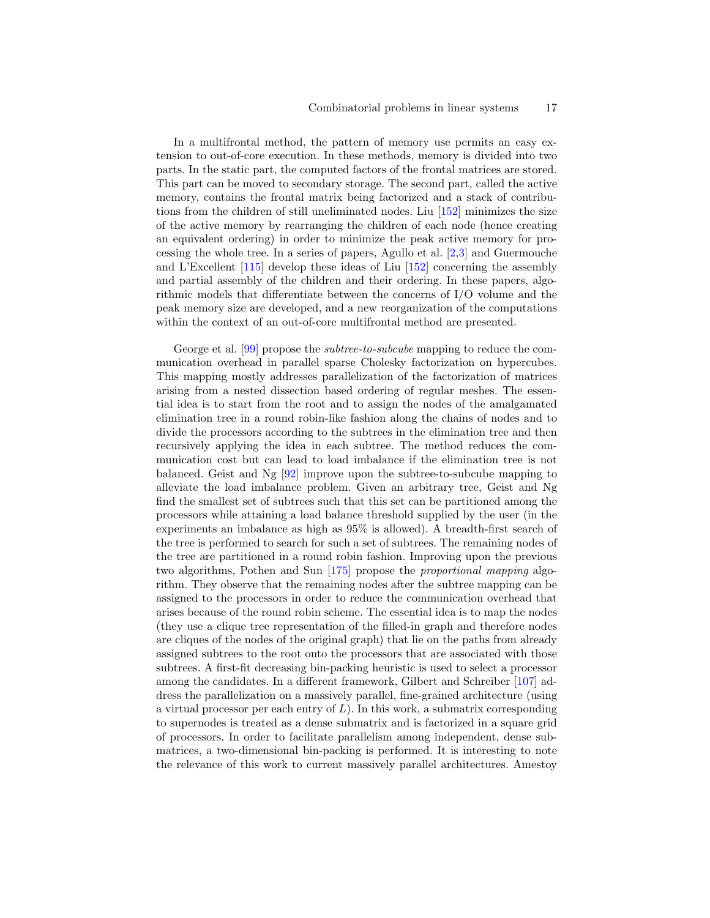In a multifrontal method, the pattern of memory use permits an easy extension to out-of-core execution. In these methods, memory is divided into two parts. In the static part, the computed factors of the frontal matrices are stored. This part can be moved to secondary storage. The second part, called the active memory, contains the frontal matrix being factorized and a stack of contributions from the children of still uneliminated nodes. Liu [152] minimizes the size of the active memory by rearranging the children of each node (hence creating an equivalent ordering) in order to minimize the peak active memory for processing the whole tree. In a series of papers, Agullo et al. [2,3] and Guermouche and L'Excellent [115] develop these ideas of Liu [152] concerning the assembly and partial assembly of the children and their ordering. In these papers, algorithmic models that differentiate between the concerns of I/O volume and the peak memory size are developed, and a new reorganization of the computations within the context of an out-of-core multifrontal method are presented.

George et al. [99] propose the *subtree-to-subcube* mapping to reduce the communication overhead in parallel sparse Cholesky factorization on hypercubes. This mapping mostly addresses parallelization of the factorization of matrices arising from a nested dissection based ordering of regular meshes. The essential idea is to start from the root and to assign the nodes of the amalgamated elimination tree in a round robin-like fashion along the chains of nodes and to divide the processors according to the subtrees in the elimination tree and then recursively applying the idea in each subtree. The method reduces the communication cost but can lead to load imbalance if the elimination tree is not balanced. Geist and Ng [92] improve upon the subtree-to-subcube mapping to alleviate the load imbalance problem. Given an arbitrary tree, Geist and Ng find the smallest set of subtrees such that this set can be partitioned among the processors while attaining a load balance threshold supplied by the user (in the experiments an imbalance as high as 95% is allowed). A breadth-first search of the tree is performed to search for such a set of subtrees. The remaining nodes of the tree are partitioned in a round robin fashion. Improving upon the previous two algorithms, Pothen and Sun [175] propose the proportional mapping algorithm. They observe that the remaining nodes after the subtree mapping can be assigned to the processors in order to reduce the communication overhead that arises because of the round robin scheme. The essential idea is to map the nodes (they use a clique tree representation of the filled-in graph and therefore nodes are cliques of the nodes of the original graph) that lie on the paths from already assigned subtrees to the root onto the processors that are associated with those subtrees. A first-fit decreasing bin-packing heuristic is used to select a processor among the candidates. In a different framework, Gilbert and Schreiber [107] address the parallelization on a massively parallel, fine-grained architecture (using a virtual processor per each entry of  $L$ ). In this work, a submatrix corresponding to supernodes is treated as a dense submatrix and is factorized in a square grid of processors. In order to facilitate parallelism among independent, dense submatrices, a two-dimensional bin-packing is performed. It is interesting to note the relevance of this work to current massively parallel architectures. Amestoy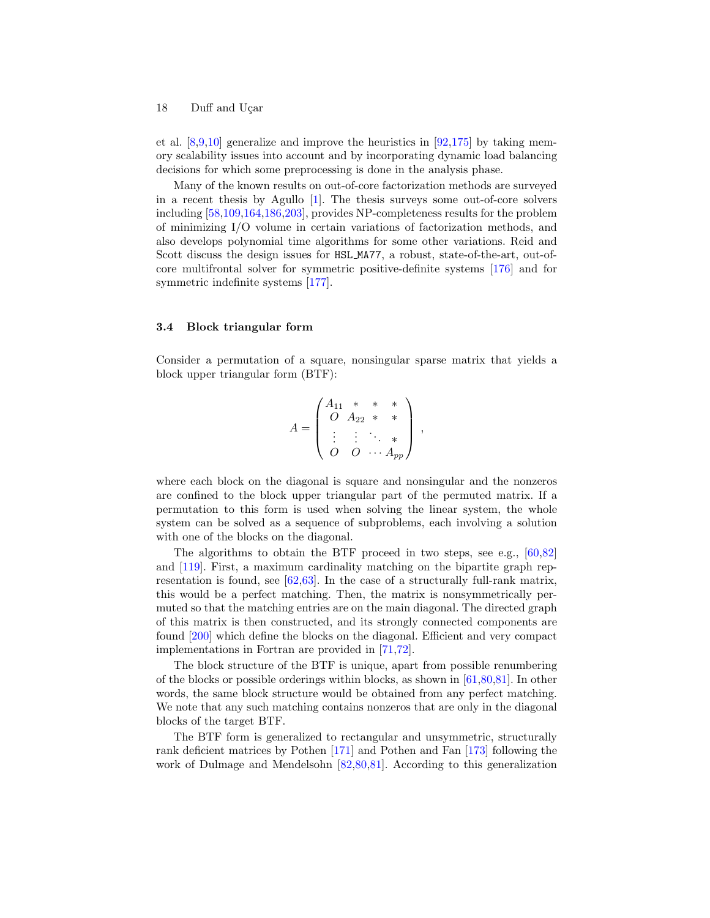et al.  $[8,9,10]$  generalize and improve the heuristics in  $[92,175]$  by taking memory scalability issues into account and by incorporating dynamic load balancing decisions for which some preprocessing is done in the analysis phase.

Many of the known results on out-of-core factorization methods are surveyed in a recent thesis by Agullo [1]. The thesis surveys some out-of-core solvers including [58,109,164,186,203], provides NP-completeness results for the problem of minimizing I/O volume in certain variations of factorization methods, and also develops polynomial time algorithms for some other variations. Reid and Scott discuss the design issues for HSL MA77, a robust, state-of-the-art, out-ofcore multifrontal solver for symmetric positive-definite systems [176] and for symmetric indefinite systems [177].

#### 3.4 Block triangular form

Consider a permutation of a square, nonsingular sparse matrix that yields a block upper triangular form (BTF):

$$
A = \begin{pmatrix} A_{11} & * & * & * \\ O & A_{22} & * & * \\ \vdots & \vdots & \ddots & * \\ O & O & \cdots & A_{pp} \end{pmatrix},
$$

where each block on the diagonal is square and nonsingular and the nonzeros are confined to the block upper triangular part of the permuted matrix. If a permutation to this form is used when solving the linear system, the whole system can be solved as a sequence of subproblems, each involving a solution with one of the blocks on the diagonal.

The algorithms to obtain the BTF proceed in two steps, see e.g., [60,82] and [119]. First, a maximum cardinality matching on the bipartite graph representation is found, see [62,63]. In the case of a structurally full-rank matrix, this would be a perfect matching. Then, the matrix is nonsymmetrically permuted so that the matching entries are on the main diagonal. The directed graph of this matrix is then constructed, and its strongly connected components are found [200] which define the blocks on the diagonal. Efficient and very compact implementations in Fortran are provided in [71,72].

The block structure of the BTF is unique, apart from possible renumbering of the blocks or possible orderings within blocks, as shown in  $[61,80,81]$ . In other words, the same block structure would be obtained from any perfect matching. We note that any such matching contains nonzeros that are only in the diagonal blocks of the target BTF.

The BTF form is generalized to rectangular and unsymmetric, structurally rank deficient matrices by Pothen [171] and Pothen and Fan [173] following the work of Dulmage and Mendelsohn [82,80,81]. According to this generalization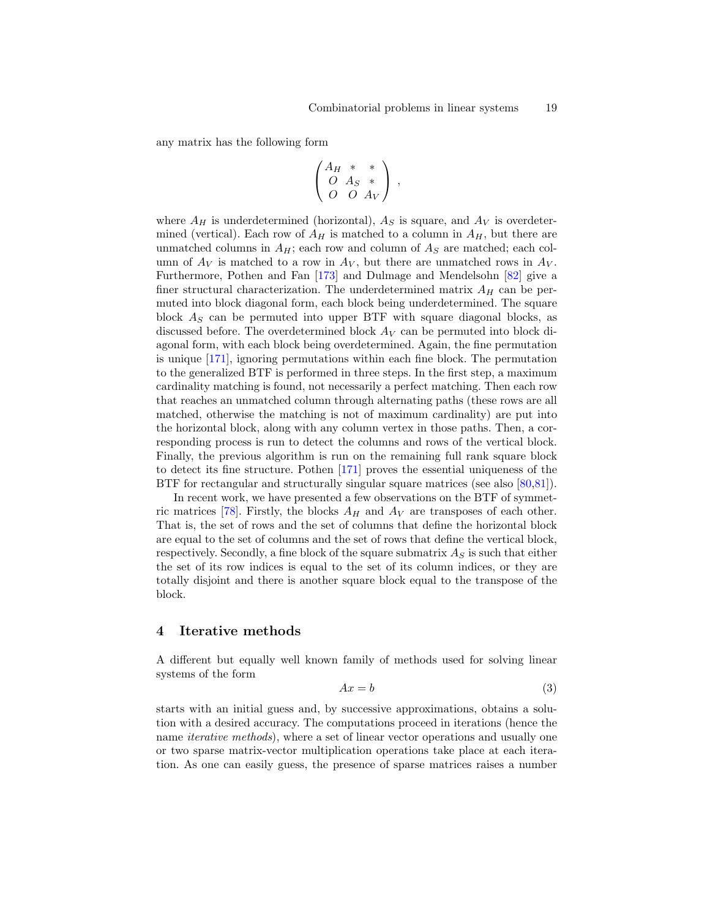any matrix has the following form

$$
\begin{pmatrix} A_H & * & * \\ O & A_S & * \\ O & O & A_V \end{pmatrix} ,
$$

where  $A_H$  is underdetermined (horizontal),  $A_S$  is square, and  $A_V$  is overdetermined (vertical). Each row of  $A_H$  is matched to a column in  $A_H$ , but there are unmatched columns in  $A_H$ ; each row and column of  $A_S$  are matched; each column of  $A_V$  is matched to a row in  $A_V$ , but there are unmatched rows in  $A_V$ . Furthermore, Pothen and Fan [173] and Dulmage and Mendelsohn [82] give a finer structural characterization. The underdetermined matrix  $A_H$  can be permuted into block diagonal form, each block being underdetermined. The square block  $A<sub>S</sub>$  can be permuted into upper BTF with square diagonal blocks, as discussed before. The overdetermined block  $A_V$  can be permuted into block diagonal form, with each block being overdetermined. Again, the fine permutation is unique [171], ignoring permutations within each fine block. The permutation to the generalized BTF is performed in three steps. In the first step, a maximum cardinality matching is found, not necessarily a perfect matching. Then each row that reaches an unmatched column through alternating paths (these rows are all matched, otherwise the matching is not of maximum cardinality) are put into the horizontal block, along with any column vertex in those paths. Then, a corresponding process is run to detect the columns and rows of the vertical block. Finally, the previous algorithm is run on the remaining full rank square block to detect its fine structure. Pothen [171] proves the essential uniqueness of the BTF for rectangular and structurally singular square matrices (see also [80,81]).

In recent work, we have presented a few observations on the BTF of symmetric matrices [78]. Firstly, the blocks  $A_H$  and  $A_V$  are transposes of each other. That is, the set of rows and the set of columns that define the horizontal block are equal to the set of columns and the set of rows that define the vertical block, respectively. Secondly, a fine block of the square submatrix  $A<sub>S</sub>$  is such that either the set of its row indices is equal to the set of its column indices, or they are totally disjoint and there is another square block equal to the transpose of the block.

#### 4 Iterative methods

A different but equally well known family of methods used for solving linear systems of the form

$$
Ax = b \tag{3}
$$

starts with an initial guess and, by successive approximations, obtains a solution with a desired accuracy. The computations proceed in iterations (hence the name *iterative methods*), where a set of linear vector operations and usually one or two sparse matrix-vector multiplication operations take place at each iteration. As one can easily guess, the presence of sparse matrices raises a number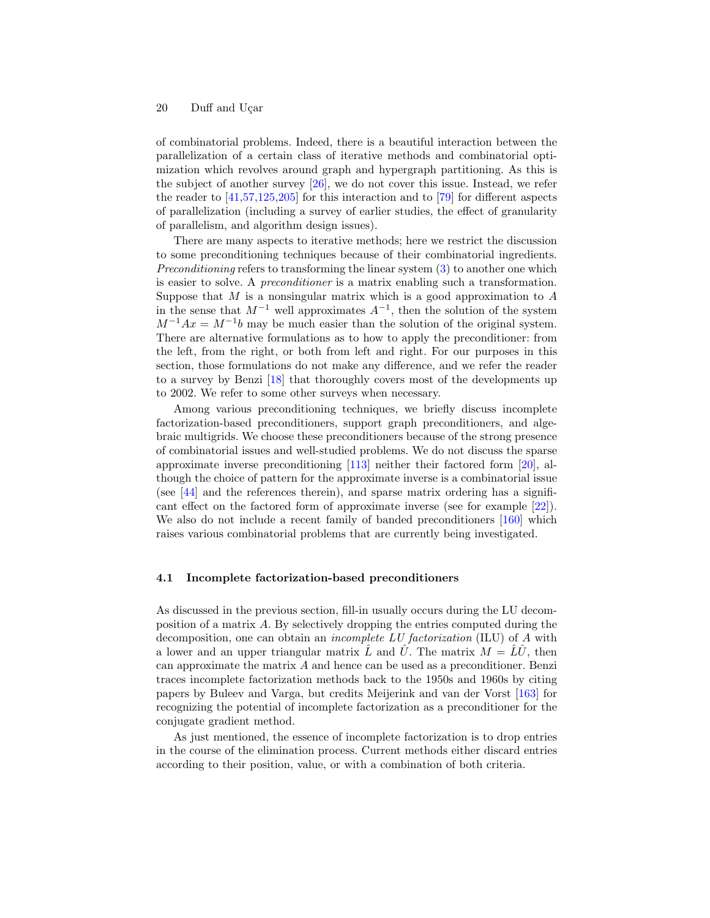of combinatorial problems. Indeed, there is a beautiful interaction between the parallelization of a certain class of iterative methods and combinatorial optimization which revolves around graph and hypergraph partitioning. As this is the subject of another survey [26], we do not cover this issue. Instead, we refer the reader to [41,57,125,205] for this interaction and to [79] for different aspects of parallelization (including a survey of earlier studies, the effect of granularity of parallelism, and algorithm design issues).

There are many aspects to iterative methods; here we restrict the discussion to some preconditioning techniques because of their combinatorial ingredients. Preconditioning refers to transforming the linear system (3) to another one which is easier to solve. A preconditioner is a matrix enabling such a transformation. Suppose that  $M$  is a nonsingular matrix which is a good approximation to  $A$ in the sense that  $M^{-1}$  well approximates  $A^{-1}$ , then the solution of the system  $M^{-1}Ax = M^{-1}b$  may be much easier than the solution of the original system. There are alternative formulations as to how to apply the preconditioner: from the left, from the right, or both from left and right. For our purposes in this section, those formulations do not make any difference, and we refer the reader to a survey by Benzi [18] that thoroughly covers most of the developments up to 2002. We refer to some other surveys when necessary.

Among various preconditioning techniques, we briefly discuss incomplete factorization-based preconditioners, support graph preconditioners, and algebraic multigrids. We choose these preconditioners because of the strong presence of combinatorial issues and well-studied problems. We do not discuss the sparse approximate inverse preconditioning [113] neither their factored form [20], although the choice of pattern for the approximate inverse is a combinatorial issue (see [44] and the references therein), and sparse matrix ordering has a significant effect on the factored form of approximate inverse (see for example [22]). We also do not include a recent family of banded preconditioners [160] which raises various combinatorial problems that are currently being investigated.

#### 4.1 Incomplete factorization-based preconditioners

As discussed in the previous section, fill-in usually occurs during the LU decomposition of a matrix A. By selectively dropping the entries computed during the decomposition, one can obtain an incomplete LU factorization (ILU) of A with a lower and an upper triangular matrix  $\hat{L}$  and  $\hat{U}$ . The matrix  $M = \hat{L}\hat{U}$ , then can approximate the matrix A and hence can be used as a preconditioner. Benzi traces incomplete factorization methods back to the 1950s and 1960s by citing papers by Buleev and Varga, but credits Meijerink and van der Vorst [163] for recognizing the potential of incomplete factorization as a preconditioner for the conjugate gradient method.

As just mentioned, the essence of incomplete factorization is to drop entries in the course of the elimination process. Current methods either discard entries according to their position, value, or with a combination of both criteria.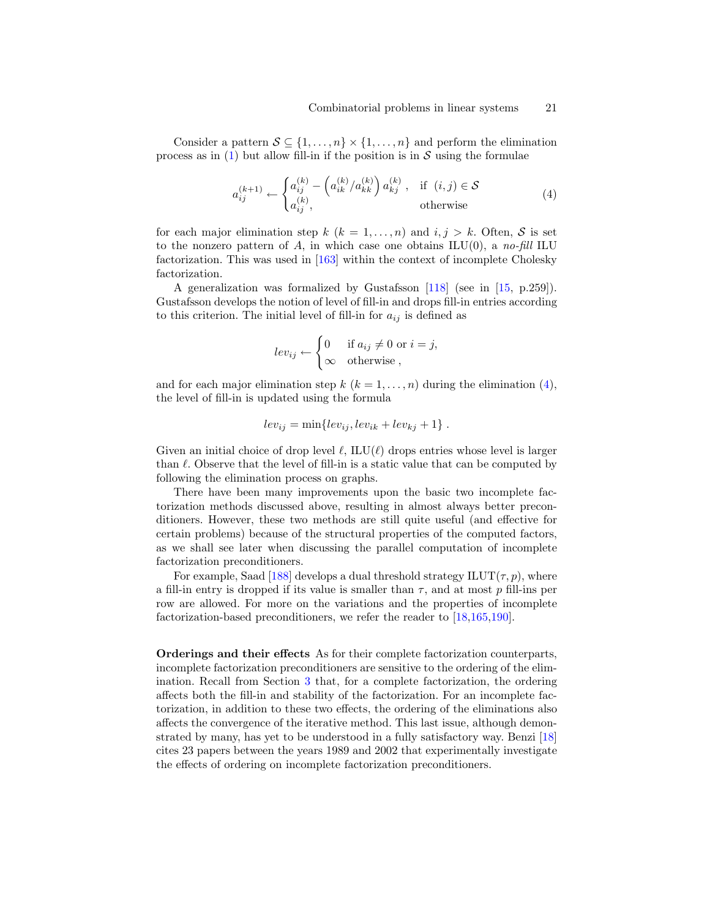Consider a pattern  $S \subseteq \{1, \ldots, n\} \times \{1, \ldots, n\}$  and perform the elimination process as in  $(1)$  but allow fill-in if the position is in S using the formulae

$$
a_{ij}^{(k+1)} \leftarrow \begin{cases} a_{ij}^{(k)} - \left( a_{ik}^{(k)}/a_{kk}^{(k)} \right) a_{kj}^{(k)}, & \text{if } (i,j) \in \mathcal{S} \\ a_{ij}^{(k)}, & \text{otherwise} \end{cases} \tag{4}
$$

for each major elimination step  $k$   $(k = 1, \ldots, n)$  and  $i, j > k$ . Often, S is set to the nonzero pattern of A, in which case one obtains  $ILU(0)$ , a no-fill ILU factorization. This was used in [163] within the context of incomplete Cholesky factorization.

A generalization was formalized by Gustafsson [118] (see in [15, p.259]). Gustafsson develops the notion of level of fill-in and drops fill-in entries according to this criterion. The initial level of fill-in for  $a_{ij}$  is defined as

$$
lev_{ij} \leftarrow \begin{cases} 0 & \text{if } a_{ij} \neq 0 \text{ or } i = j, \\ \infty & \text{otherwise} \end{cases}
$$

and for each major elimination step  $k$   $(k = 1, \ldots, n)$  during the elimination (4), the level of fill-in is updated using the formula

$$
lev_{ij} = \min\{lev_{ij}, lev_{ik} + lev_{kj} + 1\} .
$$

Given an initial choice of drop level  $\ell$ , ILU( $\ell$ ) drops entries whose level is larger than  $\ell$ . Observe that the level of fill-in is a static value that can be computed by following the elimination process on graphs.

There have been many improvements upon the basic two incomplete factorization methods discussed above, resulting in almost always better preconditioners. However, these two methods are still quite useful (and effective for certain problems) because of the structural properties of the computed factors, as we shall see later when discussing the parallel computation of incomplete factorization preconditioners.

For example, Saad [188] develops a dual threshold strategy  $\text{ILUT}(\tau, p)$ , where a fill-in entry is dropped if its value is smaller than  $\tau$ , and at most p fill-ins per row are allowed. For more on the variations and the properties of incomplete factorization-based preconditioners, we refer the reader to [18,165,190].

Orderings and their effects As for their complete factorization counterparts, incomplete factorization preconditioners are sensitive to the ordering of the elimination. Recall from Section 3 that, for a complete factorization, the ordering affects both the fill-in and stability of the factorization. For an incomplete factorization, in addition to these two effects, the ordering of the eliminations also affects the convergence of the iterative method. This last issue, although demonstrated by many, has yet to be understood in a fully satisfactory way. Benzi [18] cites 23 papers between the years 1989 and 2002 that experimentally investigate the effects of ordering on incomplete factorization preconditioners.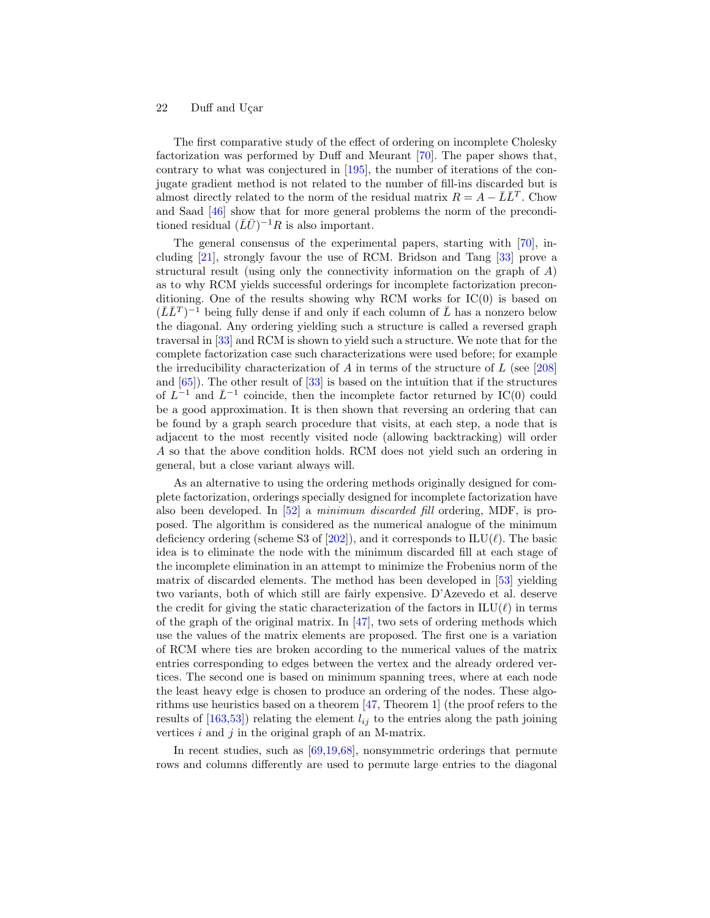The first comparative study of the effect of ordering on incomplete Cholesky factorization was performed by Duff and Meurant [70]. The paper shows that, contrary to what was conjectured in [195], the number of iterations of the conjugate gradient method is not related to the number of fill-ins discarded but is almost directly related to the norm of the residual matrix  $R = A - \overline{L}\overline{L}^T$ . Chow and Saad [46] show that for more general problems the norm of the preconditioned residual  $(\bar{L}\bar{U})^{-1}R$  is also important.

The general consensus of the experimental papers, starting with [70], including [21], strongly favour the use of RCM. Bridson and Tang [33] prove a structural result (using only the connectivity information on the graph of  $A$ ) as to why RCM yields successful orderings for incomplete factorization preconditioning. One of the results showing why RCM works for  $IC(0)$  is based on  $(\bar{L}\bar{L}^T)^{-1}$  being fully dense if and only if each column of  $\bar{L}$  has a nonzero below the diagonal. Any ordering yielding such a structure is called a reversed graph traversal in [33] and RCM is shown to yield such a structure. We note that for the complete factorization case such characterizations were used before; for example the irreducibility characterization of  $A$  in terms of the structure of  $L$  (see [208] and [65]). The other result of [33] is based on the intuition that if the structures of  $L^{-1}$  and  $\bar{L}^{-1}$  coincide, then the incomplete factor returned by IC(0) could be a good approximation. It is then shown that reversing an ordering that can be found by a graph search procedure that visits, at each step, a node that is adjacent to the most recently visited node (allowing backtracking) will order A so that the above condition holds. RCM does not yield such an ordering in general, but a close variant always will.

As an alternative to using the ordering methods originally designed for complete factorization, orderings specially designed for incomplete factorization have also been developed. In [52] a minimum discarded fill ordering, MDF, is proposed. The algorithm is considered as the numerical analogue of the minimum deficiency ordering (scheme S3 of  $[202]$ ), and it corresponds to  $\text{ILU}(\ell)$ . The basic idea is to eliminate the node with the minimum discarded fill at each stage of the incomplete elimination in an attempt to minimize the Frobenius norm of the matrix of discarded elements. The method has been developed in [53] yielding two variants, both of which still are fairly expensive. D'Azevedo et al. deserve the credit for giving the static characterization of the factors in  $ILU(\ell)$  in terms of the graph of the original matrix. In  $[47]$ , two sets of ordering methods which use the values of the matrix elements are proposed. The first one is a variation of RCM where ties are broken according to the numerical values of the matrix entries corresponding to edges between the vertex and the already ordered vertices. The second one is based on minimum spanning trees, where at each node the least heavy edge is chosen to produce an ordering of the nodes. These algorithms use heuristics based on a theorem [47, Theorem 1] (the proof refers to the results of  $[163,53]$ ) relating the element  $l_{ij}$  to the entries along the path joining vertices  $i$  and  $j$  in the original graph of an M-matrix.

In recent studies, such as  $[69,19,68]$ , nonsymmetric orderings that permute rows and columns differently are used to permute large entries to the diagonal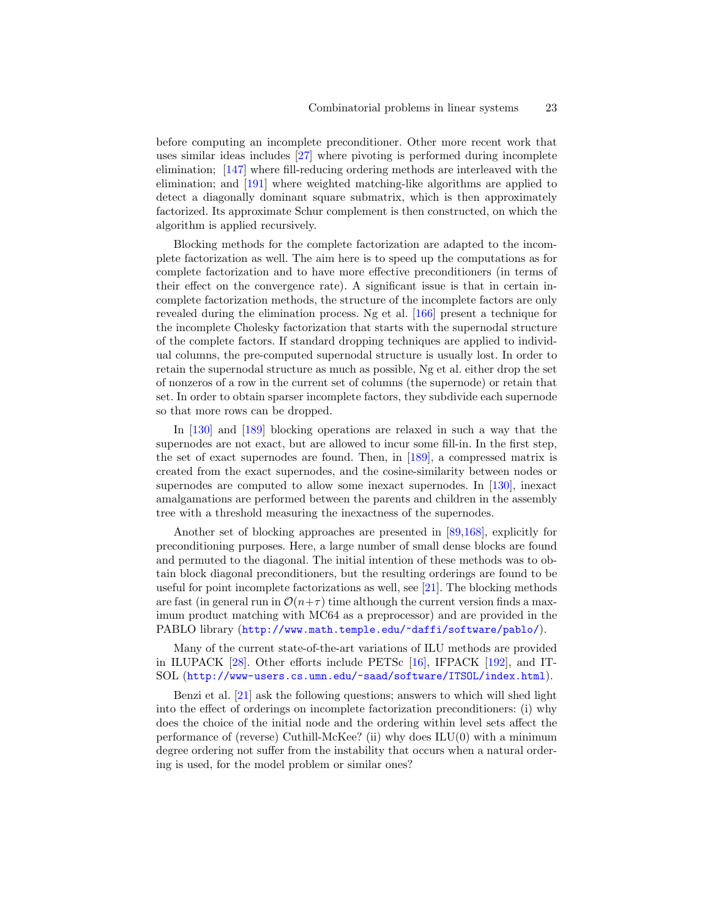before computing an incomplete preconditioner. Other more recent work that uses similar ideas includes [27] where pivoting is performed during incomplete elimination; [147] where fill-reducing ordering methods are interleaved with the elimination; and [191] where weighted matching-like algorithms are applied to detect a diagonally dominant square submatrix, which is then approximately factorized. Its approximate Schur complement is then constructed, on which the algorithm is applied recursively.

Blocking methods for the complete factorization are adapted to the incomplete factorization as well. The aim here is to speed up the computations as for complete factorization and to have more effective preconditioners (in terms of their effect on the convergence rate). A significant issue is that in certain incomplete factorization methods, the structure of the incomplete factors are only revealed during the elimination process. Ng et al. [166] present a technique for the incomplete Cholesky factorization that starts with the supernodal structure of the complete factors. If standard dropping techniques are applied to individual columns, the pre-computed supernodal structure is usually lost. In order to retain the supernodal structure as much as possible, Ng et al. either drop the set of nonzeros of a row in the current set of columns (the supernode) or retain that set. In order to obtain sparser incomplete factors, they subdivide each supernode so that more rows can be dropped.

In [130] and [189] blocking operations are relaxed in such a way that the supernodes are not exact, but are allowed to incur some fill-in. In the first step, the set of exact supernodes are found. Then, in [189], a compressed matrix is created from the exact supernodes, and the cosine-similarity between nodes or supernodes are computed to allow some inexact supernodes. In [130], inexact amalgamations are performed between the parents and children in the assembly tree with a threshold measuring the inexactness of the supernodes.

Another set of blocking approaches are presented in [89,168], explicitly for preconditioning purposes. Here, a large number of small dense blocks are found and permuted to the diagonal. The initial intention of these methods was to obtain block diagonal preconditioners, but the resulting orderings are found to be useful for point incomplete factorizations as well, see [21]. The blocking methods are fast (in general run in  $\mathcal{O}(n+\tau)$ ) time although the current version finds a maximum product matching with MC64 as a preprocessor) and are provided in the PABLO library (<http://www.math.temple.edu/~daffi/software/pablo/>).

Many of the current state-of-the-art variations of ILU methods are provided in ILUPACK [28]. Other efforts include PETSc [16], IFPACK [192], and IT-SOL (<http://www-users.cs.umn.edu/~saad/software/ITSOL/index.html>).

Benzi et al. [21] ask the following questions; answers to which will shed light into the effect of orderings on incomplete factorization preconditioners: (i) why does the choice of the initial node and the ordering within level sets affect the performance of (reverse) Cuthill-McKee? (ii) why does  $ILU(0)$  with a minimum degree ordering not suffer from the instability that occurs when a natural ordering is used, for the model problem or similar ones?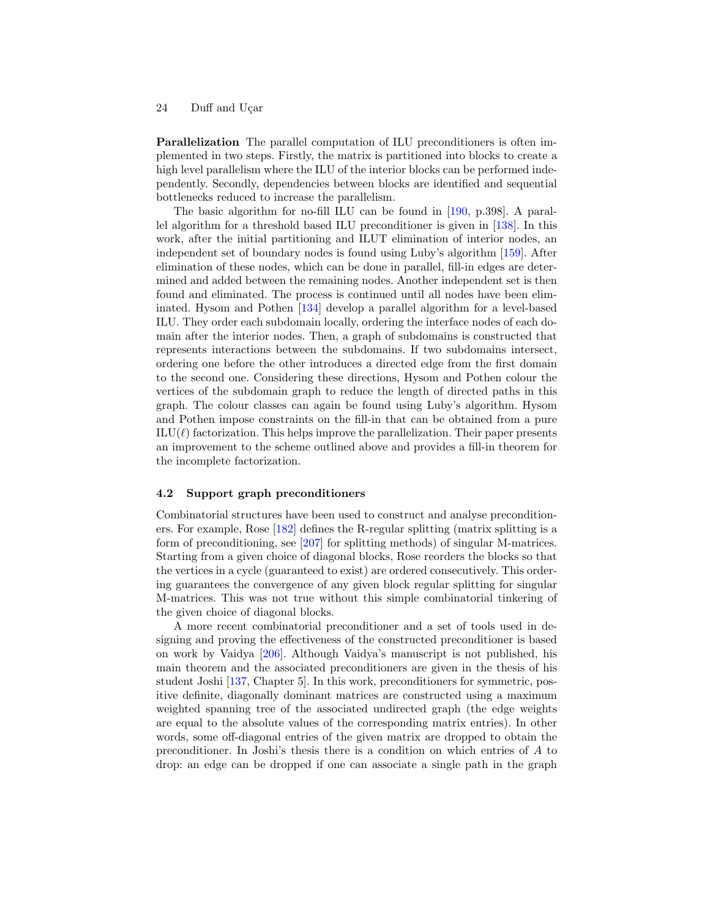Parallelization The parallel computation of ILU preconditioners is often implemented in two steps. Firstly, the matrix is partitioned into blocks to create a high level parallelism where the ILU of the interior blocks can be performed independently. Secondly, dependencies between blocks are identified and sequential bottlenecks reduced to increase the parallelism.

The basic algorithm for no-fill ILU can be found in [190, p.398]. A parallel algorithm for a threshold based ILU preconditioner is given in [138]. In this work, after the initial partitioning and ILUT elimination of interior nodes, an independent set of boundary nodes is found using Luby's algorithm [159]. After elimination of these nodes, which can be done in parallel, fill-in edges are determined and added between the remaining nodes. Another independent set is then found and eliminated. The process is continued until all nodes have been eliminated. Hysom and Pothen [134] develop a parallel algorithm for a level-based ILU. They order each subdomain locally, ordering the interface nodes of each domain after the interior nodes. Then, a graph of subdomains is constructed that represents interactions between the subdomains. If two subdomains intersect, ordering one before the other introduces a directed edge from the first domain to the second one. Considering these directions, Hysom and Pothen colour the vertices of the subdomain graph to reduce the length of directed paths in this graph. The colour classes can again be found using Luby's algorithm. Hysom and Pothen impose constraints on the fill-in that can be obtained from a pure  $\text{ILU}(\ell)$  factorization. This helps improve the parallelization. Their paper presents an improvement to the scheme outlined above and provides a fill-in theorem for the incomplete factorization.

#### 4.2 Support graph preconditioners

Combinatorial structures have been used to construct and analyse preconditioners. For example, Rose [182] defines the R-regular splitting (matrix splitting is a form of preconditioning, see [207] for splitting methods) of singular M-matrices. Starting from a given choice of diagonal blocks, Rose reorders the blocks so that the vertices in a cycle (guaranteed to exist) are ordered consecutively. This ordering guarantees the convergence of any given block regular splitting for singular M-matrices. This was not true without this simple combinatorial tinkering of the given choice of diagonal blocks.

A more recent combinatorial preconditioner and a set of tools used in designing and proving the effectiveness of the constructed preconditioner is based on work by Vaidya [206]. Although Vaidya's manuscript is not published, his main theorem and the associated preconditioners are given in the thesis of his student Joshi [137, Chapter 5]. In this work, preconditioners for symmetric, positive definite, diagonally dominant matrices are constructed using a maximum weighted spanning tree of the associated undirected graph (the edge weights are equal to the absolute values of the corresponding matrix entries). In other words, some off-diagonal entries of the given matrix are dropped to obtain the preconditioner. In Joshi's thesis there is a condition on which entries of A to drop: an edge can be dropped if one can associate a single path in the graph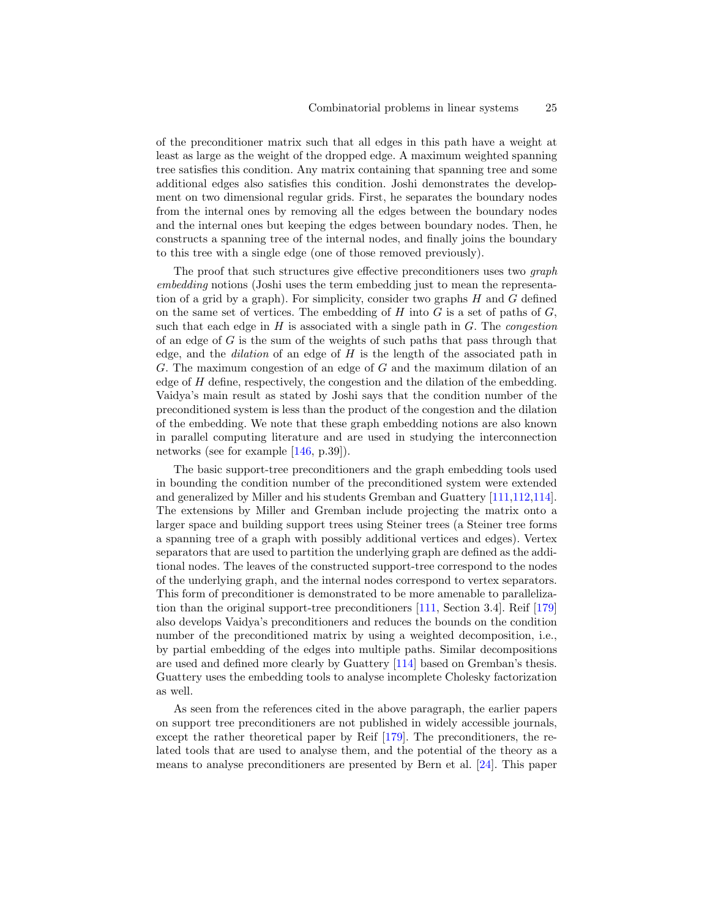of the preconditioner matrix such that all edges in this path have a weight at least as large as the weight of the dropped edge. A maximum weighted spanning tree satisfies this condition. Any matrix containing that spanning tree and some additional edges also satisfies this condition. Joshi demonstrates the development on two dimensional regular grids. First, he separates the boundary nodes from the internal ones by removing all the edges between the boundary nodes and the internal ones but keeping the edges between boundary nodes. Then, he constructs a spanning tree of the internal nodes, and finally joins the boundary to this tree with a single edge (one of those removed previously).

The proof that such structures give effective preconditioners uses two graph embedding notions (Joshi uses the term embedding just to mean the representation of a grid by a graph). For simplicity, consider two graphs  $H$  and  $G$  defined on the same set of vertices. The embedding of  $H$  into  $G$  is a set of paths of  $G$ , such that each edge in  $H$  is associated with a single path in  $G$ . The *congestion* of an edge of  $G$  is the sum of the weights of such paths that pass through that edge, and the *dilation* of an edge of  $H$  is the length of the associated path in G. The maximum congestion of an edge of G and the maximum dilation of an edge of  $H$  define, respectively, the congestion and the dilation of the embedding. Vaidya's main result as stated by Joshi says that the condition number of the preconditioned system is less than the product of the congestion and the dilation of the embedding. We note that these graph embedding notions are also known in parallel computing literature and are used in studying the interconnection networks (see for example [146, p.39]).

The basic support-tree preconditioners and the graph embedding tools used in bounding the condition number of the preconditioned system were extended and generalized by Miller and his students Gremban and Guattery [111,112,114]. The extensions by Miller and Gremban include projecting the matrix onto a larger space and building support trees using Steiner trees (a Steiner tree forms a spanning tree of a graph with possibly additional vertices and edges). Vertex separators that are used to partition the underlying graph are defined as the additional nodes. The leaves of the constructed support-tree correspond to the nodes of the underlying graph, and the internal nodes correspond to vertex separators. This form of preconditioner is demonstrated to be more amenable to parallelization than the original support-tree preconditioners [111, Section 3.4]. Reif [179] also develops Vaidya's preconditioners and reduces the bounds on the condition number of the preconditioned matrix by using a weighted decomposition, i.e., by partial embedding of the edges into multiple paths. Similar decompositions are used and defined more clearly by Guattery [114] based on Gremban's thesis. Guattery uses the embedding tools to analyse incomplete Cholesky factorization as well.

As seen from the references cited in the above paragraph, the earlier papers on support tree preconditioners are not published in widely accessible journals, except the rather theoretical paper by Reif [179]. The preconditioners, the related tools that are used to analyse them, and the potential of the theory as a means to analyse preconditioners are presented by Bern et al. [24]. This paper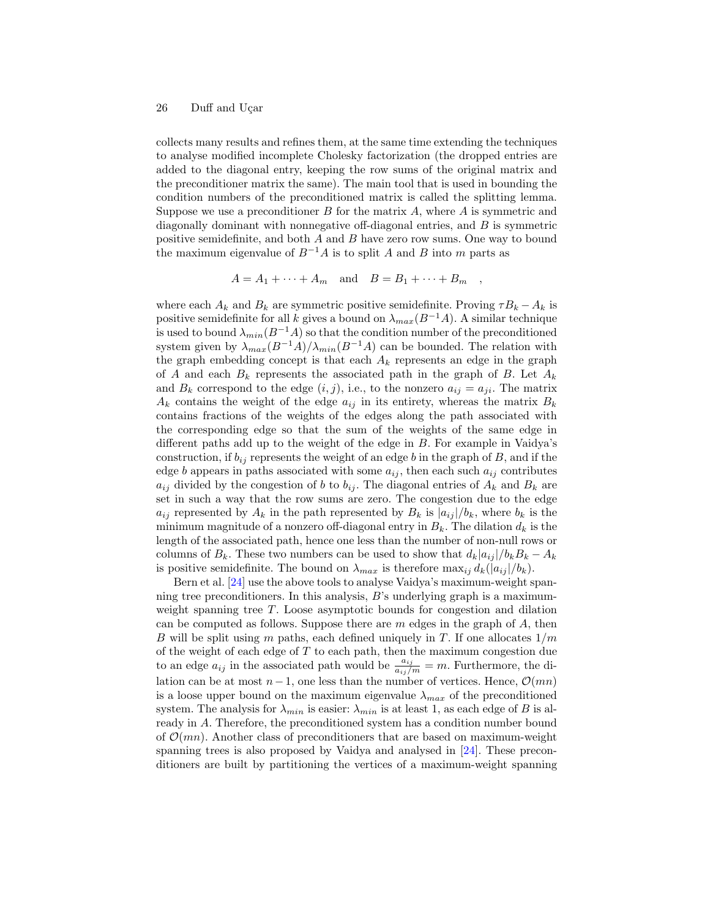collects many results and refines them, at the same time extending the techniques to analyse modified incomplete Cholesky factorization (the dropped entries are added to the diagonal entry, keeping the row sums of the original matrix and the preconditioner matrix the same). The main tool that is used in bounding the condition numbers of the preconditioned matrix is called the splitting lemma. Suppose we use a preconditioner  $B$  for the matrix  $A$ , where  $A$  is symmetric and diagonally dominant with nonnegative off-diagonal entries, and B is symmetric positive semidefinite, and both  $A$  and  $B$  have zero row sums. One way to bound the maximum eigenvalue of  $B^{-1}A$  is to split A and B into m parts as

$$
A = A_1 + \dots + A_m \quad \text{and} \quad B = B_1 + \dots + B_m \quad ,
$$

where each  $A_k$  and  $B_k$  are symmetric positive semidefinite. Proving  $\tau B_k - A_k$  is positive semidefinite for all k gives a bound on  $\lambda_{max}(B^{-1}A)$ . A similar technique is used to bound  $\lambda_{min}(B^{-1}A)$  so that the condition number of the preconditioned system given by  $\lambda_{max}(B^{-1}A)/\lambda_{min}(B^{-1}A)$  can be bounded. The relation with the graph embedding concept is that each  $A_k$  represents an edge in the graph of A and each  $B_k$  represents the associated path in the graph of B. Let  $A_k$ and  $B_k$  correspond to the edge  $(i, j)$ , i.e., to the nonzero  $a_{ij} = a_{ji}$ . The matrix  $A_k$  contains the weight of the edge  $a_{ij}$  in its entirety, whereas the matrix  $B_k$ contains fractions of the weights of the edges along the path associated with the corresponding edge so that the sum of the weights of the same edge in different paths add up to the weight of the edge in B. For example in Vaidya's construction, if  $b_{ij}$  represents the weight of an edge b in the graph of B, and if the edge b appears in paths associated with some  $a_{ij}$ , then each such  $a_{ij}$  contributes  $a_{ij}$  divided by the congestion of b to  $b_{ij}$ . The diagonal entries of  $A_k$  and  $B_k$  are set in such a way that the row sums are zero. The congestion due to the edge  $a_{ij}$  represented by  $A_k$  in the path represented by  $B_k$  is  $|a_{ij}|/b_k$ , where  $b_k$  is the minimum magnitude of a nonzero off-diagonal entry in  $B_k$ . The dilation  $d_k$  is the length of the associated path, hence one less than the number of non-null rows or columns of  $B_k$ . These two numbers can be used to show that  $d_k|a_{ij}|/b_kB_k - A_k$ is positive semidefinite. The bound on  $\lambda_{max}$  is therefore  $\max_{ij} d_k(|a_{ij}|/b_k)$ .

Bern et al. [24] use the above tools to analyse Vaidya's maximum-weight spanning tree preconditioners. In this analysis,  $B$ 's underlying graph is a maximumweight spanning tree T. Loose asymptotic bounds for congestion and dilation can be computed as follows. Suppose there are  $m$  edges in the graph of  $A$ , then B will be split using m paths, each defined uniquely in T. If one allocates  $1/m$ of the weight of each edge of  $T$  to each path, then the maximum congestion due to an edge  $a_{ij}$  in the associated path would be  $\frac{a_{ij}}{a_{ij}/m} = m$ . Furthermore, the dilation can be at most  $n-1$ , one less than the number of vertices. Hence,  $\mathcal{O}(mn)$ is a loose upper bound on the maximum eigenvalue  $\lambda_{max}$  of the preconditioned system. The analysis for  $\lambda_{min}$  is easier:  $\lambda_{min}$  is at least 1, as each edge of B is already in A. Therefore, the preconditioned system has a condition number bound of  $\mathcal{O}(mn)$ . Another class of preconditioners that are based on maximum-weight spanning trees is also proposed by Vaidya and analysed in [24]. These preconditioners are built by partitioning the vertices of a maximum-weight spanning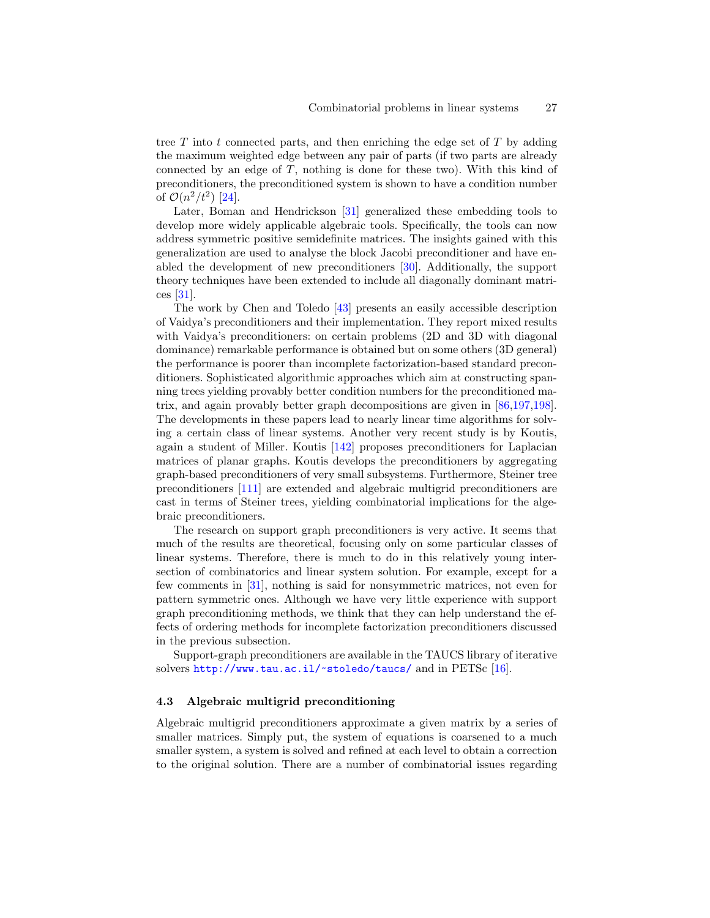tree  $T$  into t connected parts, and then enriching the edge set of  $T$  by adding the maximum weighted edge between any pair of parts (if two parts are already connected by an edge of T, nothing is done for these two). With this kind of preconditioners, the preconditioned system is shown to have a condition number of  $O(n^2/t^2)$  [24].

Later, Boman and Hendrickson [31] generalized these embedding tools to develop more widely applicable algebraic tools. Specifically, the tools can now address symmetric positive semidefinite matrices. The insights gained with this generalization are used to analyse the block Jacobi preconditioner and have enabled the development of new preconditioners [30]. Additionally, the support theory techniques have been extended to include all diagonally dominant matrices [31].

The work by Chen and Toledo [43] presents an easily accessible description of Vaidya's preconditioners and their implementation. They report mixed results with Vaidya's preconditioners: on certain problems (2D and 3D with diagonal dominance) remarkable performance is obtained but on some others (3D general) the performance is poorer than incomplete factorization-based standard preconditioners. Sophisticated algorithmic approaches which aim at constructing spanning trees yielding provably better condition numbers for the preconditioned matrix, and again provably better graph decompositions are given in [86,197,198]. The developments in these papers lead to nearly linear time algorithms for solving a certain class of linear systems. Another very recent study is by Koutis, again a student of Miller. Koutis [142] proposes preconditioners for Laplacian matrices of planar graphs. Koutis develops the preconditioners by aggregating graph-based preconditioners of very small subsystems. Furthermore, Steiner tree preconditioners [111] are extended and algebraic multigrid preconditioners are cast in terms of Steiner trees, yielding combinatorial implications for the algebraic preconditioners.

The research on support graph preconditioners is very active. It seems that much of the results are theoretical, focusing only on some particular classes of linear systems. Therefore, there is much to do in this relatively young intersection of combinatorics and linear system solution. For example, except for a few comments in [31], nothing is said for nonsymmetric matrices, not even for pattern symmetric ones. Although we have very little experience with support graph preconditioning methods, we think that they can help understand the effects of ordering methods for incomplete factorization preconditioners discussed in the previous subsection.

Support-graph preconditioners are available in the TAUCS library of iterative solvers <http://www.tau.ac.il/~stoledo/taucs/> and in PETSc [16].

#### 4.3 Algebraic multigrid preconditioning

Algebraic multigrid preconditioners approximate a given matrix by a series of smaller matrices. Simply put, the system of equations is coarsened to a much smaller system, a system is solved and refined at each level to obtain a correction to the original solution. There are a number of combinatorial issues regarding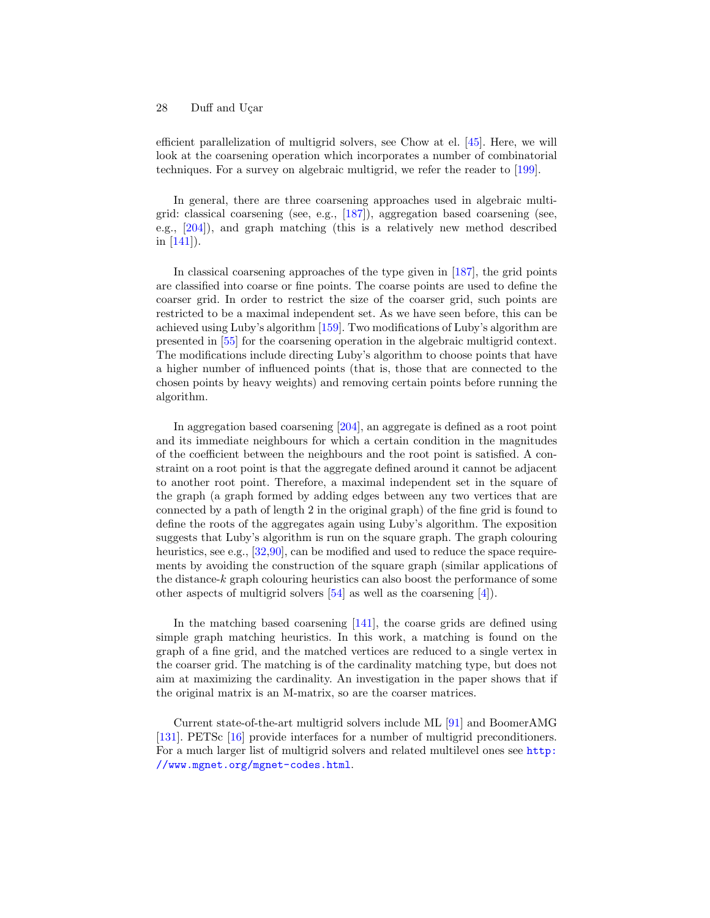efficient parallelization of multigrid solvers, see Chow at el. [45]. Here, we will look at the coarsening operation which incorporates a number of combinatorial techniques. For a survey on algebraic multigrid, we refer the reader to [199].

In general, there are three coarsening approaches used in algebraic multigrid: classical coarsening (see, e.g.,  $[187]$ ), aggregation based coarsening (see, e.g., [204]), and graph matching (this is a relatively new method described in [141]).

In classical coarsening approaches of the type given in [187], the grid points are classified into coarse or fine points. The coarse points are used to define the coarser grid. In order to restrict the size of the coarser grid, such points are restricted to be a maximal independent set. As we have seen before, this can be achieved using Luby's algorithm [159]. Two modifications of Luby's algorithm are presented in [55] for the coarsening operation in the algebraic multigrid context. The modifications include directing Luby's algorithm to choose points that have a higher number of influenced points (that is, those that are connected to the chosen points by heavy weights) and removing certain points before running the algorithm.

In aggregation based coarsening [204], an aggregate is defined as a root point and its immediate neighbours for which a certain condition in the magnitudes of the coefficient between the neighbours and the root point is satisfied. A constraint on a root point is that the aggregate defined around it cannot be adjacent to another root point. Therefore, a maximal independent set in the square of the graph (a graph formed by adding edges between any two vertices that are connected by a path of length 2 in the original graph) of the fine grid is found to define the roots of the aggregates again using Luby's algorithm. The exposition suggests that Luby's algorithm is run on the square graph. The graph colouring heuristics, see e.g., [32,90], can be modified and used to reduce the space requirements by avoiding the construction of the square graph (similar applications of the distance-k graph colouring heuristics can also boost the performance of some other aspects of multigrid solvers [54] as well as the coarsening [4]).

In the matching based coarsening [141], the coarse grids are defined using simple graph matching heuristics. In this work, a matching is found on the graph of a fine grid, and the matched vertices are reduced to a single vertex in the coarser grid. The matching is of the cardinality matching type, but does not aim at maximizing the cardinality. An investigation in the paper shows that if the original matrix is an M-matrix, so are the coarser matrices.

Current state-of-the-art multigrid solvers include ML [91] and BoomerAMG [131]. PETSc [16] provide interfaces for a number of multigrid preconditioners. For a much larger list of multigrid solvers and related multilevel ones see [http:](http://www.mgnet.org/mgnet-codes.html) [//www.mgnet.org/mgnet-codes.html](http://www.mgnet.org/mgnet-codes.html).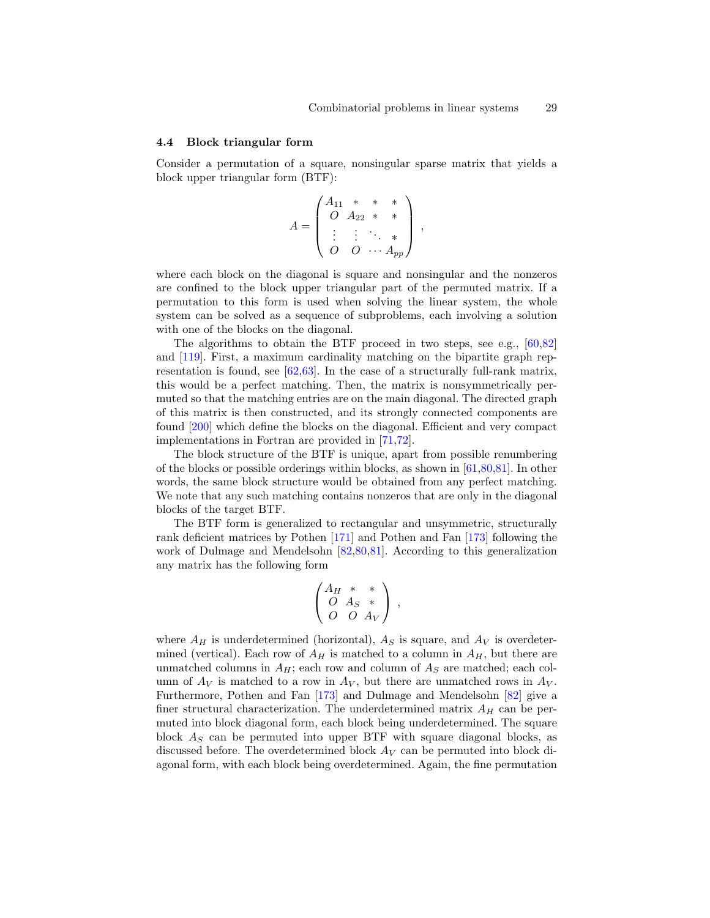,

#### 4.4 Block triangular form

Consider a permutation of a square, nonsingular sparse matrix that yields a block upper triangular form (BTF):

$$
A = \begin{pmatrix} A_{11} & * & * & * \\ O & A_{22} & * & * \\ \vdots & \vdots & \ddots & * \\ O & O & \cdots & A_{pp} \end{pmatrix}
$$

where each block on the diagonal is square and nonsingular and the nonzeros are confined to the block upper triangular part of the permuted matrix. If a permutation to this form is used when solving the linear system, the whole system can be solved as a sequence of subproblems, each involving a solution with one of the blocks on the diagonal.

The algorithms to obtain the BTF proceed in two steps, see e.g., [60,82] and [119]. First, a maximum cardinality matching on the bipartite graph representation is found, see [62,63]. In the case of a structurally full-rank matrix, this would be a perfect matching. Then, the matrix is nonsymmetrically permuted so that the matching entries are on the main diagonal. The directed graph of this matrix is then constructed, and its strongly connected components are found [200] which define the blocks on the diagonal. Efficient and very compact implementations in Fortran are provided in [71,72].

The block structure of the BTF is unique, apart from possible renumbering of the blocks or possible orderings within blocks, as shown in [61,80,81]. In other words, the same block structure would be obtained from any perfect matching. We note that any such matching contains nonzeros that are only in the diagonal blocks of the target BTF.

The BTF form is generalized to rectangular and unsymmetric, structurally rank deficient matrices by Pothen [171] and Pothen and Fan [173] following the work of Dulmage and Mendelsohn [82,80,81]. According to this generalization any matrix has the following form

$$
\begin{pmatrix} A_H & * & * \\ O & A_S & * \\ O & O & A_V \end{pmatrix} ,
$$

where  $A_H$  is underdetermined (horizontal),  $A_S$  is square, and  $A_V$  is overdetermined (vertical). Each row of  $A_H$  is matched to a column in  $A_H$ , but there are unmatched columns in  $A_H$ ; each row and column of  $A_S$  are matched; each column of  $A_V$  is matched to a row in  $A_V$ , but there are unmatched rows in  $A_V$ . Furthermore, Pothen and Fan [173] and Dulmage and Mendelsohn [82] give a finer structural characterization. The underdetermined matrix  $A_H$  can be permuted into block diagonal form, each block being underdetermined. The square block  $A<sub>S</sub>$  can be permuted into upper BTF with square diagonal blocks, as discussed before. The overdetermined block  $A_V$  can be permuted into block diagonal form, with each block being overdetermined. Again, the fine permutation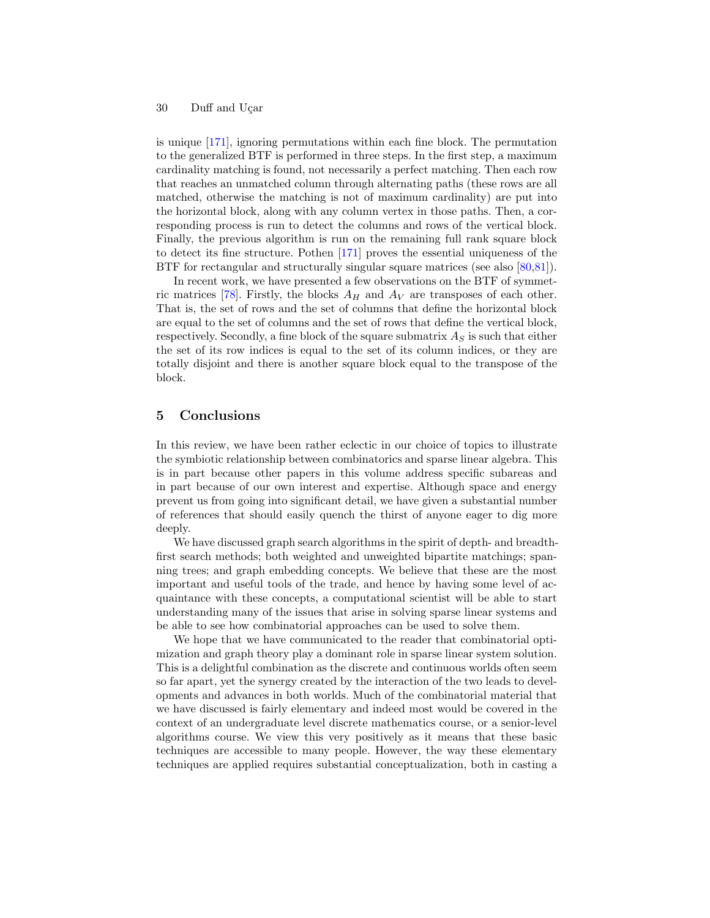is unique [171], ignoring permutations within each fine block. The permutation to the generalized BTF is performed in three steps. In the first step, a maximum cardinality matching is found, not necessarily a perfect matching. Then each row that reaches an unmatched column through alternating paths (these rows are all matched, otherwise the matching is not of maximum cardinality) are put into the horizontal block, along with any column vertex in those paths. Then, a corresponding process is run to detect the columns and rows of the vertical block. Finally, the previous algorithm is run on the remaining full rank square block to detect its fine structure. Pothen [171] proves the essential uniqueness of the BTF for rectangular and structurally singular square matrices (see also [80,81]).

In recent work, we have presented a few observations on the BTF of symmetric matrices [78]. Firstly, the blocks  $A_H$  and  $A_V$  are transposes of each other. That is, the set of rows and the set of columns that define the horizontal block are equal to the set of columns and the set of rows that define the vertical block, respectively. Secondly, a fine block of the square submatrix  $A<sub>S</sub>$  is such that either the set of its row indices is equal to the set of its column indices, or they are totally disjoint and there is another square block equal to the transpose of the block.

#### 5 Conclusions

In this review, we have been rather eclectic in our choice of topics to illustrate the symbiotic relationship between combinatorics and sparse linear algebra. This is in part because other papers in this volume address specific subareas and in part because of our own interest and expertise. Although space and energy prevent us from going into significant detail, we have given a substantial number of references that should easily quench the thirst of anyone eager to dig more deeply.

We have discussed graph search algorithms in the spirit of depth- and breadthfirst search methods; both weighted and unweighted bipartite matchings; spanning trees; and graph embedding concepts. We believe that these are the most important and useful tools of the trade, and hence by having some level of acquaintance with these concepts, a computational scientist will be able to start understanding many of the issues that arise in solving sparse linear systems and be able to see how combinatorial approaches can be used to solve them.

We hope that we have communicated to the reader that combinatorial optimization and graph theory play a dominant role in sparse linear system solution. This is a delightful combination as the discrete and continuous worlds often seem so far apart, yet the synergy created by the interaction of the two leads to developments and advances in both worlds. Much of the combinatorial material that we have discussed is fairly elementary and indeed most would be covered in the context of an undergraduate level discrete mathematics course, or a senior-level algorithms course. We view this very positively as it means that these basic techniques are accessible to many people. However, the way these elementary techniques are applied requires substantial conceptualization, both in casting a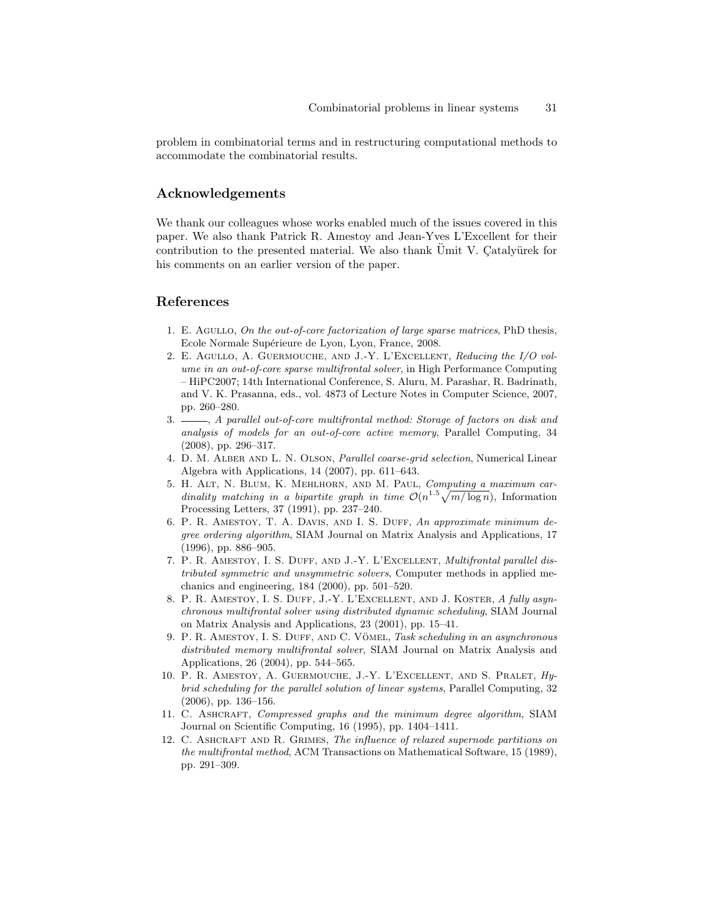problem in combinatorial terms and in restructuring computational methods to accommodate the combinatorial results.

#### Acknowledgements

We thank our colleagues whose works enabled much of the issues covered in this paper. We also thank Patrick R. Amestoy and Jean-Yves L'Excellent for their contribution to the presented material. We also thank Umit V. Catalyürek for his comments on an earlier version of the paper.

#### References

- 1. E. Agullo, On the out-of-core factorization of large sparse matrices, PhD thesis, Ecole Normale Supérieure de Lyon, Lyon, France, 2008.
- 2. E. Agullo, A. Guermouche, and J.-Y. L'Excellent, Reducing the I/O volume in an out-of-core sparse multifrontal solver, in High Performance Computing – HiPC2007; 14th International Conference, S. Aluru, M. Parashar, R. Badrinath, and V. K. Prasanna, eds., vol. 4873 of Lecture Notes in Computer Science, 2007, pp. 260–280.
- 3.  $\frac{1}{1}$ , A parallel out-of-core multifrontal method: Storage of factors on disk and analysis of models for an out-of-core active memory, Parallel Computing, 34 (2008), pp. 296–317.
- 4. D. M. Alber and L. N. Olson, Parallel coarse-grid selection, Numerical Linear Algebra with Applications, 14 (2007), pp. 611–643.
- 5. H. Alt, N. Blum, K. Mehlhorn, and M. Paul, Computing a maximum cardinality matching in a bipartite graph in time  $\mathcal{O}(n^{1.5}\sqrt{m/\log n})$ , Information Processing Letters, 37 (1991), pp. 237–240.
- 6. P. R. Amestoy, T. A. Davis, and I. S. Duff, An approximate minimum degree ordering algorithm, SIAM Journal on Matrix Analysis and Applications, 17 (1996), pp. 886–905.
- 7. P. R. AMESTOY, I. S. DUFF, AND J.-Y. L'EXCELLENT, *Multifrontal parallel dis*tributed symmetric and unsymmetric solvers, Computer methods in applied mechanics and engineering, 184 (2000), pp. 501–520.
- 8. P. R. AMESTOY, I. S. DUFF, J.-Y. L'EXCELLENT, AND J. KOSTER, A fully asynchronous multifrontal solver using distributed dynamic scheduling, SIAM Journal on Matrix Analysis and Applications, 23 (2001), pp. 15–41.
- 9. P. R. AMESTOY, I. S. DUFF, AND C. VÖMEL, Task scheduling in an asynchronous distributed memory multifrontal solver, SIAM Journal on Matrix Analysis and Applications, 26 (2004), pp. 544–565.
- 10. P. R. Amestoy, A. Guermouche, J.-Y. L'Excellent, and S. Pralet, Hybrid scheduling for the parallel solution of linear systems, Parallel Computing, 32 (2006), pp. 136–156.
- 11. C. ASHCRAFT, Compressed graphs and the minimum degree algorithm, SIAM Journal on Scientific Computing, 16 (1995), pp. 1404–1411.
- 12. C. ASHCRAFT AND R. GRIMES, The influence of relaxed supernode partitions on the multifrontal method, ACM Transactions on Mathematical Software, 15 (1989), pp. 291–309.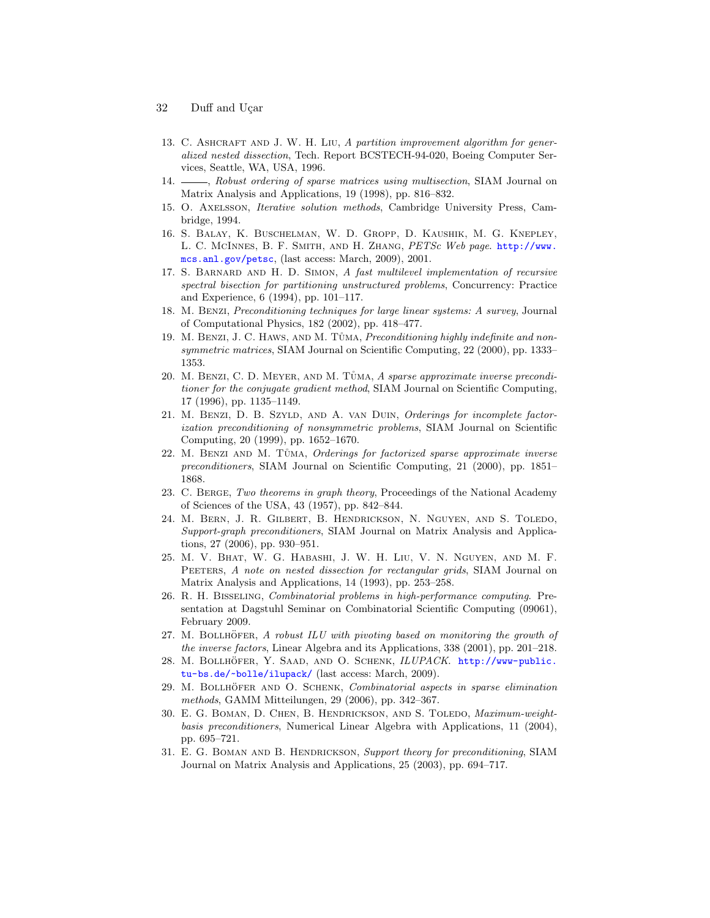- 32 Duff and Ucar
- 13. C. ASHCRAFT AND J. W. H. LIU, A partition improvement algorithm for generalized nested dissection, Tech. Report BCSTECH-94-020, Boeing Computer Services, Seattle, WA, USA, 1996.
- 14.  $\frac{1}{1}$ , Robust ordering of sparse matrices using multisection, SIAM Journal on Matrix Analysis and Applications, 19 (1998), pp. 816–832.
- 15. O. Axelsson, Iterative solution methods, Cambridge University Press, Cambridge, 1994.
- 16. S. Balay, K. Buschelman, W. D. Gropp, D. Kaushik, M. G. Knepley, L. C. McInnes, B. F. Smith, and H. Zhang, PETSc Web page. [http://www.](http://www.mcs.anl.gov/petsc) [mcs.anl.gov/petsc](http://www.mcs.anl.gov/petsc), (last access: March, 2009), 2001.
- 17. S. BARNARD AND H. D. SIMON, A fast multilevel implementation of recursive spectral bisection for partitioning unstructured problems, Concurrency: Practice and Experience, 6 (1994), pp. 101–117.
- 18. M. Benzi, Preconditioning techniques for large linear systems: A survey, Journal of Computational Physics, 182 (2002), pp. 418–477.
- 19. M. BENZI, J. C. HAWS, AND M. TUMA, Preconditioning highly indefinite and nonsymmetric matrices, SIAM Journal on Scientific Computing, 22 (2000), pp. 1333– 1353.
- 20. M. Benzi, C. D. Meyer, and M. T˚uma, A sparse approximate inverse preconditioner for the conjugate gradient method, SIAM Journal on Scientific Computing, 17 (1996), pp. 1135–1149.
- 21. M. Benzi, D. B. Szyld, and A. van Duin, Orderings for incomplete factorization preconditioning of nonsymmetric problems, SIAM Journal on Scientific Computing, 20 (1999), pp. 1652–1670.
- 22. M. BENZI AND M. TUMA, Orderings for factorized sparse approximate inverse preconditioners, SIAM Journal on Scientific Computing, 21 (2000), pp. 1851– 1868.
- 23. C. BERGE, Two theorems in graph theory, Proceedings of the National Academy of Sciences of the USA, 43 (1957), pp. 842–844.
- 24. M. Bern, J. R. Gilbert, B. Hendrickson, N. Nguyen, and S. Toledo, Support-graph preconditioners, SIAM Journal on Matrix Analysis and Applications, 27 (2006), pp. 930–951.
- 25. M. V. Bhat, W. G. Habashi, J. W. H. Liu, V. N. Nguyen, and M. F. PEETERS, A note on nested dissection for rectangular grids, SIAM Journal on Matrix Analysis and Applications, 14 (1993), pp. 253–258.
- 26. R. H. Bisseling, Combinatorial problems in high-performance computing. Presentation at Dagstuhl Seminar on Combinatorial Scientific Computing (09061), February 2009.
- 27. M. BOLLHÖFER,  $\ddot{A}$  robust ILU with pivoting based on monitoring the growth of the inverse factors, Linear Algebra and its Applications, 338 (2001), pp. 201–218.
- 28. M. BOLLHÖFER, Y. SAAD, AND O. SCHENK,  $ILUPACK$ . [http://www-public.](http://www-public.tu-bs.de/~bolle/ilupack/) [tu-bs.de/~bolle/ilupack/](http://www-public.tu-bs.de/~bolle/ilupack/) (last access: March, 2009).
- 29. M. BOLLHÖFER AND O. SCHENK, Combinatorial aspects in sparse elimination methods, GAMM Mitteilungen, 29 (2006), pp. 342–367.
- 30. E. G. Boman, D. Chen, B. Hendrickson, and S. Toledo, Maximum-weightbasis preconditioners, Numerical Linear Algebra with Applications, 11 (2004), pp. 695–721.
- 31. E. G. BOMAN AND B. HENDRICKSON, Support theory for preconditioning, SIAM Journal on Matrix Analysis and Applications, 25 (2003), pp. 694–717.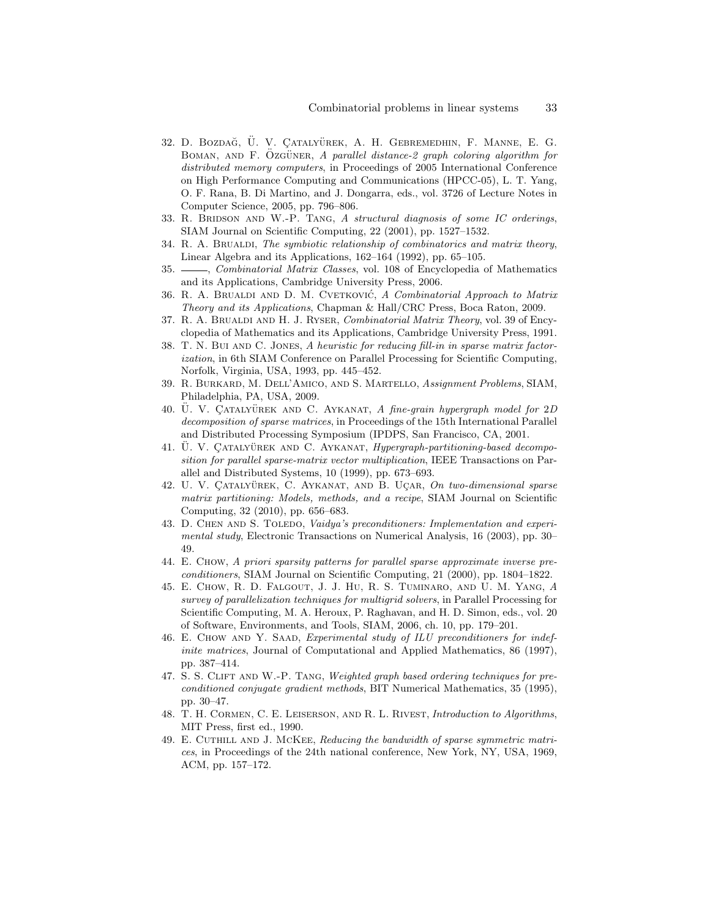- 32. D. BOZDAĞ, Ü. V. ÇATALYÜREK, A. H. GEBREMEDHIN, F. MANNE, E. G. BOMAN, AND F. OZGÜNER, A parallel distance-2 graph coloring algorithm for distributed memory computers, in Proceedings of 2005 International Conference on High Performance Computing and Communications (HPCC-05), L. T. Yang, O. F. Rana, B. Di Martino, and J. Dongarra, eds., vol. 3726 of Lecture Notes in Computer Science, 2005, pp. 796–806.
- 33. R. BRIDSON AND W.-P. TANG, A structural diagnosis of some IC orderings, SIAM Journal on Scientific Computing, 22 (2001), pp. 1527–1532.
- 34. R. A. BRUALDI, The symbiotic relationship of combinatorics and matrix theory, Linear Algebra and its Applications, 162–164 (1992), pp. 65–105.
- 35. Combinatorial Matrix Classes, vol. 108 of Encyclopedia of Mathematics and its Applications, Cambridge University Press, 2006.
- 36. R. A. BRUALDI AND D. M. CVETKOVIĆ, A Combinatorial Approach to Matrix Theory and its Applications, Chapman & Hall/CRC Press, Boca Raton, 2009.
- 37. R. A. Brualdi and H. J. Ryser, Combinatorial Matrix Theory, vol. 39 of Encyclopedia of Mathematics and its Applications, Cambridge University Press, 1991.
- 38. T. N. Bui and C. Jones, A heuristic for reducing fill-in in sparse matrix factorization, in 6th SIAM Conference on Parallel Processing for Scientific Computing, Norfolk, Virginia, USA, 1993, pp. 445–452.
- 39. R. Burkard, M. Dell'Amico, and S. Martello, Assignment Problems, SIAM, Philadelphia, PA, USA, 2009.
- 40. U. V. CATALYÜREK AND C. AYKANAT, A fine-grain hypergraph model for  $2D$ decomposition of sparse matrices, in Proceedings of the 15th International Parallel and Distributed Processing Symposium (IPDPS, San Francisco, CA, 2001.
- 41. U. V. ÇATALYÜREK AND C. AYKANAT, Hypergraph-partitioning-based decomposition for parallel sparse-matrix vector multiplication, IEEE Transactions on Parallel and Distributed Systems, 10 (1999), pp. 673–693.
- 42. U. V. CATALYÜREK, C. AYKANAT, AND B. UÇAR, On two-dimensional sparse matrix partitioning: Models, methods, and a recipe, SIAM Journal on Scientific Computing, 32 (2010), pp. 656–683.
- 43. D. CHEN AND S. TOLEDO, Vaidya's preconditioners: Implementation and experimental study, Electronic Transactions on Numerical Analysis, 16 (2003), pp. 30– 49.
- 44. E. Chow, A priori sparsity patterns for parallel sparse approximate inverse preconditioners, SIAM Journal on Scientific Computing, 21 (2000), pp. 1804–1822.
- 45. E. Chow, R. D. Falgout, J. J. Hu, R. S. Tuminaro, and U. M. Yang, A survey of parallelization techniques for multigrid solvers, in Parallel Processing for Scientific Computing, M. A. Heroux, P. Raghavan, and H. D. Simon, eds., vol. 20 of Software, Environments, and Tools, SIAM, 2006, ch. 10, pp. 179–201.
- 46. E. CHOW AND Y. SAAD, Experimental study of ILU preconditioners for indefinite matrices, Journal of Computational and Applied Mathematics, 86 (1997), pp. 387–414.
- 47. S. S. Clift and W.-P. Tang, Weighted graph based ordering techniques for preconditioned conjugate gradient methods, BIT Numerical Mathematics, 35 (1995), pp. 30–47.
- 48. T. H. Cormen, C. E. Leiserson, and R. L. Rivest, Introduction to Algorithms, MIT Press, first ed., 1990.
- 49. E. CUTHILL AND J. MCKEE, Reducing the bandwidth of sparse symmetric matrices, in Proceedings of the 24th national conference, New York, NY, USA, 1969, ACM, pp. 157–172.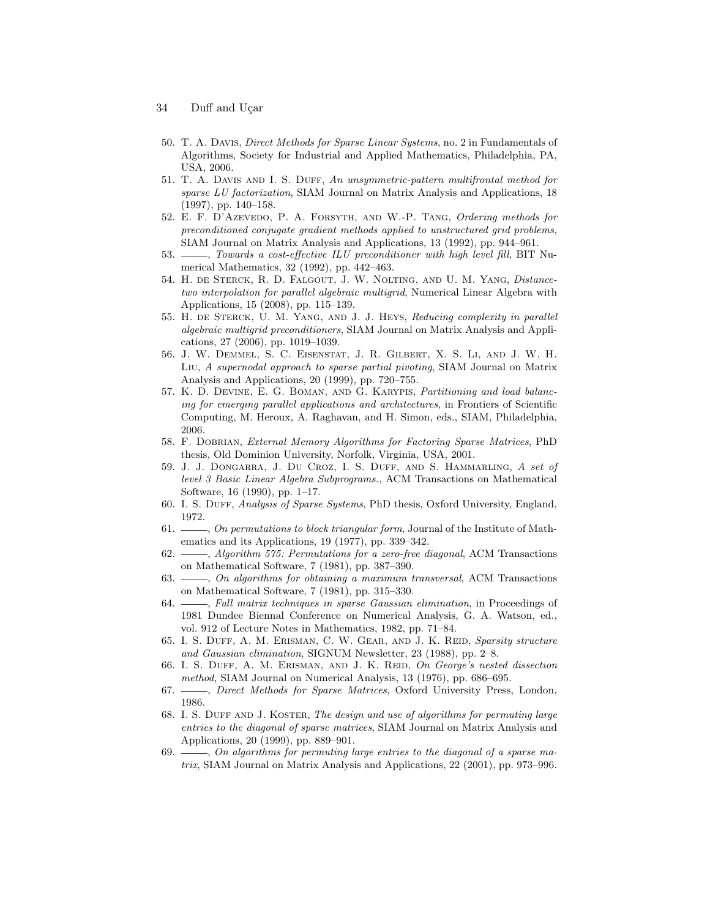- 34 Duff and Ucar
- 50. T. A. Davis, Direct Methods for Sparse Linear Systems, no. 2 in Fundamentals of Algorithms, Society for Industrial and Applied Mathematics, Philadelphia, PA, USA, 2006.
- 51. T. A. Davis and I. S. Duff, An unsymmetric-pattern multifrontal method for sparse LU factorization, SIAM Journal on Matrix Analysis and Applications, 18 (1997), pp. 140–158.
- 52. E. F. D'Azevedo, P. A. Forsyth, and W.-P. Tang, Ordering methods for preconditioned conjugate gradient methods applied to unstructured grid problems, SIAM Journal on Matrix Analysis and Applications, 13 (1992), pp. 944–961.
- 53.  $\frac{1}{100}$ , Towards a cost-effective ILU preconditioner with high level fill, BIT Numerical Mathematics, 32 (1992), pp. 442–463.
- 54. H. de Sterck, R. D. Falgout, J. W. Nolting, and U. M. Yang, Distancetwo interpolation for parallel algebraic multigrid, Numerical Linear Algebra with Applications, 15 (2008), pp. 115–139.
- 55. H. DE STERCK, U. M. YANG, AND J. J. HEYS, Reducing complexity in parallel algebraic multigrid preconditioners, SIAM Journal on Matrix Analysis and Applications, 27 (2006), pp. 1019–1039.
- 56. J. W. Demmel, S. C. Eisenstat, J. R. Gilbert, X. S. Li, and J. W. H. Liu, A supernodal approach to sparse partial pivoting, SIAM Journal on Matrix Analysis and Applications, 20 (1999), pp. 720–755.
- 57. K. D. Devine, E. G. Boman, and G. Karypis, Partitioning and load balancing for emerging parallel applications and architectures, in Frontiers of Scientific Computing, M. Heroux, A. Raghavan, and H. Simon, eds., SIAM, Philadelphia, 2006.
- 58. F. Dobrian, External Memory Algorithms for Factoring Sparse Matrices, PhD thesis, Old Dominion University, Norfolk, Virginia, USA, 2001.
- 59. J. J. Dongarra, J. Du Croz, I. S. Duff, and S. Hammarling, A set of level 3 Basic Linear Algebra Subprograms., ACM Transactions on Mathematical Software, 16 (1990), pp. 1–17.
- 60. I. S. Duff, Analysis of Sparse Systems, PhD thesis, Oxford University, England, 1972.
- 61.  $\frac{1}{100}$ , On permutations to block triangular form, Journal of the Institute of Mathematics and its Applications, 19 (1977), pp. 339–342.
- 62.  $\frac{1}{100}$ , Algorithm 575: Permutations for a zero-free diagonal, ACM Transactions on Mathematical Software, 7 (1981), pp. 387–390.
- 63.  $\frac{1}{100}$ , On algorithms for obtaining a maximum transversal, ACM Transactions on Mathematical Software, 7 (1981), pp. 315–330.
- 64.  $\frac{1}{100}$ , Full matrix techniques in sparse Gaussian elimination, in Proceedings of 1981 Dundee Biennal Conference on Numerical Analysis, G. A. Watson, ed., vol. 912 of Lecture Notes in Mathematics, 1982, pp. 71–84.
- 65. I. S. Duff, A. M. Erisman, C. W. Gear, and J. K. Reid, Sparsity structure and Gaussian elimination, SIGNUM Newsletter, 23 (1988), pp. 2–8.
- 66. I. S. DUFF, A. M. ERISMAN, AND J. K. REID, On George's nested dissection method, SIAM Journal on Numerical Analysis, 13 (1976), pp. 686–695.
- 67.  $\frac{1}{100}$ , Direct Methods for Sparse Matrices, Oxford University Press, London, 1986.
- 68. I. S. DUFF AND J. KOSTER, The design and use of algorithms for permuting large entries to the diagonal of sparse matrices, SIAM Journal on Matrix Analysis and Applications, 20 (1999), pp. 889–901.
- $69. \_\_\_\_$ , On algorithms for permuting large entries to the diagonal of a sparse matrix, SIAM Journal on Matrix Analysis and Applications, 22 (2001), pp. 973–996.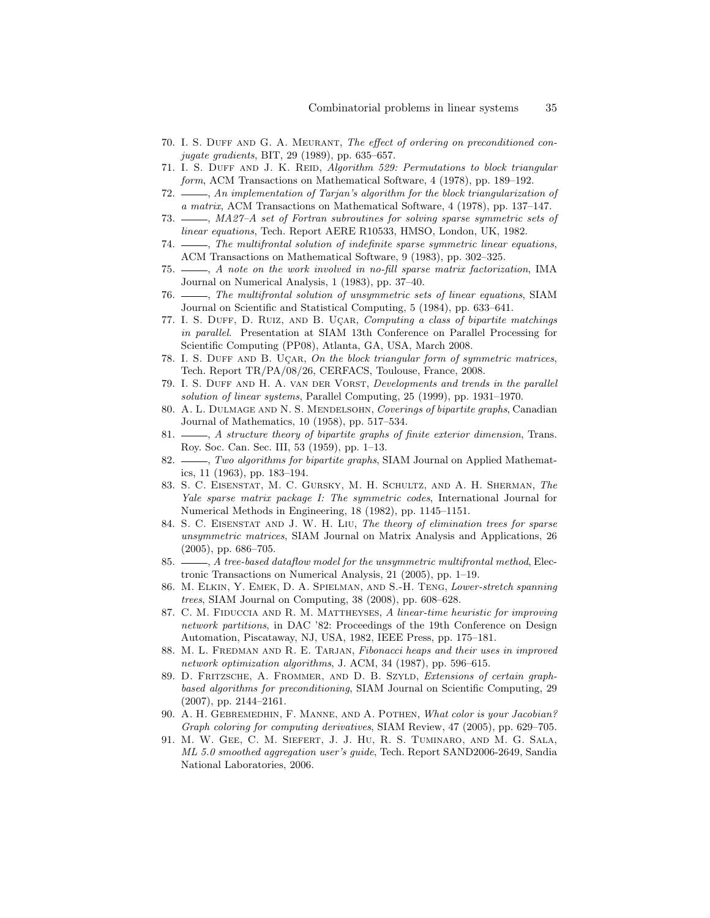- 70. I. S. Duff and G. A. Meurant, The effect of ordering on preconditioned conjugate gradients, BIT, 29 (1989), pp. 635–657.
- 71. I. S. DUFF AND J. K. REID, Algorithm 529: Permutations to block triangular form, ACM Transactions on Mathematical Software, 4 (1978), pp. 189–192.
- 72. , An implementation of Tarjan's algorithm for the block triangularization of a matrix, ACM Transactions on Mathematical Software, 4 (1978), pp. 137–147.
- 73.  $\frac{1}{2}$ , MA27-A set of Fortran subroutines for solving sparse symmetric sets of linear equations, Tech. Report AERE R10533, HMSO, London, UK, 1982.
- 74.  $\frac{1}{12}$ , The multifrontal solution of indefinite sparse symmetric linear equations, ACM Transactions on Mathematical Software, 9 (1983), pp. 302–325.
- 75.  $\longrightarrow$ , A note on the work involved in no-fill sparse matrix factorization, IMA Journal on Numerical Analysis, 1 (1983), pp. 37–40.
- 76.  $\frac{1}{100}$ , The multifrontal solution of unsymmetric sets of linear equations, SIAM Journal on Scientific and Statistical Computing, 5 (1984), pp. 633–641.
- 77. I. S. DUFF, D. RUIZ, AND B. UÇAR, Computing a class of bipartite matchings in parallel. Presentation at SIAM 13th Conference on Parallel Processing for Scientific Computing (PP08), Atlanta, GA, USA, March 2008.
- 78. I. S. DUFF AND B. UÇAR, On the block triangular form of symmetric matrices, Tech. Report TR/PA/08/26, CERFACS, Toulouse, France, 2008.
- 79. I. S. DUFF AND H. A. VAN DER VORST, Developments and trends in the parallel solution of linear systems, Parallel Computing, 25 (1999), pp. 1931–1970.
- 80. A. L. DULMAGE AND N. S. MENDELSOHN, Coverings of bipartite graphs, Canadian Journal of Mathematics, 10 (1958), pp. 517–534.
- 81.  $\frac{1}{100}$ , A structure theory of bipartite graphs of finite exterior dimension, Trans. Roy. Soc. Can. Sec. III, 53 (1959), pp. 1–13.
- 82.  $\frac{1}{100}$ , Two algorithms for bipartite graphs, SIAM Journal on Applied Mathematics, 11 (1963), pp. 183–194.
- 83. S. C. Eisenstat, M. C. Gursky, M. H. Schultz, and A. H. Sherman, The Yale sparse matrix package I: The symmetric codes, International Journal for Numerical Methods in Engineering, 18 (1982), pp. 1145–1151.
- 84. S. C. Eisenstat and J. W. H. Liu, The theory of elimination trees for sparse unsymmetric matrices, SIAM Journal on Matrix Analysis and Applications, 26 (2005), pp. 686–705.
- 85.  $\frac{1}{100}$ , A tree-based dataflow model for the unsymmetric multifrontal method, Electronic Transactions on Numerical Analysis, 21 (2005), pp. 1–19.
- 86. M. ELKIN, Y. EMEK, D. A. SPIELMAN, AND S.-H. TENG, Lower-stretch spanning trees, SIAM Journal on Computing, 38 (2008), pp. 608–628.
- 87. C. M. Fiduccia and R. M. Mattheyses, A linear-time heuristic for improving network partitions, in DAC '82: Proceedings of the 19th Conference on Design Automation, Piscataway, NJ, USA, 1982, IEEE Press, pp. 175–181.
- 88. M. L. FREDMAN AND R. E. TARJAN, Fibonacci heaps and their uses in improved network optimization algorithms, J. ACM, 34 (1987), pp. 596–615.
- 89. D. Fritzsche, A. Frommer, and D. B. Szyld, Extensions of certain graphbased algorithms for preconditioning, SIAM Journal on Scientific Computing, 29 (2007), pp. 2144–2161.
- 90. A. H. GEBREMEDHIN, F. MANNE, AND A. POTHEN, What color is your Jacobian? Graph coloring for computing derivatives, SIAM Review, 47 (2005), pp. 629–705.
- 91. M. W. Gee, C. M. Siefert, J. J. Hu, R. S. Tuminaro, and M. G. Sala, ML 5.0 smoothed aggregation user's guide, Tech. Report SAND2006-2649, Sandia National Laboratories, 2006.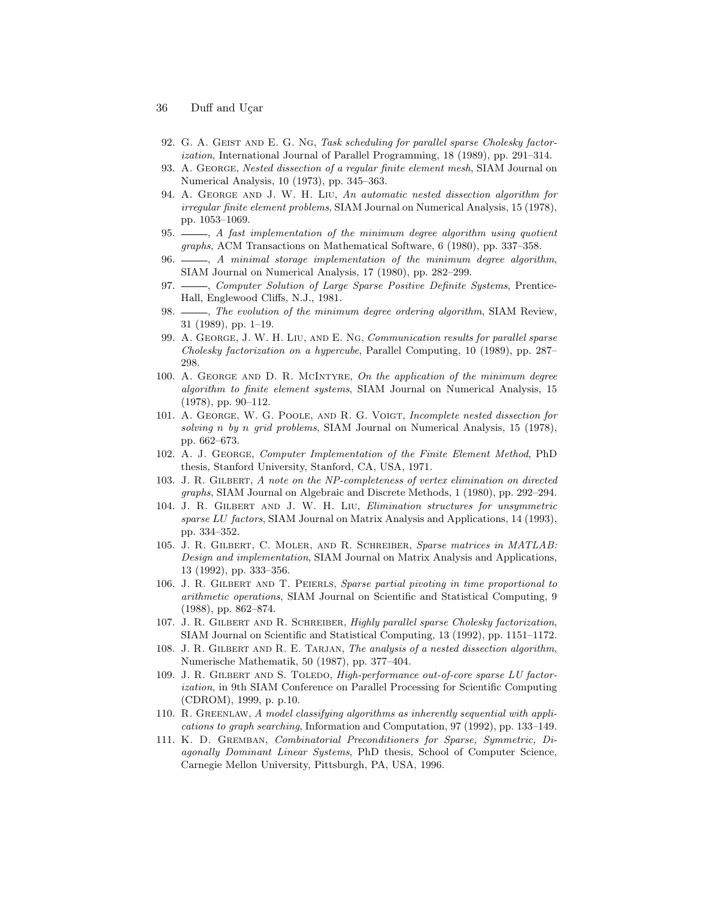- 36 Duff and Ucar
- 92. G. A. Geist and E. G. Ng, Task scheduling for parallel sparse Cholesky factorization, International Journal of Parallel Programming, 18 (1989), pp. 291–314.
- 93. A. George, Nested dissection of a regular finite element mesh, SIAM Journal on Numerical Analysis, 10 (1973), pp. 345–363.
- 94. A. George and J. W. H. Liu, An automatic nested dissection algorithm for irregular finite element problems, SIAM Journal on Numerical Analysis, 15 (1978), pp. 1053–1069.
- 95.  $\_\_\_\$  A fast implementation of the minimum degree algorithm using quotient graphs, ACM Transactions on Mathematical Software, 6 (1980), pp. 337–358.
- 96.  $\longrightarrow$ , A minimal storage implementation of the minimum degree algorithm, SIAM Journal on Numerical Analysis, 17 (1980), pp. 282–299.
- 97.  $\frac{1}{2}$ , Computer Solution of Large Sparse Positive Definite Systems, Prentice-Hall, Englewood Cliffs, N.J., 1981.
- 98.  $\frac{1}{100}$ , The evolution of the minimum degree ordering algorithm, SIAM Review, 31 (1989), pp. 1–19.
- 99. A. George, J. W. H. Liu, and E. Ng, Communication results for parallel sparse Cholesky factorization on a hypercube, Parallel Computing, 10 (1989), pp. 287– 298.
- 100. A. GEORGE AND D. R. MCINTYRE, On the application of the minimum degree algorithm to finite element systems, SIAM Journal on Numerical Analysis, 15 (1978), pp. 90–112.
- 101. A. GEORGE, W. G. POOLE, AND R. G. VOIGT, Incomplete nested dissection for solving n by n grid problems, SIAM Journal on Numerical Analysis, 15 (1978), pp. 662–673.
- 102. A. J. George, Computer Implementation of the Finite Element Method, PhD thesis, Stanford University, Stanford, CA, USA, 1971.
- 103. J. R. Gilbert, A note on the NP-completeness of vertex elimination on directed graphs, SIAM Journal on Algebraic and Discrete Methods, 1 (1980), pp. 292–294.
- 104. J. R. Gilbert and J. W. H. Liu, Elimination structures for unsymmetric sparse LU factors, SIAM Journal on Matrix Analysis and Applications, 14 (1993), pp. 334–352.
- 105. J. R. Gilbert, C. Moler, and R. Schreiber, Sparse matrices in MATLAB: Design and implementation, SIAM Journal on Matrix Analysis and Applications, 13 (1992), pp. 333–356.
- 106. J. R. Gilbert and T. Peierls, Sparse partial pivoting in time proportional to arithmetic operations, SIAM Journal on Scientific and Statistical Computing, 9 (1988), pp. 862–874.
- 107. J. R. GILBERT AND R. SCHREIBER, Highly parallel sparse Cholesky factorization, SIAM Journal on Scientific and Statistical Computing, 13 (1992), pp. 1151–1172.
- 108. J. R. GILBERT AND R. E. TARJAN, The analysis of a nested dissection algorithm, Numerische Mathematik, 50 (1987), pp. 377–404.
- 109. J. R. GILBERT AND S. TOLEDO, High-performance out-of-core sparse LU factorization, in 9th SIAM Conference on Parallel Processing for Scientific Computing (CDROM), 1999, p. p.10.
- 110. R. GREENLAW, A model classifying algorithms as inherently sequential with applications to graph searching, Information and Computation, 97 (1992), pp. 133–149.
- 111. K. D. Gremban, Combinatorial Preconditioners for Sparse, Symmetric, Diagonally Dominant Linear Systems, PhD thesis, School of Computer Science, Carnegie Mellon University, Pittsburgh, PA, USA, 1996.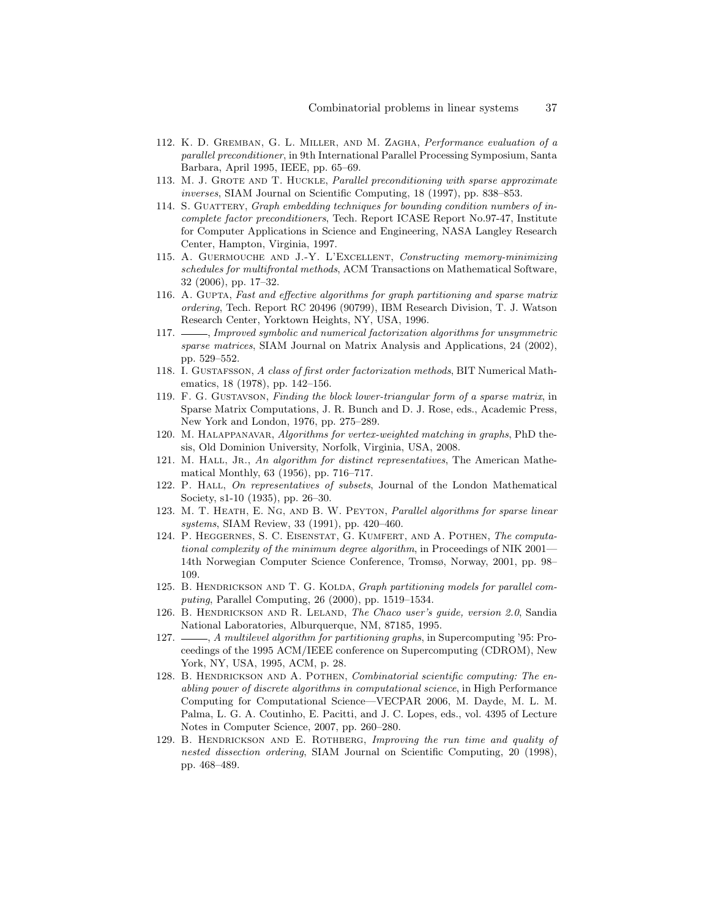- 112. K. D. Gremban, G. L. Miller, and M. Zagha, Performance evaluation of a parallel preconditioner, in 9th International Parallel Processing Symposium, Santa Barbara, April 1995, IEEE, pp. 65–69.
- 113. M. J. Grote and T. Huckle, Parallel preconditioning with sparse approximate inverses, SIAM Journal on Scientific Computing, 18 (1997), pp. 838–853.
- 114. S. GUATTERY, *Graph embedding techniques for bounding condition numbers of in*complete factor preconditioners, Tech. Report ICASE Report No.97-47, Institute for Computer Applications in Science and Engineering, NASA Langley Research Center, Hampton, Virginia, 1997.
- 115. A. Guermouche and J.-Y. L'Excellent, Constructing memory-minimizing schedules for multifrontal methods, ACM Transactions on Mathematical Software, 32 (2006), pp. 17–32.
- 116. A. GUPTA, Fast and effective algorithms for graph partitioning and sparse matrix ordering, Tech. Report RC 20496 (90799), IBM Research Division, T. J. Watson Research Center, Yorktown Heights, NY, USA, 1996.
- 117.  $\frac{1}{17}$ , Improved symbolic and numerical factorization algorithms for unsymmetric sparse matrices, SIAM Journal on Matrix Analysis and Applications, 24 (2002), pp. 529–552.
- 118. I. Gustafsson, A class of first order factorization methods, BIT Numerical Mathematics, 18 (1978), pp. 142–156.
- 119. F. G. Gustavson, Finding the block lower-triangular form of a sparse matrix, in Sparse Matrix Computations, J. R. Bunch and D. J. Rose, eds., Academic Press, New York and London, 1976, pp. 275–289.
- 120. M. Halappanavar, Algorithms for vertex-weighted matching in graphs, PhD thesis, Old Dominion University, Norfolk, Virginia, USA, 2008.
- 121. M. HALL, JR., An algorithm for distinct representatives, The American Mathematical Monthly, 63 (1956), pp. 716–717.
- 122. P. Hall, On representatives of subsets, Journal of the London Mathematical Society, s1-10 (1935), pp. 26–30.
- 123. M. T. Heath, E. Ng, and B. W. Peyton, Parallel algorithms for sparse linear systems, SIAM Review, 33 (1991), pp. 420–460.
- 124. P. Heggernes, S. C. Eisenstat, G. Kumfert, and A. Pothen, The computational complexity of the minimum degree algorithm, in Proceedings of NIK 2001-14th Norwegian Computer Science Conference, Tromsø, Norway, 2001, pp. 98– 109.
- 125. B. HENDRICKSON AND T. G. KOLDA, Graph partitioning models for parallel computing, Parallel Computing, 26 (2000), pp. 1519–1534.
- 126. B. HENDRICKSON AND R. LELAND, The Chaco user's guide, version 2.0, Sandia National Laboratories, Alburquerque, NM, 87185, 1995.
- 127.  $\frac{127}{127}$ , A multilevel algorithm for partitioning graphs, in Supercomputing '95: Proceedings of the 1995 ACM/IEEE conference on Supercomputing (CDROM), New York, NY, USA, 1995, ACM, p. 28.
- 128. B. Hendrickson and A. Pothen, Combinatorial scientific computing: The enabling power of discrete algorithms in computational science, in High Performance Computing for Computational Science—VECPAR 2006, M. Dayde, M. L. M. Palma, L. G. A. Coutinho, E. Pacitti, and J. C. Lopes, eds., vol. 4395 of Lecture Notes in Computer Science, 2007, pp. 260–280.
- 129. B. HENDRICKSON AND E. ROTHBERG, Improving the run time and quality of nested dissection ordering, SIAM Journal on Scientific Computing, 20 (1998), pp. 468–489.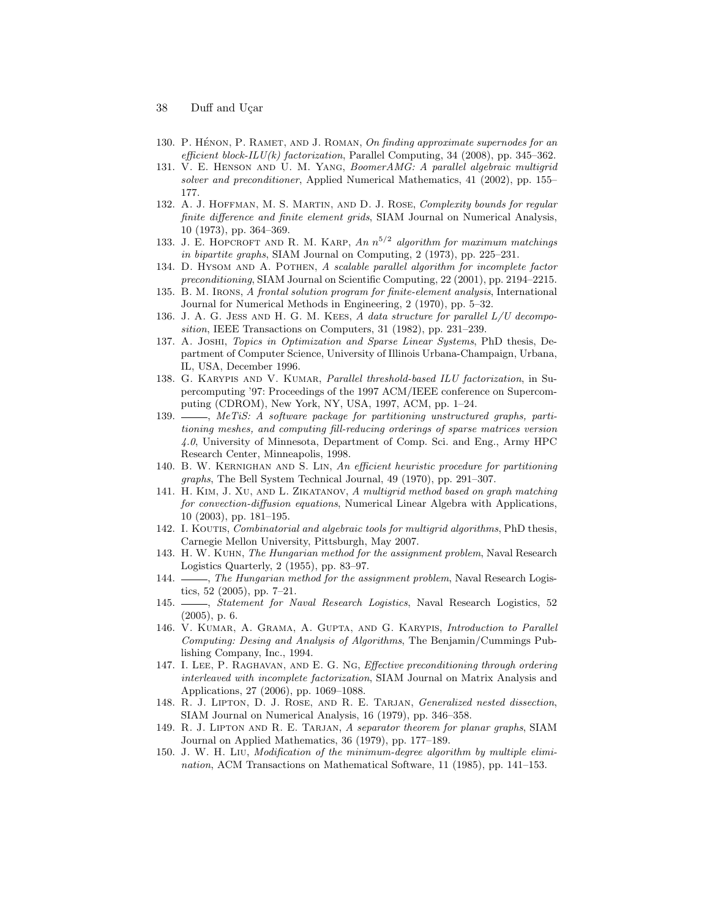- 130. P. HÉNON, P. RAMET, AND J. ROMAN, On finding approximate supernodes for an efficient block-ILU(k) factorization, Parallel Computing, 34 (2008), pp. 345–362.
- 131. V. E. Henson and U. M. Yang, BoomerAMG: A parallel algebraic multigrid solver and preconditioner, Applied Numerical Mathematics, 41 (2002), pp. 155– 177.
- 132. A. J. HOFFMAN, M. S. MARTIN, AND D. J. ROSE, Complexity bounds for regular finite difference and finite element grids, SIAM Journal on Numerical Analysis, 10 (1973), pp. 364–369.
- 133. J. E. HOPCROFT AND R. M. KARP, An  $n^{5/2}$  algorithm for maximum matchings in bipartite graphs, SIAM Journal on Computing, 2 (1973), pp. 225–231.
- 134. D. HYSOM AND A. POTHEN, A scalable parallel algorithm for incomplete factor preconditioning, SIAM Journal on Scientific Computing, 22 (2001), pp. 2194–2215.
- 135. B. M. Irons, A frontal solution program for finite-element analysis, International Journal for Numerical Methods in Engineering, 2 (1970), pp. 5–32.
- 136. J. A. G. JESS AND H. G. M. KEES, A data structure for parallel  $L/U$  decomposition, IEEE Transactions on Computers, 31 (1982), pp. 231–239.
- 137. A. Joshi, Topics in Optimization and Sparse Linear Systems, PhD thesis, Department of Computer Science, University of Illinois Urbana-Champaign, Urbana, IL, USA, December 1996.
- 138. G. KARYPIS AND V. KUMAR, Parallel threshold-based ILU factorization, in Supercomputing '97: Proceedings of the 1997 ACM/IEEE conference on Supercomputing (CDROM), New York, NY, USA, 1997, ACM, pp. 1–24.
- 139.  $\frac{139}{2}$ , MeTiS: A software package for partitioning unstructured graphs, partitioning meshes, and computing fill-reducing orderings of sparse matrices version 4.0, University of Minnesota, Department of Comp. Sci. and Eng., Army HPC Research Center, Minneapolis, 1998.
- 140. B. W. Kernighan and S. Lin, An efficient heuristic procedure for partitioning graphs, The Bell System Technical Journal, 49 (1970), pp. 291–307.
- 141. H. Kim, J. Xu, and L. Zikatanov, A multigrid method based on graph matching for convection-diffusion equations, Numerical Linear Algebra with Applications, 10 (2003), pp. 181–195.
- 142. I. Kouris, *Combinatorial and algebraic tools for multigrid algorithms*, PhD thesis, Carnegie Mellon University, Pittsburgh, May 2007.
- 143. H. W. Kuhn, The Hungarian method for the assignment problem, Naval Research Logistics Quarterly, 2 (1955), pp. 83–97.
- 144.  $\frac{1}{44}$ , The Hungarian method for the assignment problem, Naval Research Logistics, 52 (2005), pp. 7–21.
- 145.  $\frac{1}{16}$ , Statement for Naval Research Logistics, Naval Research Logistics, 52 (2005), p. 6.
- 146. V. KUMAR, A. GRAMA, A. GUPTA, AND G. KARYPIS, Introduction to Parallel Computing: Desing and Analysis of Algorithms, The Benjamin/Cummings Publishing Company, Inc., 1994.
- 147. I. Lee, P. Raghavan, and E. G. Ng, Effective preconditioning through ordering interleaved with incomplete factorization, SIAM Journal on Matrix Analysis and Applications, 27 (2006), pp. 1069–1088.
- 148. R. J. Lipton, D. J. Rose, and R. E. Tarjan, Generalized nested dissection, SIAM Journal on Numerical Analysis, 16 (1979), pp. 346–358.
- 149. R. J. Lipton and R. E. Tarjan, A separator theorem for planar graphs, SIAM Journal on Applied Mathematics, 36 (1979), pp. 177–189.
- 150. J. W. H. Liu, Modification of the minimum-degree algorithm by multiple elimination, ACM Transactions on Mathematical Software, 11 (1985), pp. 141–153.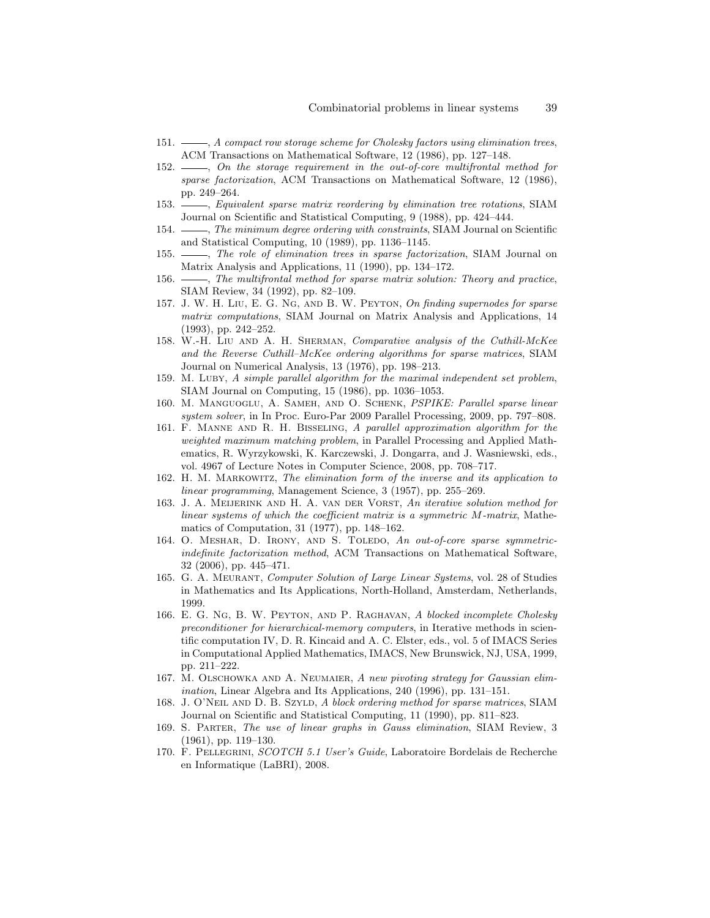- 151.  $\longrightarrow$ , A compact row storage scheme for Cholesky factors using elimination trees, ACM Transactions on Mathematical Software, 12 (1986), pp. 127–148.
- 152.  $\longrightarrow$ , On the storage requirement in the out-of-core multifrontal method for sparse factorization, ACM Transactions on Mathematical Software, 12 (1986), pp. 249–264.
- 153.  $\longrightarrow$ , Equivalent sparse matrix reordering by elimination tree rotations, SIAM Journal on Scientific and Statistical Computing, 9 (1988), pp. 424–444.
- 154.  $\frac{1}{154}$ , The minimum degree ordering with constraints, SIAM Journal on Scientific and Statistical Computing, 10 (1989), pp. 1136–1145.
- 155.  $\frac{155}{155}$ , The role of elimination trees in sparse factorization, SIAM Journal on Matrix Analysis and Applications, 11 (1990), pp. 134–172.
- 156.  $\_\_\_\$ ng The multifrontal method for sparse matrix solution: Theory and practice, SIAM Review, 34 (1992), pp. 82–109.
- 157. J. W. H. Liu, E. G. Ng, and B. W. Peyton, On finding supernodes for sparse matrix computations, SIAM Journal on Matrix Analysis and Applications, 14 (1993), pp. 242–252.
- 158. W.-H. Liu and A. H. Sherman, Comparative analysis of the Cuthill-McKee and the Reverse Cuthill–McKee ordering algorithms for sparse matrices, SIAM Journal on Numerical Analysis, 13 (1976), pp. 198–213.
- 159. M. Luby, A simple parallel algorithm for the maximal independent set problem, SIAM Journal on Computing, 15 (1986), pp. 1036–1053.
- 160. M. MANGUOGLU, A. SAMEH, AND O. SCHENK, PSPIKE: Parallel sparse linear system solver, in In Proc. Euro-Par 2009 Parallel Processing, 2009, pp. 797–808.
- 161. F. Manne and R. H. Bisseling, A parallel approximation algorithm for the weighted maximum matching problem, in Parallel Processing and Applied Mathematics, R. Wyrzykowski, K. Karczewski, J. Dongarra, and J. Wasniewski, eds., vol. 4967 of Lecture Notes in Computer Science, 2008, pp. 708–717.
- 162. H. M. Markowitz, The elimination form of the inverse and its application to linear programming, Management Science, 3 (1957), pp. 255–269.
- 163. J. A. Meijerink and H. A. van der Vorst, An iterative solution method for linear systems of which the coefficient matrix is a symmetric M-matrix, Mathematics of Computation, 31 (1977), pp. 148–162.
- 164. O. MESHAR, D. IRONY, AND S. TOLEDO, An out-of-core sparse symmetricindefinite factorization method, ACM Transactions on Mathematical Software, 32 (2006), pp. 445–471.
- 165. G. A. MEURANT, Computer Solution of Large Linear Systems, vol. 28 of Studies in Mathematics and Its Applications, North-Holland, Amsterdam, Netherlands, 1999.
- 166. E. G. Ng, B. W. Peyton, and P. Raghavan, A blocked incomplete Cholesky preconditioner for hierarchical-memory computers, in Iterative methods in scientific computation IV, D. R. Kincaid and A. C. Elster, eds., vol. 5 of IMACS Series in Computational Applied Mathematics, IMACS, New Brunswick, NJ, USA, 1999, pp. 211–222.
- 167. M. OLSCHOWKA AND A. NEUMAIER, A new pivoting strategy for Gaussian elimination, Linear Algebra and Its Applications, 240 (1996), pp. 131–151.
- 168. J. O'Neil and D. B. Szyld, A block ordering method for sparse matrices, SIAM Journal on Scientific and Statistical Computing, 11 (1990), pp. 811–823.
- 169. S. Parter, The use of linear graphs in Gauss elimination, SIAM Review, 3 (1961), pp. 119–130.
- 170. F. Pellegrini, SCOTCH 5.1 User's Guide, Laboratoire Bordelais de Recherche en Informatique (LaBRI), 2008.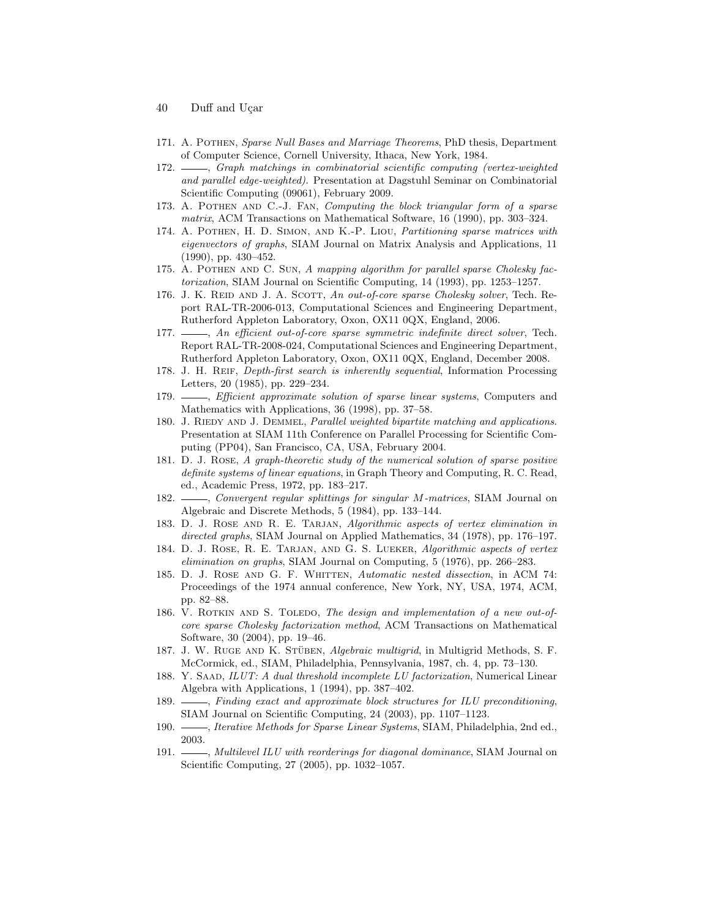- 40 Duff and Uçar
- 171. A. Pothen, Sparse Null Bases and Marriage Theorems, PhD thesis, Department of Computer Science, Cornell University, Ithaca, New York, 1984.
- 172.  $\frac{172}{2}$ , Graph matchings in combinatorial scientific computing (vertex-weighted) and parallel edge-weighted). Presentation at Dagstuhl Seminar on Combinatorial Scientific Computing (09061), February 2009.
- 173. A. POTHEN AND C.-J. FAN, Computing the block triangular form of a sparse matrix, ACM Transactions on Mathematical Software, 16 (1990), pp. 303–324.
- 174. A. Pothen, H. D. Simon, and K.-P. Liou, Partitioning sparse matrices with eigenvectors of graphs, SIAM Journal on Matrix Analysis and Applications, 11 (1990), pp. 430–452.
- 175. A. POTHEN AND C. SUN, A mapping algorithm for parallel sparse Cholesky factorization, SIAM Journal on Scientific Computing, 14 (1993), pp. 1253–1257.
- 176. J. K. REID AND J. A. SCOTT, An out-of-core sparse Cholesky solver, Tech. Report RAL-TR-2006-013, Computational Sciences and Engineering Department, Rutherford Appleton Laboratory, Oxon, OX11 0QX, England, 2006.
- 177.  $\_\_\_\_\$  An efficient out-of-core sparse symmetric indefinite direct solver, Tech. Report RAL-TR-2008-024, Computational Sciences and Engineering Department, Rutherford Appleton Laboratory, Oxon, OX11 0QX, England, December 2008.
- 178. J. H. Reif, Depth-first search is inherently sequential, Information Processing Letters, 20 (1985), pp. 229–234.
- 179.  $\_\_\_\$ , Efficient approximate solution of sparse linear systems, Computers and Mathematics with Applications, 36 (1998), pp. 37–58.
- 180. J. RIEDY AND J. DEMMEL, *Parallel weighted bipartite matching and applications*. Presentation at SIAM 11th Conference on Parallel Processing for Scientific Computing (PP04), San Francisco, CA, USA, February 2004.
- 181. D. J. Rose, A graph-theoretic study of the numerical solution of sparse positive definite systems of linear equations, in Graph Theory and Computing, R. C. Read, ed., Academic Press, 1972, pp. 183–217.
- 182.  $\frac{182}{182}$ , Convergent regular splittings for singular M-matrices, SIAM Journal on Algebraic and Discrete Methods, 5 (1984), pp. 133–144.
- 183. D. J. Rose and R. E. Tarjan, Algorithmic aspects of vertex elimination in directed graphs, SIAM Journal on Applied Mathematics, 34 (1978), pp. 176–197.
- 184. D. J. ROSE, R. E. TARJAN, AND G. S. LUEKER, Algorithmic aspects of vertex elimination on graphs, SIAM Journal on Computing, 5 (1976), pp. 266–283.
- 185. D. J. ROSE AND G. F. WHITTEN, Automatic nested dissection, in ACM 74: Proceedings of the 1974 annual conference, New York, NY, USA, 1974, ACM, pp. 82–88.
- 186. V. ROTKIN AND S. TOLEDO, The design and implementation of a new out-ofcore sparse Cholesky factorization method, ACM Transactions on Mathematical Software, 30 (2004), pp. 19–46.
- 187. J. W. RUGE AND K. STÜBEN, Algebraic multigrid, in Multigrid Methods, S. F. McCormick, ed., SIAM, Philadelphia, Pennsylvania, 1987, ch. 4, pp. 73–130.
- 188. Y. Saad, ILUT: A dual threshold incomplete LU factorization, Numerical Linear Algebra with Applications, 1 (1994), pp. 387–402.
- 189.  $\frac{189}{180}$ , Finding exact and approximate block structures for ILU preconditioning, SIAM Journal on Scientific Computing, 24 (2003), pp. 1107–1123.
- 190. *----, Iterative Methods for Sparse Linear Systems*, SIAM, Philadelphia, 2nd ed., 2003.
- 191.  $\frac{1}{12}$ , Multilevel ILU with reorderings for diagonal dominance, SIAM Journal on Scientific Computing, 27 (2005), pp. 1032–1057.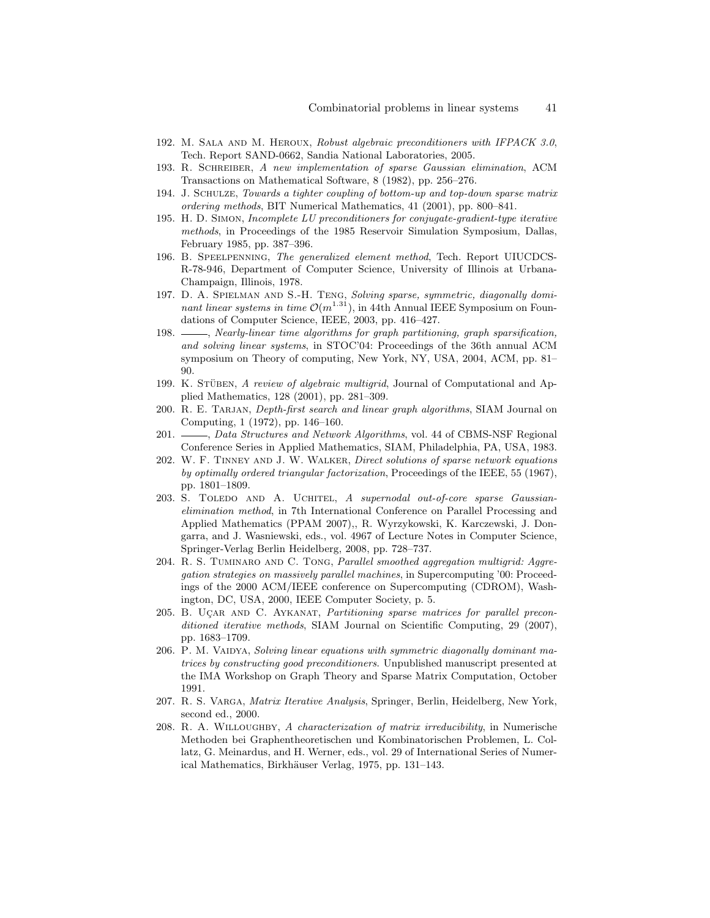- 192. M. Sala and M. Heroux, Robust algebraic preconditioners with IFPACK 3.0, Tech. Report SAND-0662, Sandia National Laboratories, 2005.
- 193. R. Schreiber, A new implementation of sparse Gaussian elimination, ACM Transactions on Mathematical Software, 8 (1982), pp. 256–276.
- 194. J. Schulze, Towards a tighter coupling of bottom-up and top-down sparse matrix ordering methods, BIT Numerical Mathematics, 41 (2001), pp. 800–841.
- 195. H. D. Simon, Incomplete LU preconditioners for conjugate-gradient-type iterative methods, in Proceedings of the 1985 Reservoir Simulation Symposium, Dallas, February 1985, pp. 387–396.
- 196. B. Speelpenning, The generalized element method, Tech. Report UIUCDCS-R-78-946, Department of Computer Science, University of Illinois at Urbana-Champaign, Illinois, 1978.
- 197. D. A. Spielman and S.-H. Teng, Solving sparse, symmetric, diagonally dominant linear systems in time  $\mathcal{O}(m^{1.31})$ , in 44th Annual IEEE Symposium on Foundations of Computer Science, IEEE, 2003, pp. 416–427.
- 198.  $\_\_\_\_\$  Nearly-linear time algorithms for graph partitioning, graph sparsification, and solving linear systems, in STOC'04: Proceedings of the 36th annual ACM symposium on Theory of computing, New York, NY, USA, 2004, ACM, pp. 81– 90.
- 199. K. STÜBEN, A review of algebraic multigrid, Journal of Computational and Applied Mathematics, 128 (2001), pp. 281–309.
- 200. R. E. TARJAN, Depth-first search and linear graph algorithms, SIAM Journal on Computing, 1 (1972), pp. 146–160.
- 201.  $\frac{1}{201}$ , Data Structures and Network Algorithms, vol. 44 of CBMS-NSF Regional Conference Series in Applied Mathematics, SIAM, Philadelphia, PA, USA, 1983.
- 202. W. F. Tinney and J. W. Walker, Direct solutions of sparse network equations by optimally ordered triangular factorization, Proceedings of the IEEE, 55 (1967), pp. 1801–1809.
- 203. S. TOLEDO AND A. UCHITEL, A supernodal out-of-core sparse Gaussianelimination method, in 7th International Conference on Parallel Processing and Applied Mathematics (PPAM 2007),, R. Wyrzykowski, K. Karczewski, J. Dongarra, and J. Wasniewski, eds., vol. 4967 of Lecture Notes in Computer Science, Springer-Verlag Berlin Heidelberg, 2008, pp. 728–737.
- 204. R. S. TUMINARO AND C. TONG, Parallel smoothed aggregation multigrid: Aggregation strategies on massively parallel machines, in Supercomputing '00: Proceedings of the 2000 ACM/IEEE conference on Supercomputing (CDROM), Washington, DC, USA, 2000, IEEE Computer Society, p. 5.
- 205. B. UÇAR AND C. AYKANAT, Partitioning sparse matrices for parallel preconditioned iterative methods, SIAM Journal on Scientific Computing, 29 (2007), pp. 1683–1709.
- 206. P. M. VAIDYA, Solving linear equations with symmetric diagonally dominant matrices by constructing good preconditioners. Unpublished manuscript presented at the IMA Workshop on Graph Theory and Sparse Matrix Computation, October 1991.
- 207. R. S. Varga, Matrix Iterative Analysis, Springer, Berlin, Heidelberg, New York, second ed., 2000.
- 208. R. A. WILLOUGHBY, A characterization of matrix irreducibility, in Numerische Methoden bei Graphentheoretischen und Kombinatorischen Problemen, L. Collatz, G. Meinardus, and H. Werner, eds., vol. 29 of International Series of Numerical Mathematics, Birkhäuser Verlag, 1975, pp. 131–143.